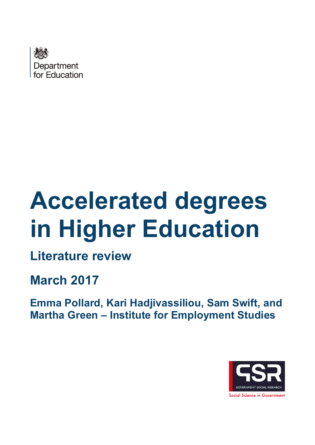

# **Accelerated degrees in Higher Education**

**Literature review** 

**March 2017** 

**Emma Pollard, Kari Hadjivassiliou, Sam Swift, and Martha Green – Institute for Employment Studies** 

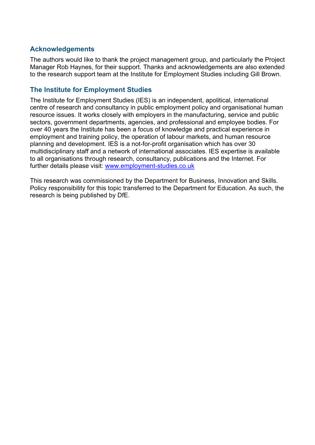#### **Acknowledgements**

The authors would like to thank the project management group, and particularly the Project Manager Rob Haynes, for their support. Thanks and acknowledgements are also extended to the research support team at the Institute for Employment Studies including Gill Brown.

#### **The Institute for Employment Studies**

The Institute for Employment Studies (IES) is an independent, apolitical, international centre of research and consultancy in public employment policy and organisational human resource issues. It works closely with employers in the manufacturing, service and public sectors, government departments, agencies, and professional and employee bodies. For over 40 years the Institute has been a focus of knowledge and practical experience in employment and training policy, the operation of labour markets, and human resource planning and development. IES is a not-for-profit organisation which has over 30 multidisciplinary staff and a network of international associates. IES expertise is available to all organisations through research, consultancy, publications and the Internet. For further details please visit: [www.employment-studies.co.uk](http://www.employment-studies.co.uk/)

This research was commissioned by the Department for Business, Innovation and Skills. Policy responsibility for this topic transferred to the Department for Education. As such, the research is being published by DfE.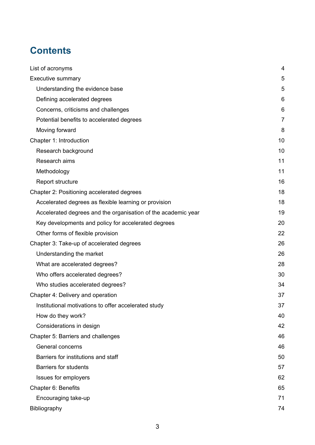# **Contents**

| List of acronyms                                              | 4              |
|---------------------------------------------------------------|----------------|
| Executive summary                                             | 5              |
| Understanding the evidence base                               | 5              |
| Defining accelerated degrees                                  | 6              |
| Concerns, criticisms and challenges                           | 6              |
| Potential benefits to accelerated degrees                     | $\overline{7}$ |
| Moving forward                                                | 8              |
| Chapter 1: Introduction                                       | 10             |
| Research background                                           | 10             |
| Research aims                                                 | 11             |
| Methodology                                                   | 11             |
| Report structure                                              | 16             |
| Chapter 2: Positioning accelerated degrees                    | 18             |
| Accelerated degrees as flexible learning or provision         | 18             |
| Accelerated degrees and the organisation of the academic year | 19             |
| Key developments and policy for accelerated degrees           | 20             |
| Other forms of flexible provision                             | 22             |
| Chapter 3: Take-up of accelerated degrees                     | 26             |
| Understanding the market                                      | 26             |
| What are accelerated degrees?                                 | 28             |
| Who offers accelerated degrees?                               | 30             |
| Who studies accelerated degrees?                              | 34             |
| Chapter 4: Delivery and operation                             | 37             |
| Institutional motivations to offer accelerated study          | 37             |
| How do they work?                                             | 40             |
| Considerations in design                                      | 42             |
| Chapter 5: Barriers and challenges                            | 46             |
| General concerns                                              | 46             |
| Barriers for institutions and staff                           | 50             |
| <b>Barriers for students</b>                                  | 57             |
| Issues for employers                                          | 62             |
| Chapter 6: Benefits                                           | 65             |
| Encouraging take-up                                           | 71             |
| Bibliography                                                  | 74             |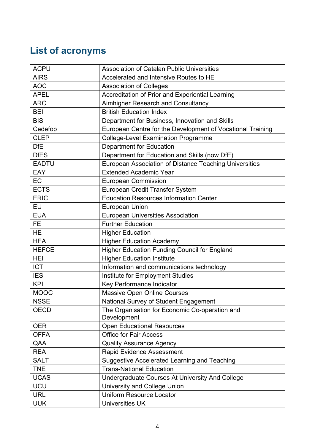# <span id="page-3-0"></span>**List of acronyms**

| <b>ACPU</b>  | <b>Association of Catalan Public Universities</b>             |
|--------------|---------------------------------------------------------------|
| <b>AIRS</b>  | Accelerated and Intensive Routes to HE                        |
| <b>AOC</b>   | <b>Association of Colleges</b>                                |
| <b>APEL</b>  | Accreditation of Prior and Experiential Learning              |
| <b>ARC</b>   | Aimhigher Research and Consultancy                            |
| <b>BEI</b>   | <b>British Education Index</b>                                |
| <b>BIS</b>   | Department for Business, Innovation and Skills                |
| Cedefop      | European Centre for the Development of Vocational Training    |
| <b>CLEP</b>  | <b>College-Level Examination Programme</b>                    |
| <b>DfE</b>   | Department for Education                                      |
| <b>DfES</b>  | Department for Education and Skills (now DfE)                 |
| <b>EADTU</b> | European Association of Distance Teaching Universities        |
| EAY          | <b>Extended Academic Year</b>                                 |
| EC           | <b>European Commission</b>                                    |
| <b>ECTS</b>  | European Credit Transfer System                               |
| <b>ERIC</b>  | <b>Education Resources Information Center</b>                 |
| EU           | <b>European Union</b>                                         |
| <b>EUA</b>   | <b>European Universities Association</b>                      |
| <b>FE</b>    | <b>Further Education</b>                                      |
| <b>HE</b>    | <b>Higher Education</b>                                       |
| <b>HEA</b>   | <b>Higher Education Academy</b>                               |
| <b>HEFCE</b> | Higher Education Funding Council for England                  |
| HEI          | <b>Higher Education Institute</b>                             |
| <b>ICT</b>   | Information and communications technology                     |
| <b>IES</b>   | Institute for Employment Studies                              |
| <b>KPI</b>   | Key Performance Indicator                                     |
| <b>MOOC</b>  | <b>Massive Open Online Courses</b>                            |
| <b>NSSE</b>  | National Survey of Student Engagement                         |
| <b>OECD</b>  | The Organisation for Economic Co-operation and<br>Development |
| <b>OER</b>   | <b>Open Educational Resources</b>                             |
| <b>OFFA</b>  | <b>Office for Fair Access</b>                                 |
| QAA          | <b>Quality Assurance Agency</b>                               |
| <b>REA</b>   | Rapid Evidence Assessment                                     |
| <b>SALT</b>  | <b>Suggestive Accelerated Learning and Teaching</b>           |
| <b>TNE</b>   | <b>Trans-National Education</b>                               |
| <b>UCAS</b>  | Undergraduate Courses At University And College               |
| <b>UCU</b>   | University and College Union                                  |
| <b>URL</b>   | <b>Uniform Resource Locator</b>                               |
| <b>UUK</b>   | <b>Universities UK</b>                                        |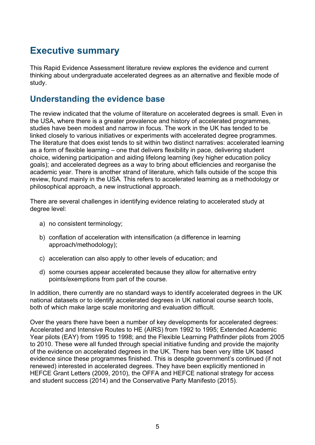# <span id="page-4-0"></span>**Executive summary**

This Rapid Evidence Assessment literature review explores the evidence and current thinking about undergraduate accelerated degrees as an alternative and flexible mode of study.

# <span id="page-4-1"></span>**Understanding the evidence base**

The review indicated that the volume of literature on accelerated degrees is small. Even in the USA, where there is a greater prevalence and history of accelerated programmes, studies have been modest and narrow in focus. The work in the UK has tended to be linked closely to various initiatives or experiments with accelerated degree programmes. The literature that does exist tends to sit within two distinct narratives: accelerated learning as a form of flexible learning – one that delivers flexibility in pace, delivering student choice, widening participation and aiding lifelong learning (key higher education policy goals); and accelerated degrees as a way to bring about efficiencies and reorganise the academic year. There is another strand of literature, which falls outside of the scope this review, found mainly in the USA. This refers to accelerated learning as a methodology or philosophical approach, a new instructional approach.

There are several challenges in identifying evidence relating to accelerated study at degree level:

- a) no consistent terminology;
- b) conflation of acceleration with intensification (a difference in learning approach/methodology);
- c) acceleration can also apply to other levels of education; and
- d) some courses appear accelerated because they allow for alternative entry points/exemptions from part of the course.

In addition, there currently are no standard ways to identify accelerated degrees in the UK national datasets or to identify accelerated degrees in UK national course search tools, both of which make large scale monitoring and evaluation difficult.

Over the years there have been a number of key developments for accelerated degrees: Accelerated and Intensive Routes to HE (AIRS) from 1992 to 1995; Extended Academic Year pilots (EAY) from 1995 to 1998; and the Flexible Learning Pathfinder pilots from 2005 to 2010. These were all funded through special initiative funding and provide the majority of the evidence on accelerated degrees in the UK. There has been very little UK based evidence since these programmes finished. This is despite government's continued (if not renewed) interested in accelerated degrees. They have been explicitly mentioned in HEFCE Grant Letters (2009, 2010), the OFFA and HEFCE national strategy for access and student success (2014) and the Conservative Party Manifesto (2015).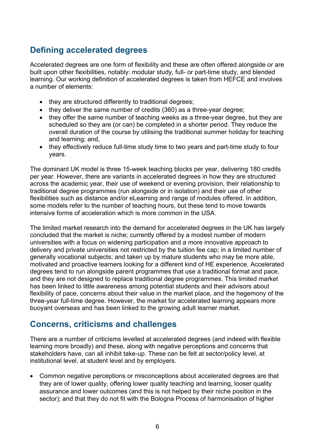# <span id="page-5-0"></span>**Defining accelerated degrees**

Accelerated degrees are one form of flexibility and these are often offered alongside or are built upon other flexibilities, notably: modular study, full- or part-time study, and blended learning. Our working definition of accelerated degrees is taken from HEFCE and involves a number of elements:

- they are structured differently to traditional degrees;
- they deliver the same number of credits (360) as a three-year degree:
- they offer the same number of teaching weeks as a three-year degree, but they are scheduled so they are (or can) be completed in a shorter period. They reduce the overall duration of the course by utilising the traditional summer holiday for teaching and learning; and,
- they effectively reduce full-time study time to two years and part-time study to four years.

The dominant UK model is three 15-week teaching blocks per year, delivering 180 credits per year. However, there are variants in accelerated degrees in how they are structured across the academic year, their use of weekend or evening provision, their relationship to traditional degree programmes (run alongside or in isolation) and their use of other flexibilities such as distance and/or eLearning and range of modules offered. In addition, some models refer to the number of teaching hours, but these tend to move towards intensive forms of acceleration which is more common in the USA.

The limited market research into the demand for accelerated degrees in the UK has largely concluded that the market is niche; currently offered by a modest number of modern universities with a focus on widening participation and a more innovative approach to delivery and private universities not restricted by the tuition fee cap; in a limited number of generally vocational subjects; and taken up by mature students who may be more able, motivated and proactive learners looking for a different kind of HE experience. Accelerated degrees tend to run alongside parent programmes that use a traditional format and pace, and they are not designed to replace traditional degree programmes. This limited market has been linked to little awareness among potential students and their advisors about flexibility of pace, concerns about their value in the market place, and the hegemony of the three-year full-time degree. However, the market for accelerated learning appears more buoyant overseas and has been linked to the growing adult learner market.

# <span id="page-5-1"></span>**Concerns, criticisms and challenges**

There are a number of criticisms levelled at accelerated degrees (and indeed with flexible learning more broadly) and these, along with negative perceptions and concerns that stakeholders have, can all inhibit take-up. These can be felt at sector/policy level, at institutional level, at student level and by employers.

• Common negative perceptions or misconceptions about accelerated degrees are that they are of lower quality, offering lower quality teaching and learning, looser quality assurance and lower outcomes (and this is not helped by their niche position in the sector); and that they do not fit with the Bologna Process of harmonisation of higher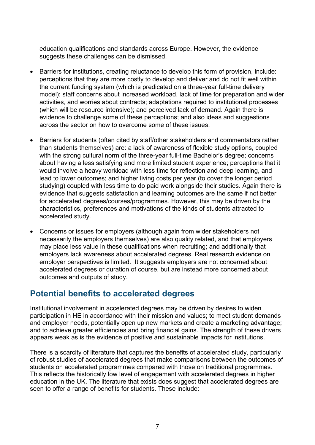education qualifications and standards across Europe. However, the evidence suggests these challenges can be dismissed.

- Barriers for institutions, creating reluctance to develop this form of provision, include: perceptions that they are more costly to develop and deliver and do not fit well within the current funding system (which is predicated on a three-year full-time delivery model); staff concerns about increased workload, lack of time for preparation and wider activities, and worries about contracts; adaptations required to institutional processes (which will be resource intensive); and perceived lack of demand. Again there is evidence to challenge some of these perceptions; and also ideas and suggestions across the sector on how to overcome some of these issues.
- Barriers for students (often cited by staff/other stakeholders and commentators rather than students themselves) are: a lack of awareness of flexible study options, coupled with the strong cultural norm of the three-year full-time Bachelor's degree; concerns about having a less satisfying and more limited student experience; perceptions that it would involve a heavy workload with less time for reflection and deep learning, and lead to lower outcomes; and higher living costs per year (to cover the longer period studying) coupled with less time to do paid work alongside their studies. Again there is evidence that suggests satisfaction and learning outcomes are the same if not better for accelerated degrees/courses/programmes. However, this may be driven by the characteristics, preferences and motivations of the kinds of students attracted to accelerated study.
- Concerns or issues for employers (although again from wider stakeholders not necessarily the employers themselves) are also quality related, and that employers may place less value in these qualifications when recruiting; and additionally that employers lack awareness about accelerated degrees. Real research evidence on employer perspectives is limited. It suggests employers are not concerned about accelerated degrees or duration of course, but are instead more concerned about outcomes and outputs of study.

# <span id="page-6-0"></span>**Potential benefits to accelerated degrees**

Institutional involvement in accelerated degrees may be driven by desires to widen participation in HE in accordance with their mission and values; to meet student demands and employer needs, potentially open up new markets and create a marketing advantage; and to achieve greater efficiencies and bring financial gains. The strength of these drivers appears weak as is the evidence of positive and sustainable impacts for institutions.

There is a scarcity of literature that captures the benefits of accelerated study, particularly of robust studies of accelerated degrees that make comparisons between the outcomes of students on accelerated programmes compared with those on traditional programmes. This reflects the historically low level of engagement with accelerated degrees in higher education in the UK. The literature that exists does suggest that accelerated degrees are seen to offer a range of benefits for students. These include: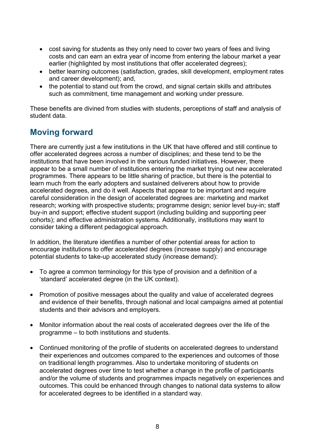- cost saving for students as they only need to cover two years of fees and living costs and can earn an extra year of income from entering the labour market a year earlier (highlighted by most institutions that offer accelerated degrees);
- better learning outcomes (satisfaction, grades, skill development, employment rates and career development); and,
- the potential to stand out from the crowd, and signal certain skills and attributes such as commitment, time management and working under pressure.

These benefits are divined from studies with students, perceptions of staff and analysis of student data.

# <span id="page-7-0"></span>**Moving forward**

There are currently just a few institutions in the UK that have offered and still continue to offer accelerated degrees across a number of disciplines; and these tend to be the institutions that have been involved in the various funded initiatives. However, there appear to be a small number of institutions entering the market trying out new accelerated programmes. There appears to be little sharing of practice, but there is the potential to learn much from the early adopters and sustained deliverers about how to provide accelerated degrees, and do it well. Aspects that appear to be important and require careful consideration in the design of accelerated degrees are: marketing and market research; working with prospective students; programme design; senior level buy-in; staff buy-in and support; effective student support (including building and supporting peer cohorts); and effective administration systems. Additionally, institutions may want to consider taking a different pedagogical approach.

In addition, the literature identifies a number of other potential areas for action to encourage institutions to offer accelerated degrees (increase supply) and encourage potential students to take-up accelerated study (increase demand):

- To agree a common terminology for this type of provision and a definition of a 'standard' accelerated degree (in the UK context).
- Promotion of positive messages about the quality and value of accelerated degrees and evidence of their benefits, through national and local campaigns aimed at potential students and their advisors and employers.
- Monitor information about the real costs of accelerated degrees over the life of the programme – to both institutions and students.
- Continued monitoring of the profile of students on accelerated degrees to understand their experiences and outcomes compared to the experiences and outcomes of those on traditional length programmes. Also to undertake monitoring of students on accelerated degrees over time to test whether a change in the profile of participants and/or the volume of students and programmes impacts negatively on experiences and outcomes. This could be enhanced through changes to national data systems to allow for accelerated degrees to be identified in a standard way.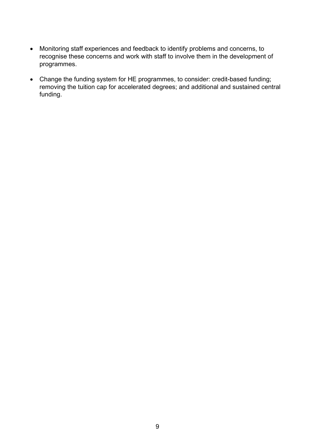- Monitoring staff experiences and feedback to identify problems and concerns, to recognise these concerns and work with staff to involve them in the development of programmes.
- Change the funding system for HE programmes, to consider: credit-based funding; removing the tuition cap for accelerated degrees; and additional and sustained central funding.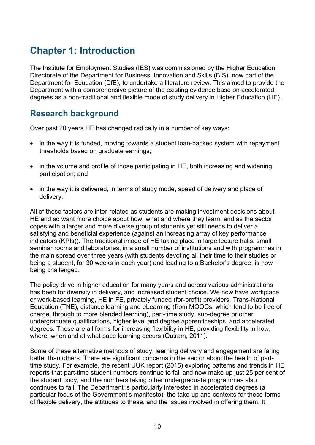# <span id="page-9-0"></span>**Chapter 1: Introduction**

The Institute for Employment Studies (IES) was commissioned by the Higher Education Directorate of the Department for Business, Innovation and Skills (BIS), now part of the Department for Education (DfE), to undertake a literature review. This aimed to provide the Department with a comprehensive picture of the existing evidence base on accelerated degrees as a non-traditional and flexible mode of study delivery in Higher Education (HE).

# <span id="page-9-1"></span>**Research background**

Over past 20 years HE has changed radically in a number of key ways:

- in the way it is funded, moving towards a student loan-backed system with repayment thresholds based on graduate earnings;
- in the volume and profile of those participating in HE, both increasing and widening participation; and
- in the way it is delivered, in terms of study mode, speed of delivery and place of delivery.

All of these factors are inter-related as students are making investment decisions about HE and so want more choice about how, what and where they learn; and as the sector copes with a larger and more diverse group of students yet still needs to deliver a satisfying and beneficial experience (against an increasing array of key performance indicators (KPIs)). The traditional image of HE taking place in large lecture halls, small seminar rooms and laboratories, in a small number of institutions and with programmes in the main spread over three years (with students devoting all their time to their studies or being a student, for 30 weeks in each year) and leading to a Bachelor's degree, is now being challenged.

The policy drive in higher education for many years and across various administrations has been for diversity in delivery, and increased student choice. We now have workplace or work-based learning, HE in FE, privately funded (for-profit) providers, Trans-National Education (TNE), distance learning and eLearning (from MOOCs, which tend to be free of charge, through to more blended learning), part-time study, sub-degree or other undergraduate qualifications, higher level and degree apprenticeships, and accelerated degrees. These are all forms for increasing flexibility in HE, providing flexibility in how, where, when and at what pace learning occurs (Outram, 2011).

Some of these alternative methods of study, learning delivery and engagement are faring better than others. There are significant concerns in the sector about the health of parttime study. For example, the recent UUK report (2015) exploring patterns and trends in HE reports that part-time student numbers continue to fall and now make up just 25 per cent of the student body, and the numbers taking other undergraduate programmes also continues to fall. The Department is particularly interested in accelerated degrees (a particular focus of the Government's manifesto), the take-up and contexts for these forms of flexible delivery, the attitudes to these, and the issues involved in offering them. It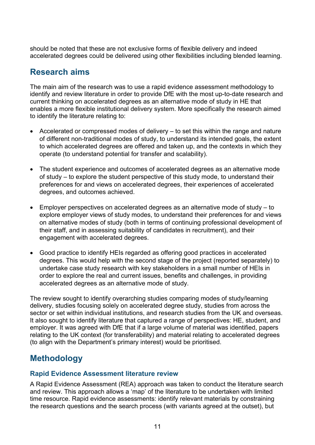should be noted that these are not exclusive forms of flexible delivery and indeed accelerated degrees could be delivered using other flexibilities including blended learning.

# <span id="page-10-0"></span>**Research aims**

The main aim of the research was to use a rapid evidence assessment methodology to identify and review literature in order to provide DfE with the most up-to-date research and current thinking on accelerated degrees as an alternative mode of study in HE that enables a more flexible institutional delivery system. More specifically the research aimed to identify the literature relating to:

- Accelerated or compressed modes of delivery to set this within the range and nature of different non-traditional modes of study, to understand its intended goals, the extent to which accelerated degrees are offered and taken up, and the contexts in which they operate (to understand potential for transfer and scalability).
- The student experience and outcomes of accelerated degrees as an alternative mode of study – to explore the student perspective of this study mode, to understand their preferences for and views on accelerated degrees, their experiences of accelerated degrees, and outcomes achieved.
- Employer perspectives on accelerated degrees as an alternative mode of study to explore employer views of study modes, to understand their preferences for and views on alternative modes of study (both in terms of continuing professional development of their staff, and in assessing suitability of candidates in recruitment), and their engagement with accelerated degrees.
- Good practice to identify HEIs regarded as offering good practices in accelerated degrees. This would help with the second stage of the project (reported separately) to undertake case study research with key stakeholders in a small number of HEIs in order to explore the real and current issues, benefits and challenges, in providing accelerated degrees as an alternative mode of study.

The review sought to identify overarching studies comparing modes of study/learning delivery, studies focusing solely on accelerated degree study, studies from across the sector or set within individual institutions, and research studies from the UK and overseas. It also sought to identify literature that captured a range of perspectives: HE, student, and employer. It was agreed with DfE that if a large volume of material was identified, papers relating to the UK context (for transferability) and material relating to accelerated degrees (to align with the Department's primary interest) would be prioritised.

# <span id="page-10-1"></span>**Methodology**

#### **Rapid Evidence Assessment literature review**

A Rapid Evidence Assessment (REA) approach was taken to conduct the literature search and review. This approach allows a 'map' of the literature to be undertaken with limited time resource. Rapid evidence assessments: identify relevant materials by constraining the research questions and the search process (with variants agreed at the outset), but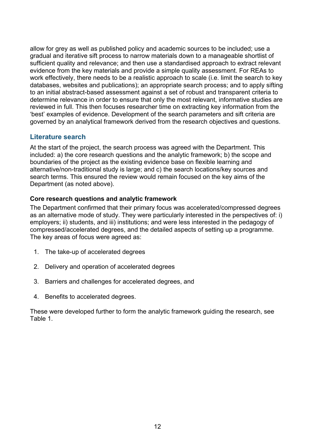allow for grey as well as published policy and academic sources to be included; use a gradual and iterative sift process to narrow materials down to a manageable shortlist of sufficient quality and relevance; and then use a standardised approach to extract relevant evidence from the key materials and provide a simple quality assessment. For REAs to work effectively, there needs to be a realistic approach to scale (i.e. limit the search to key databases, websites and publications); an appropriate search process; and to apply sifting to an initial abstract-based assessment against a set of robust and transparent criteria to determine relevance in order to ensure that only the most relevant, informative studies are reviewed in full. This then focuses researcher time on extracting key information from the 'best' examples of evidence. Development of the search parameters and sift criteria are governed by an analytical framework derived from the research objectives and questions.

#### **Literature search**

At the start of the project, the search process was agreed with the Department. This included: a) the core research questions and the analytic framework; b) the scope and boundaries of the project as the existing evidence base on flexible learning and alternative/non-traditional study is large; and c) the search locations/key sources and search terms. This ensured the review would remain focused on the key aims of the Department (as noted above).

#### **Core research questions and analytic framework**

The Department confirmed that their primary focus was accelerated/compressed degrees as an alternative mode of study. They were particularly interested in the perspectives of: i) employers; ii) students, and iii) institutions; and were less interested in the pedagogy of compressed/accelerated degrees, and the detailed aspects of setting up a programme. The key areas of focus were agreed as:

- 1. The take-up of accelerated degrees
- 2. Delivery and operation of accelerated degrees
- 3. Barriers and challenges for accelerated degrees, and
- 4. Benefits to accelerated degrees.

These were developed further to form the analytic framework guiding the research, see Table 1.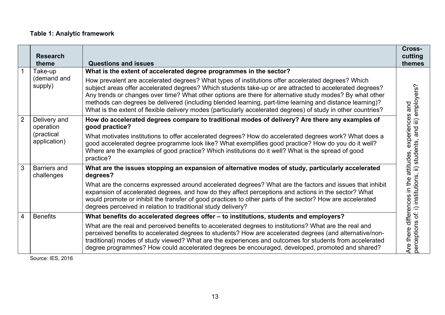#### **Table 1: Analytic framework**

|                | <b>Research</b><br>theme          | <b>Questions and issues</b>                                                                                                                                                                                                                                                                                                                                                                                                                                                                                                                             | Cross-<br>cutting<br>themes                                                                    |
|----------------|-----------------------------------|---------------------------------------------------------------------------------------------------------------------------------------------------------------------------------------------------------------------------------------------------------------------------------------------------------------------------------------------------------------------------------------------------------------------------------------------------------------------------------------------------------------------------------------------------------|------------------------------------------------------------------------------------------------|
|                | Take-up                           | What is the extent of accelerated degree programmes in the sector?                                                                                                                                                                                                                                                                                                                                                                                                                                                                                      |                                                                                                |
|                | (demand and<br>supply)            | How prevalent are accelerated degrees? What types of institutions offer accelerated degrees? Which<br>subject areas offer accelerated degrees? Which students take-up or are attracted to accelerated degrees?<br>Any trends or changes over time? What other options are there for alternative study modes? By what other<br>methods can degrees be delivered (including blended learning, part-time learning and distance learning)?<br>What is the extent of flexible delivery modes (particularly accelerated degrees) of study in other countries? | and                                                                                            |
| $\overline{2}$ | Delivery and<br>operation         | How do accelerated degrees compare to traditional modes of delivery? Are there any examples of<br>good practice?                                                                                                                                                                                                                                                                                                                                                                                                                                        | perceptions of: i) institutions, ii) students, and iii) employers?<br>experiences<br>attitudes |
|                | (practical<br>application)        | What motivates institutions to offer accelerated degrees? How do accelerated degrees work? What does a<br>good accelerated degree programme look like? What exemplifies good practice? How do you do it well?<br>Where are the examples of good practice? Which institutions do it well? What is the spread of good<br>practice?                                                                                                                                                                                                                        |                                                                                                |
| 3              | <b>Barriers and</b><br>challenges | What are the issues stopping an expansion of alternative modes of study, particularly accelerated<br>degrees?                                                                                                                                                                                                                                                                                                                                                                                                                                           |                                                                                                |
|                |                                   | What are the concerns expressed around accelerated degrees? What are the factors and issues that inhibit<br>expansion of accelerated degrees, and how do they affect perceptions and actions in the sector? What<br>would promote or inhibit the transfer of good practices to other parts of the sector? How are accelerated<br>degrees perceived in relation to traditional study delivery?                                                                                                                                                           | the<br>$\supseteq$ .<br>differences                                                            |
| 4              | <b>Benefits</b>                   | What benefits do accelerated degrees offer - to institutions, students and employers?                                                                                                                                                                                                                                                                                                                                                                                                                                                                   |                                                                                                |
|                |                                   | What are the real and perceived benefits to accelerated degrees to institutions? What are the real and<br>perceived benefits to accelerated degrees to students? How are accelerated degrees (and alternative/non-<br>traditional) modes of study viewed? What are the experiences and outcomes for students from accelerated<br>degree programmes? How could accelerated degrees be encouraged, developed, promoted and shared?                                                                                                                        | Are there                                                                                      |

Source: IES, 2016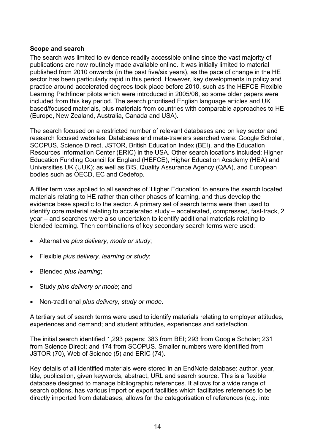#### **Scope and search**

The search was limited to evidence readily accessible online since the vast majority of publications are now routinely made available online. It was initially limited to material published from 2010 onwards (in the past five/six years), as the pace of change in the HE sector has been particularly rapid in this period. However, key developments in policy and practice around accelerated degrees took place before 2010, such as the HEFCE Flexible Learning Pathfinder pilots which were introduced in 2005/06, so some older papers were included from this key period. The search prioritised English language articles and UK based/focused materials, plus materials from countries with comparable approaches to HE (Europe, New Zealand, Australia, Canada and USA).

The search focused on a restricted number of relevant databases and on key sector and research focused websites. Databases and meta-trawlers searched were: Google Scholar, SCOPUS, Science Direct, JSTOR, British Education Index (BEI), and the Education Resources Information Center (ERIC) in the USA. Other search locations included: Higher Education Funding Council for England (HEFCE), Higher Education Academy (HEA) and Universities UK (UUK); as well as BIS, Quality Assurance Agency (QAA), and European bodies such as OECD, EC and Cedefop.

A filter term was applied to all searches of 'Higher Education' to ensure the search located materials relating to HE rather than other phases of learning, and thus develop the evidence base specific to the sector. A primary set of search terms were then used to identify core material relating to accelerated study – accelerated, compressed, fast-track, 2 year – and searches were also undertaken to identify additional materials relating to blended learning. Then combinations of key secondary search terms were used:

- Alternative *plus delivery, mode or study*;
- Flexible *plus delivery, learning or study*;
- Blended *plus learning*;
- Study *plus delivery or mode*; and
- Non-traditional *plus delivery, study or mode*.

A tertiary set of search terms were used to identify materials relating to employer attitudes, experiences and demand; and student attitudes, experiences and satisfaction.

The initial search identified 1,293 papers: 383 from BEI; 293 from Google Scholar; 231 from Science Direct; and 174 from SCOPUS. Smaller numbers were identified from JSTOR (70), Web of Science (5) and ERIC (74).

Key details of all identified materials were stored in an EndNote database: author, year, title, publication, given keywords, abstract, URL and search source. This is a flexible database designed to manage bibliographic references. It allows for a wide range of search options, has various import or export facilities which facilitates references to be directly imported from databases, allows for the categorisation of references (e.g. into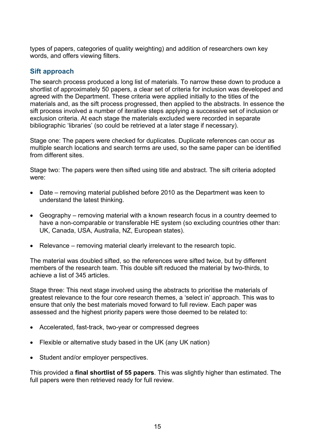types of papers, categories of quality weighting) and addition of researchers own key words, and offers viewing filters.

#### **Sift approach**

The search process produced a long list of materials. To narrow these down to produce a shortlist of approximately 50 papers, a clear set of criteria for inclusion was developed and agreed with the Department. These criteria were applied initially to the titles of the materials and, as the sift process progressed, then applied to the abstracts. In essence the sift process involved a number of iterative steps applying a successive set of inclusion or exclusion criteria. At each stage the materials excluded were recorded in separate bibliographic 'libraries' (so could be retrieved at a later stage if necessary).

Stage one: The papers were checked for duplicates. Duplicate references can occur as multiple search locations and search terms are used, so the same paper can be identified from different sites.

Stage two: The papers were then sifted using title and abstract. The sift criteria adopted were:

- Date removing material published before 2010 as the Department was keen to understand the latest thinking.
- Geography removing material with a known research focus in a country deemed to have a non-comparable or transferable HE system (so excluding countries other than: UK, Canada, USA, Australia, NZ, European states).
- Relevance removing material clearly irrelevant to the research topic.

The material was doubled sifted, so the references were sifted twice, but by different members of the research team. This double sift reduced the material by two-thirds, to achieve a list of 345 articles.

Stage three: This next stage involved using the abstracts to prioritise the materials of greatest relevance to the four core research themes, a 'select in' approach. This was to ensure that only the best materials moved forward to full review. Each paper was assessed and the highest priority papers were those deemed to be related to:

- Accelerated, fast-track, two-year or compressed degrees
- Flexible or alternative study based in the UK (any UK nation)
- Student and/or employer perspectives.

This provided a **final shortlist of 55 papers**. This was slightly higher than estimated. The full papers were then retrieved ready for full review.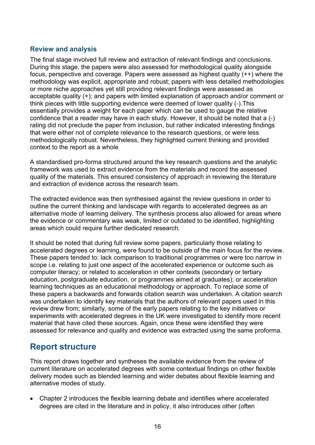#### **Review and analysis**

The final stage involved full review and extraction of relevant findings and conclusions. During this stage, the papers were also assessed for methodological quality alongside focus, perspective and coverage. Papers were assessed as highest quality (++) where the methodology was explicit, appropriate and robust; papers with less detailed methodologies or more niche approaches yet still providing relevant findings were assessed as acceptable quality (+); and papers with limited explanation of approach and/or comment or think pieces with little supporting evidence were deemed of lower quality (-).This essentially provides a weight for each paper which can be used to gauge the relative confidence that a reader may have in each study. However, it should be noted that a (-) rating did not preclude the paper from inclusion, but rather indicated interesting findings that were either not of complete relevance to the research questions, or were less methodologically robust. Nevertheless, they highlighted current thinking and provided context to the report as a whole

A standardised pro-forma structured around the key research questions and the analytic framework was used to extract evidence from the materials and record the assessed quality of the materials. This ensured consistency of approach in reviewing the literature and extraction of evidence across the research team.

The extracted evidence was then synthesised against the review questions in order to outline the current thinking and landscape with regards to accelerated degrees as an alternative mode of learning delivery. The synthesis process also allowed for areas where the evidence or commentary was weak, limited or outdated to be identified, highlighting areas which could require further dedicated research.

It should be noted that during full review some papers, particularly those relating to accelerated degrees or learning, were found to be outside of the main focus for the review. These papers tended to: lack comparison to traditional programmes or were too narrow in scope i.e. relating to just one aspect of the accelerated experience or outcome such as computer literacy; or related to acceleration in other contexts (secondary or tertiary education, postgraduate education, or programmes aimed at graduates); or acceleration learning techniques as an educational methodology or approach. To replace some of these papers a backwards and forwards citation search was undertaken. A citation search was undertaken to identify key materials that the authors of relevant papers used in this review drew from; similarly, some of the early papers relating to the key initiatives or experiments with accelerated degrees in the UK were investigated to identify more recent material that have cited these sources. Again, once these were identified they were assessed for relevance and quality and evidence was extracted using the same proforma.

# <span id="page-15-0"></span>**Report structure**

This report draws together and syntheses the available evidence from the review of current literature on accelerated degrees with some contextual findings on other flexible delivery modes such as blended learning and wider debates about flexible learning and alternative modes of study.

• Chapter 2 introduces the flexible learning debate and identifies where accelerated degrees are cited in the literature and in policy, it also introduces other (often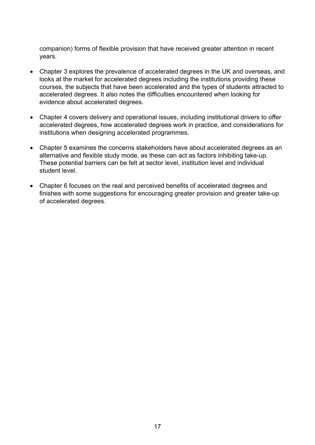companion) forms of flexible provision that have received greater attention in recent years.

- Chapter 3 explores the prevalence of accelerated degrees in the UK and overseas, and looks at the market for accelerated degrees including the institutions providing these courses, the subjects that have been accelerated and the types of students attracted to accelerated degrees. It also notes the difficulties encountered when looking for evidence about accelerated degrees.
- Chapter 4 covers delivery and operational issues, including institutional drivers to offer accelerated degrees, how accelerated degrees work in practice, and considerations for institutions when designing accelerated programmes.
- Chapter 5 examines the concerns stakeholders have about accelerated degrees as an alternative and flexible study mode, as these can act as factors inhibiting take-up. These potential barriers can be felt at sector level, institution level and individual student level.
- Chapter 6 focuses on the real and perceived benefits of accelerated degrees and finishes with some suggestions for encouraging greater provision and greater take-up of accelerated degrees.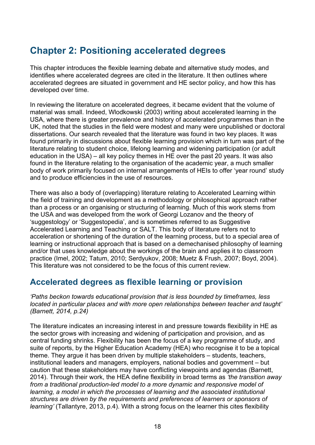# <span id="page-17-0"></span>**Chapter 2: Positioning accelerated degrees**

This chapter introduces the flexible learning debate and alternative study modes, and identifies where accelerated degrees are cited in the literature. It then outlines where accelerated degrees are situated in government and HE sector policy, and how this has developed over time.

In reviewing the literature on accelerated degrees, it became evident that the volume of material was small. Indeed, Wlodkowski (2003) writing about accelerated learning in the USA, where there is greater prevalence and history of accelerated programmes than in the UK, noted that the studies in the field were modest and many were unpublished or doctoral dissertations. Our search revealed that the literature was found in two key places. It was found primarily in discussions about flexible learning provision which in turn was part of the literature relating to student choice, lifelong learning and widening participation (or adult education in the USA) – all key policy themes in HE over the past 20 years. It was also found in the literature relating to the organisation of the academic year, a much smaller body of work primarily focused on internal arrangements of HEIs to offer 'year round' study and to produce efficiencies in the use of resources.

There was also a body of (overlapping) literature relating to Accelerated Learning within the field of training and development as a methodology or philosophical approach rather than a process or an organising or structuring of learning. Much of this work stems from the USA and was developed from the work of Georgi Lozanov and the theory of 'suggestology' or 'Suggestopedia', and is sometimes referred to as Suggestive Accelerated Learning and Teaching or SALT. This body of literature refers not to acceleration or shortening of the duration of the learning process, but to a special area of learning or instructional approach that is based on a demechanised philosophy of learning and/or that uses knowledge about the workings of the brain and applies it to classroom practice (Imel, 2002; Tatum, 2010; Serdyukov, 2008; Muetz & Frush, 2007; Boyd, 2004). This literature was not considered to be the focus of this current review.

# <span id="page-17-1"></span>**Accelerated degrees as flexible learning or provision**

*'Paths beckon towards educational provision that is less bounded by timeframes, less located in particular places and with more open relationships between teacher and taught' (Barnett, 2014, p.24)*

The literature indicates an increasing interest in and pressure towards flexibility in HE as the sector grows with increasing and widening of participation and provision, and as central funding shrinks. Flexibility has been the focus of a key programme of study, and suite of reports, by the Higher Education Academy (HEA) who recognise it to be a topical theme. They argue it has been driven by multiple stakeholders – students, teachers, institutional leaders and managers, employers, national bodies and government – but caution that these stakeholders may have conflicting viewpoints and agendas (Barnett, 2014). Through their work, the HEA define flexibility in broad terms as *'the transition away from a traditional production-led model to a more dynamic and responsive model of learning, a model in which the processes of learning and the associated institutional structures are driven by the requirements and preferences of learners or sponsors of learning'* (Tallantyre, 2013, p.4). With a strong focus on the learner this cites flexibility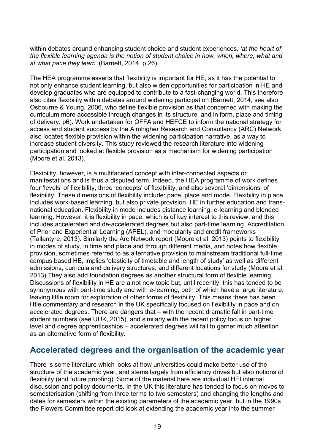within debates around enhancing student choice and student experiences*: 'at the heart of the flexible learning agenda is the notion of student choice in how, when, where, what and at what pace they learn'* (Barnett, 2014, p.26).

The HEA programme asserts that flexibility is important for HE, as it has the potential to not only enhance student learning, but also widen opportunities for participation in HE and develop graduates who are equipped to contribute to a fast-changing world. This therefore also cites flexibility within debates around widening participation (Barnett, 2014, see also Osbourne & Young, 2006, who define flexible provision as that concerned with making the curriculum more accessible through changes in its structure, and in form, place and timing of delivery, p6). Work undertaken for OFFA and HEFCE to inform the national strategy for access and student success by the Aimhigher Research and Consultancy (ARC) Network also locates flexible provision within the widening participation narrative, as a way to increase student diversity. This study reviewed the research literature into widening participation and looked at flexible provision as a mechanism for widening participation (Moore et al, 2013).

Flexibility, however, is a multifaceted concept with inter-connected aspects or manifestations and is thus a disputed term. Indeed, the HEA programme of work defines four 'levels' of flexibility, three 'concepts' of flexibility, and also several 'dimensions' of flexibility. These dimensions of flexibility include: pace, place and mode. Flexibility in place includes work-based learning, but also private provision, HE in further education and transnational education. Flexibility in mode includes distance learning, e-learning and blended learning. However, it is flexibility in pace, which is of key interest to this review, and this includes accelerated and de-accelerated degrees but also part-time learning, Accreditation of Prior and Experiential Learning (APEL), and modularity and credit frameworks (Tallantyre, 2013). Similarly the Arc Network report (Moore et al, 2013) points to flexibility in modes of study, in time and place and through different media, and notes how flexible provision, sometimes referred to as alternative provision to mainstream traditional full-time campus based HE, implies 'elasticity of timetable and length of study' as well as different admissions, curricula and delivery structures, and different locations for study (Moore et al, 2013).They also add foundation degrees as another structural form of flexible learning. Discussions of flexibility in HE are a not new topic but, until recently, this has tended to be synonymous with part-time study and with e-learning, both of which have a large literature, leaving little room for exploration of other forms of flexibility. This means there has been little commentary and research in the UK specifically focused on flexibility in pace and on accelerated degrees. There are dangers that – with the recent dramatic fall in part-time student numbers (see UUK, 2015), and similarly with the recent policy focus on higher level and degree apprenticeships – accelerated degrees will fail to garner much attention as an alternative form of flexibility.

# <span id="page-18-0"></span>**Accelerated degrees and the organisation of the academic year**

There is some literature which looks at how universities could make better use of the structure of the academic year, and stems largely from efficiency drives but also notions of flexibility (and future proofing). Some of the material here are individual HEI internal discussion and policy documents. In the UK this literature has tended to focus on moves to semesterisation (shifting from three terms to two semesters) and changing the lengths and dates for semesters within the existing parameters of the academic year, but in the 1990s the Flowers Committee report did look at extending the academic year into the summer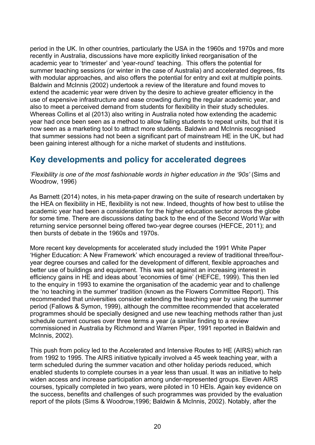period in the UK. In other countries, particularly the USA in the 1960s and 1970s and more recently in Australia, discussions have more explicitly linked reorganisation of the academic year to 'trimester' and 'year-round' teaching. This offers the potential for summer teaching sessions (or winter in the case of Australia) and accelerated degrees, fits with modular approaches, and also offers the potential for entry and exit at multiple points. Baldwin and McInnis (2002) undertook a review of the literature and found moves to extend the academic year were driven by the desire to achieve greater efficiency in the use of expensive infrastructure and ease crowding during the regular academic year, and also to meet a perceived demand from students for flexibility in their study schedules. Whereas Collins et al (2013) also writing in Australia noted how extending the academic year had once been seen as a method to allow failing students to repeat units, but that it is now seen as a marketing tool to attract more students. Baldwin and McInnis recognised that summer sessions had not been a significant part of mainstream HE in the UK, but had been gaining interest although for a niche market of students and institutions.

# <span id="page-19-0"></span>**Key developments and policy for accelerated degrees**

*'Flexibility is one of the most fashionable words in higher education in the '90s'* (Sims and Woodrow, 1996)

As Barnett (2014) notes, in his meta-paper drawing on the suite of research undertaken by the HEA on flexibility in HE, flexibility is not new. Indeed, thoughts of how best to utilise the academic year had been a consideration for the higher education sector across the globe for some time. There are discussions dating back to the end of the Second World War with returning service personnel being offered two-year degree courses (HEFCE, 2011); and then bursts of debate in the 1960s and 1970s.

More recent key developments for accelerated study included the 1991 White Paper 'Higher Education: A New Framework' which encouraged a review of traditional three/fouryear degree courses and called for the development of different, flexible approaches and better use of buildings and equipment. This was set against an increasing interest in efficiency gains in HE and ideas about 'economies of time' (HEFCE, 1999). This then led to the enquiry in 1993 to examine the organisation of the academic year and to challenge the 'no teaching in the summer' tradition (known as the Flowers Committee Report). This recommended that universities consider extending the teaching year by using the summer period (Fallows & Symon, 1999), although the committee recommended that accelerated programmes should be specially designed and use new teaching methods rather than just schedule current courses over three terms a year (a similar finding to a review commissioned in Australia by Richmond and Warren Piper, 1991 reported in Baldwin and McInnis, 2002).

This push from policy led to the Accelerated and Intensive Routes to HE (AIRS) which ran from 1992 to 1995. The AIRS initiative typically involved a 45 week teaching year, with a term scheduled during the summer vacation and other holiday periods reduced, which enabled students to complete courses in a year less than usual. It was an initiative to help widen access and increase participation among under-represented groups. Eleven AIRS courses, typically completed in two years, were piloted in 10 HEIs. Again key evidence on the success, benefits and challenges of such programmes was provided by the evaluation report of the pilots (Sims & Woodrow,1996; Baldwin & McInnis, 2002). Notably, after the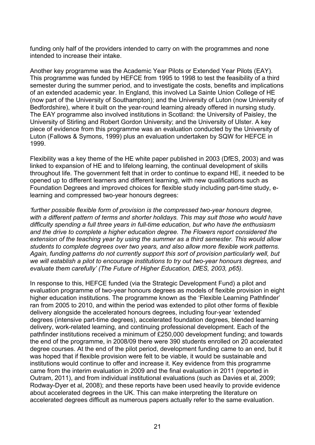funding only half of the providers intended to carry on with the programmes and none intended to increase their intake.

Another key programme was the Academic Year Pilots or Extended Year Pilots (EAY). This programme was funded by HEFCE from 1995 to 1998 to test the feasibility of a third semester during the summer period, and to investigate the costs, benefits and implications of an extended academic year. In England, this involved La Sainte Union College of HE (now part of the University of Southampton); and the University of Luton (now University of Bedfordshire), where it built on the year-round learning already offered in nursing study. The EAY programme also involved institutions in Scotland: the University of Paisley, the University of Stirling and Robert Gordon University; and the University of Ulster. A key piece of evidence from this programme was an evaluation conducted by the University of Luton (Fallows & Symons, 1999) plus an evaluation undertaken by SQW for HEFCE in 1999.

Flexibility was a key theme of the HE white paper published in 2003 (DfES, 2003) and was linked to expansion of HE and to lifelong learning, the continual development of skills throughout life. The government felt that in order to continue to expand HE, it needed to be opened up to different learners and different learning, with new qualifications such as Foundation Degrees and improved choices for flexible study including part-time study, elearning and compressed two-year honours degrees:

*'further possible flexible form of provision is the compressed two-year honours degree, with a different pattern of terms and shorter holidays. This may suit those who would have difficulty spending a full three years in full-time education, but who have the enthusiasm and the drive to complete a higher education degree. The Flowers report considered the extension of the teaching year by using the summer as a third semester. This would allow students to complete degrees over two years, and also allow more flexible work patterns. Again, funding patterns do not currently support this sort of provision particularly well, but we will establish a pilot to encourage institutions to try out two-year honours degrees, and evaluate them carefully' (The Future of Higher Education, DfES, 2003, p65).*

In response to this, HEFCE funded (via the Strategic Development Fund) a pilot and evaluation programme of two-year honours degrees as models of flexible provision in eight higher education institutions. The programme known as the 'Flexible Learning Pathfinder' ran from 2005 to 2010, and within the period was extended to pilot other forms of flexible delivery alongside the accelerated honours degrees, including four-year 'extended' degrees (intensive part-time degrees), accelerated foundation degrees, blended learning delivery, work-related learning, and continuing professional development. Each of the pathfinder institutions received a minimum of £250,000 development funding; and towards the end of the programme, in 2008/09 there were 390 students enrolled on 20 accelerated degree courses. At the end of the pilot period, development funding came to an end, but it was hoped that if flexible provision were felt to be viable, it would be sustainable and institutions would continue to offer and increase it. Key evidence from this programme came from the interim evaluation in 2009 and the final evaluation in 2011 (reported in Outram, 2011), and from individual institutional evaluations (such as Davies et al, 2009; Rodway-Dyer et al, 2008); and these reports have been used heavily to provide evidence about accelerated degrees in the UK. This can make interpreting the literature on accelerated degrees difficult as numerous papers actually refer to the same evaluation.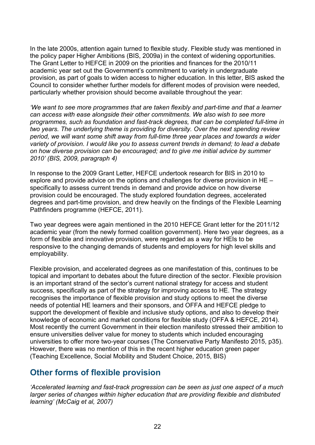In the late 2000s, attention again turned to flexible study. Flexible study was mentioned in the policy paper Higher Ambitions (BIS, 2009a) in the context of widening opportunities. The Grant Letter to HEFCE in 2009 on the priorities and finances for the 2010/11 academic year set out the Government's commitment to variety in undergraduate provision, as part of goals to widen access to higher education. In this letter, BIS asked the Council to consider whether further models for different modes of provision were needed, particularly whether provision should become available throughout the year:

*'We want to see more programmes that are taken flexibly and part-time and that a learner can access with ease alongside their other commitments. We also wish to see more programmes, such as foundation and fast-track degrees, that can be completed full-time in two years. The underlying theme is providing for diversity. Over the next spending review period, we will want some shift away from full-time three year places and towards a wider variety of provision. I would like you to assess current trends in demand; to lead a debate on how diverse provision can be encouraged; and to give me initial advice by summer 2010' (BIS, 2009, paragraph 4)* 

In response to the 2009 Grant Letter, HEFCE undertook research for BIS in 2010 to explore and provide advice on the options and challenges for diverse provision in HE – specifically to assess current trends in demand and provide advice on how diverse provision could be encouraged. The study explored foundation degrees, accelerated degrees and part-time provision, and drew heavily on the findings of the Flexible Learning Pathfinders programme (HEFCE, 2011).

Two year degrees were again mentioned in the 2010 HEFCE Grant letter for the 2011/12 academic year (from the newly formed coalition government). Here two year degrees, as a form of flexible and innovative provision, were regarded as a way for HEIs to be responsive to the changing demands of students and employers for high level skills and employability.

Flexible provision, and accelerated degrees as one manifestation of this, continues to be topical and important to debates about the future direction of the sector. Flexible provision is an important strand of the sector's current national strategy for access and student success, specifically as part of the strategy for improving access to HE. The strategy recognises the importance of flexible provision and study options to meet the diverse needs of potential HE learners and their sponsors, and OFFA and HEFCE pledge to support the development of flexible and inclusive study options, and also to develop their knowledge of economic and market conditions for flexible study (OFFA & HEFCE, 2014). Most recently the current Government in their election manifesto stressed their ambition to ensure universities deliver value for money to students which included encouraging universities to offer more two-year courses (The Conservative Party Manifesto 2015, p35). However, there was no mention of this in the recent higher education green paper (Teaching Excellence, Social Mobility and Student Choice, 2015, BIS)

# <span id="page-21-0"></span>**Other forms of flexible provision**

*'Accelerated learning and fast-track progression can be seen as just one aspect of a much larger series of changes within higher education that are providing flexible and distributed learning' (McCaig et al, 2007)*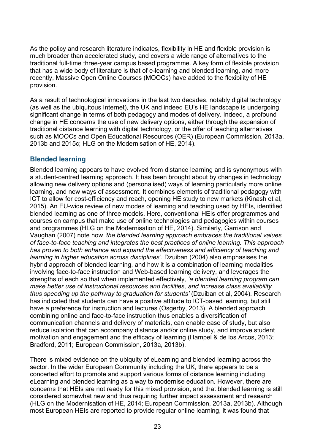As the policy and research literature indicates, flexibility in HE and flexible provision is much broader than accelerated study, and covers a wide range of alternatives to the traditional full-time three-year campus based programme. A key form of flexible provision that has a wide body of literature is that of e-learning and blended learning, and more recently, Massive Open Online Courses (MOOCs) have added to the flexibility of HE provision.

As a result of technological innovations in the last two decades, notably digital technology (as well as the ubiquitous Internet), the UK and indeed EU's HE landscape is undergoing significant change in terms of both pedagogy and modes of delivery. Indeed, a profound change in HE concerns the use of new delivery options, either through the expansion of traditional distance learning with digital technology, or the offer of teaching alternatives such as MOOCs and Open Educational Resources (OER) (European Commission, 2013a, 2013b and 2015c; HLG on the Modernisation of HE, 2014).

#### **Blended learning**

Blended learning appears to have evolved from distance learning and is synonymous with a student-centred learning approach. It has been brought about by changes in technology allowing new delivery options and (personalised) ways of learning particularly more online learning, and new ways of assessment. It combines elements of traditional pedagogy with ICT to allow for cost-efficiency and reach, opening HE study to new markets (Kinash et al, 2015). An EU-wide review of new modes of learning and teaching used by HEIs, identified blended learning as one of three models. Here, conventional HEIs offer programmes and courses on campus that make use of online technologies and pedagogies within courses and programmes (HLG on the Modernisation of HE, 2014). Similarly, Garrison and Vaughan (2007) note how *'the blended learning approach embraces the traditional values of face-to-face teaching and integrates the best practices of online learning. This approach has proven to both enhance and expand the effectiveness and efficiency of teaching and learning in higher education across disciplines'*. Dzuiban (2004) also emphasises the hybrid approach of blended learning, and how it is a combination of learning modalities involving face-to-face instruction and Web-based learning delivery, and leverages the strengths of each so that when implemented effectively*, 'a blended learning program can make better use of instructional resources and facilities, and increase class availability thus speeding up the pathway to graduation for students'* (Dzuiban et al, 2004). Research has indicated that students can have a positive attitude to ICT-based learning, but still have a preference for instruction and lectures (Osgerby, 2013). A blended approach combining online and face-to-face instruction thus enables a diversification of communication channels and delivery of materials, can enable ease of study, but also reduce isolation that can accompany distance and/or online study, and improve student motivation and engagement and the efficacy of learning (Hampel & de los Arcos, 2013; Bradford, 2011; European Commission, 2013a, 2013b).

There is mixed evidence on the ubiquity of eLearning and blended learning across the sector. In the wider European Community including the UK, there appears to be a concerted effort to promote and support various forms of distance learning including eLearning and blended learning as a way to modernise education. However, there are concerns that HEIs are not ready for this mixed provision, and that blended learning is still considered somewhat new and thus requiring further impact assessment and research (HLG on the Modernisation of HE, 2014; European Commission, 2013a, 2013b). Although most European HEIs are reported to provide regular online learning, it was found that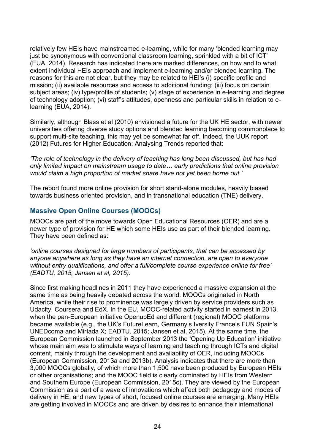relatively few HEIs have mainstreamed e-learning, while for many 'blended learning may just be synonymous with conventional classroom learning, sprinkled with a bit of ICT (EUA, 2014). Research has indicated there are marked differences, on how and to what extent individual HEIs approach and implement e-learning and/or blended learning. The reasons for this are not clear, but they may be related to HEI's (i) specific profile and mission; (ii) available resources and access to additional funding; (iii) focus on certain subject areas; (iv) type/profile of students; (v) stage of experience in e-learning and degree of technology adoption; (vi) staff's attitudes, openness and particular skills in relation to elearning (EUA, 2014).

Similarly, although Blass et al (2010) envisioned a future for the UK HE sector, with newer universities offering diverse study options and blended learning becoming commonplace to support multi-site teaching, this may yet be somewhat far off. Indeed, the UUK report (2012) Futures for Higher Education: Analysing Trends reported that:

*'The role of technology in the delivery of teaching has long been discussed, but has had only limited impact on mainstream usage to date… early predictions that online provision would claim a high proportion of market share have not yet been borne out.'* 

The report found more online provision for short stand-alone modules, heavily biased towards business oriented provision, and in transnational education (TNE) delivery.

#### **Massive Open Online Courses (MOOCs)**

MOOCs are part of the move towards Open Educational Resources (OER) and are a newer type of provision for HE which some HEIs use as part of their blended learning. They have been defined as:

*'online courses designed for large numbers of participants, that can be accessed by anyone anywhere as long as they have an internet connection, are open to everyone without entry qualifications, and offer a full/complete course experience online for free' (EADTU, 2015; Jansen et al, 2015).*

Since first making headlines in 2011 they have experienced a massive expansion at the same time as being heavily debated across the world. MOOCs originated in North America, while their rise to prominence was largely driven by service providers such as Udacity, Coursera and EdX. In the EU, MOOC-related activity started in earnest in 2013, when the pan-European initiative OpenupEd and different (regional) MOOC platforms became available (e.g., the UK's FutureLearn, Germany's Iversity France's FUN Spain's UNEDcoma and Miríada X; EADTU, 2015; Jansen et al, 2015). At the same time, the European Commission launched in September 2013 the 'Opening Up Education' initiative whose main aim was to stimulate ways of learning and teaching through ICTs and digital content, mainly through the development and availability of OER, including MOOCs (European Commission, 2013a and 2013b). Analysis indicates that there are more than 3,000 MOOCs globally, of which more than 1,500 have been produced by European HEIs or other organisations; and the MOOC field is clearly dominated by HEIs from Western and Southern Europe (European Commission, 2015c). They are viewed by the European Commission as a part of a wave of innovations which affect both pedagogy and modes of delivery in HE; and new types of short, focused online courses are emerging. Many HEIs are getting involved in MOOCs and are driven by desires to enhance their international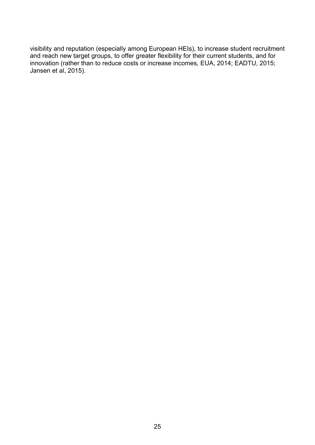visibility and reputation (especially among European HEIs), to increase student recruitment and reach new target groups, to offer greater flexibility for their current students, and for innovation (rather than to reduce costs or increase incomes, EUA, 2014; EADTU, 2015; Jansen et al, 2015).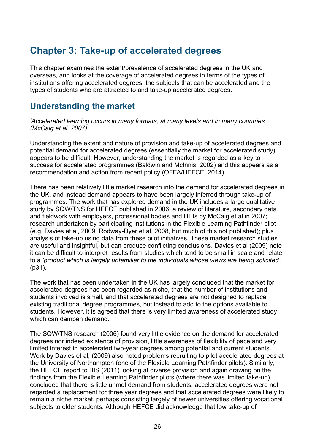# <span id="page-25-0"></span>**Chapter 3: Take-up of accelerated degrees**

This chapter examines the extent/prevalence of accelerated degrees in the UK and overseas, and looks at the coverage of accelerated degrees in terms of the types of institutions offering accelerated degrees, the subjects that can be accelerated and the types of students who are attracted to and take-up accelerated degrees.

# <span id="page-25-1"></span>**Understanding the market**

*'Accelerated learning occurs in many formats, at many levels and in many countries' (McCaig et al, 2007)*

Understanding the extent and nature of provision and take-up of accelerated degrees and potential demand for accelerated degrees (essentially the market for accelerated study) appears to be difficult. However, understanding the market is regarded as a key to success for accelerated programmes (Baldwin and McInnis, 2002) and this appears as a recommendation and action from recent policy (OFFA/HEFCE, 2014).

There has been relatively little market research into the demand for accelerated degrees in the UK, and instead demand appears to have been largely inferred through take-up of programmes. The work that has explored demand in the UK includes a large qualitative study by SQW/TNS for HEFCE published in 2006; a review of literature, secondary data and fieldwork with employers, professional bodies and HEIs by McCaig et al in 2007; research undertaken by participating institutions in the Flexible Learning Pathfinder pilot (e.g. Davies et al, 2009; Rodway-Dyer et al, 2008, but much of this not published); plus analysis of take-up using data from these pilot initiatives. These market research studies are useful and insightful, but can produce conflicting conclusions. Davies et al (2009) note it can be difficult to interpret results from studies which tend to be small in scale and relate to a *'product which is largely unfamiliar to the individuals whose views are being solicited'* (p31).

The work that has been undertaken in the UK has largely concluded that the market for accelerated degrees has been regarded as niche, that the number of institutions and students involved is small, and that accelerated degrees are not designed to replace existing traditional degree programmes, but instead to add to the options available to students. However, it is agreed that there is very limited awareness of accelerated study which can dampen demand.

The SQW/TNS research (2006) found very little evidence on the demand for accelerated degrees nor indeed existence of provision, little awareness of flexibility of pace and very limited interest in accelerated two-year degrees among potential and current students. Work by Davies et al, (2009) also noted problems recruiting to pilot accelerated degrees at the University of Northampton (one of the Flexible Learning Pathfinder pilots). Similarly, the HEFCE report to BIS (2011) looking at diverse provision and again drawing on the findings from the Flexible Learning Pathfinder pilots (where there was limited take-up) concluded that there is little unmet demand from students, accelerated degrees were not regarded a replacement for three year degrees and that accelerated degrees were likely to remain a niche market, perhaps consisting largely of newer universities offering vocational subjects to older students. Although HEFCE did acknowledge that low take-up of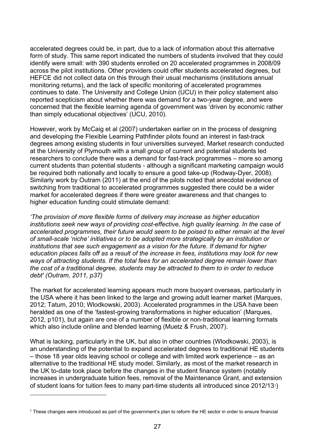accelerated degrees could be, in part, due to a lack of information about this alternative form of study. This same report indicated the numbers of students involved that they could identify were small: with 390 students enrolled on 20 accelerated programmes in 2008/09 across the pilot institutions. Other providers could offer students accelerated degrees, but HEFCE did not collect data on this through their usual mechanisms (institutions annual monitoring returns), and the lack of specific monitoring of accelerated programmes continues to date. The University and College Union (UCU) in their policy statement also reported scepticism about whether there was demand for a two-year degree, and were concerned that the flexible learning agenda of government was 'driven by economic rather than simply educational objectives' (UCU, 2010).

However, work by McCaig et al (2007) undertaken earlier on in the process of designing and developing the Flexible Learning Pathfinder pilots found an interest in fast-track degrees among existing students in four universities surveyed. Market research conducted at the University of Plymouth with a small group of current and potential students led researchers to conclude there was a demand for fast-track programmes – more so among current students than potential students - although a significant marketing campaign would be required both nationally and locally to ensure a good take-up (Rodway-Dyer, 2008). Similarly work by Outram (2011) at the end of the pilots noted that anecdotal evidence of switching from traditional to accelerated programmes suggested there could be a wider market for accelerated degrees if there were greater awareness and that changes to higher education funding could stimulate demand:

*'The provision of more flexible forms of delivery may increase as higher education institutions seek new ways of providing cost-effective, high quality learning. In the case of accelerated programmes, their future would seem to be poised to either remain at the level of small-scale 'niche' initiatives or to be adopted more strategically by an institution or institutions that see such engagement as a vision for the future. If demand for higher education places falls off as a result of the increase in fees, institutions may look for new ways of attracting students. If the total fees for an accelerated degree remain lower than the cost of a traditional degree, students may be attracted to them to in order to reduce debt' (Outram, 2011, p37)*

The market for accelerated learning appears much more buoyant overseas, particularly in the USA where it has been linked to the large and growing adult learner market (Marques, 2012; Tatum, 2010; Wlodkowski, 2003). Accelerated programmes in the USA have been heralded as one of the 'fastest-growing transformations in higher education' (Marques, 2012, p101), but again are one of a number of flexible or non-traditional learning formats which also include online and blended learning (Muetz & Frush, 2007).

What is lacking, particularly in the UK, but also in other countries (Wlodkowski, 2003), is an understanding of the potential to expand accelerated degrees to traditional HE students – those 18 year olds leaving school or college and with limited work experience – as an alternative to the traditional HE study model. Similarly, as most of the market research in the UK to-date took place before the changes in the student finance system (notably increases in undergraduate tuition fees, removal of the Maintenance Grant, and extension of student loans for tuition fees to many part-time students all introduced since 2012/13[1](#page-26-0))

 $\overline{a}$ 

<span id="page-26-0"></span> $1$  These changes were introduced as part of the government's plan to reform the HE sector in order to ensure financial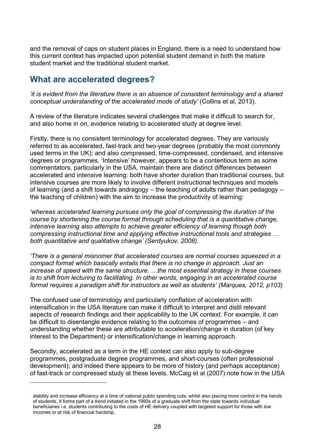and the removal of caps on student places in England, there is a need to understand how this current context has impacted upon potential student demand in both the mature student market and the traditional student market.

# <span id="page-27-0"></span>**What are accelerated degrees?**

 $\overline{a}$ 

*'it is evident from the literature there is an absence of consistent terminology and a shared conceptual understanding of the accelerated mode of study'* (Collins et al, 2013).

A review of the literature indicates several challenges that make it difficult to search for, and also home in on, evidence relating to accelerated study at degree level.

Firstly, there is no consistent terminology for accelerated degrees. They are variously referred to as accelerated, fast-track and two-year degrees (probably the most commonly used terms in the UK); and also compressed, time-compressed, condensed, and intensive degrees or programmes. 'Intensive' however, appears to be a contentious term as some commentators, particularly in the USA, maintain there are distinct differences between accelerated and intensive learning: both have shorter duration than traditional courses, but intensive courses are more likely to involve different instructional techniques and models of learning (and a shift towards andragogy – the teaching of adults rather than pedagogy – the teaching of children) with the aim to increase the productivity of learning:

*'whereas accelerated learning pursues only the goal of compressing the duration of the course by shortening the course format through scheduling that is a quantitative change, intensive learning also attempts to achieve greater efficiency of learning though both compressing instructional time and applying effective instructional tools and strategies … both quantitative and qualitative change' (Serdyukov, 2008).*

*'There is a general misnomer that accelerated courses are normal courses squeezed in a compact format which basically entails that there is no change in approach. Just an increase of speed with the same structure. …the most essential strategy in these courses is to shift from lecturing to facilitating. In other words, engaging in an accelerated course format requires a paradigm shift for instructors as well as students' (Marques, 2012, p103)*

The confused use of terminology and particularly conflation of acceleration with intensification in the USA literature can make it difficult to interpret and distil relevant aspects of research findings and their applicability to the UK context. For example, it can be difficult to disentangle evidence relating to the outcomes of programmes – and understanding whether these are attributable to acceleration/change in duration (of key interest to the Department) or intensification/change in learning approach.

Secondly, accelerated as a term in the HE context can also apply to sub-degree programmes, postgraduate degree programmes, and short-courses (often professional development); and indeed there appears to be more of history (and perhaps acceptance) of fast-track or compressed study at these levels. McCaig et al (2007) note how in the USA

stability and increase efficiency at a time of national public spending cuts; whilst also placing more control in the hands of students. It forms part of a trend initiated in the 1990s of a graduate shift from the state towards individual beneficiaries i.e. students contributing to the costs of HE delivery coupled with targeted support for those with low incomes or at risk of financial hardship.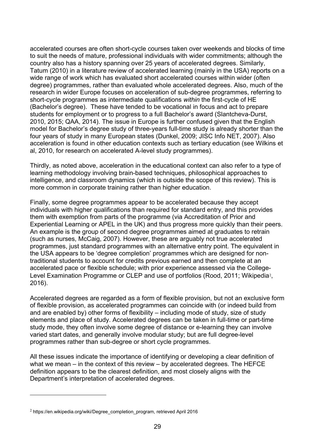accelerated courses are often short-cycle courses taken over weekends and blocks of time to suit the needs of mature, professional individuals with wider commitments; although the country also has a history spanning over 25 years of accelerated degrees. Similarly, Tatum (2010) in a literature review of accelerated learning (mainly in the USA) reports on a wide range of work which has evaluated short accelerated courses within wider (often degree) programmes, rather than evaluated whole accelerated degrees. Also, much of the research in wider Europe focuses on acceleration of sub-degree programmes, referring to short-cycle programmes as intermediate qualifications *within* the first-cycle of HE (Bachelor's degree). These have tended to be vocational in focus and act to prepare students for employment or to progress to a full Bachelor's award (Slantcheva-Durst, 2010, 2015; QAA, 2014). The issue in Europe is further confused given that the English model for Bachelor's degree study of three-years full-time study is already shorter than the four years of study in many European states (Dunkel, 2009; JISC Info NET, 2007). Also acceleration is found in other education contexts such as tertiary education (see Wilkins et al, 2010, for research on accelerated A-level study programmes).

Thirdly, as noted above, acceleration in the educational context can also refer to a type of learning methodology involving brain-based techniques, philosophical approaches to intelligence, and classroom dynamics (which is outside the scope of this review). This is more common in corporate training rather than higher education.

Finally, some degree programmes appear to be accelerated because they accept individuals with higher qualifications than required for standard entry, and this provides them with exemption from parts of the programme (via Accreditation of Prior and Experiential Learning or APEL in the UK) and thus progress more quickly than their peers. An example is the group of second degree programmes aimed at graduates to retrain (such as nurses, McCaig, 2007). However, these are arguably not true accelerated programmes, just standard programmes with an alternative entry point. The equivalent in the USA appears to be 'degree completion' programmes which are designed for nontraditional students to account for credits previous earned and then complete at an accelerated pace or flexible schedule; with prior experience assessed via the College-Level Examination Programme or CLEP and use of portfolios (Rood, [2](#page-28-0)011; Wikipedia<sup>2</sup>, 2016).

Accelerated degrees are regarded as a form of flexible provision, but not an exclusive form of flexible provision, as accelerated programmes can coincide with (or indeed build from and are enabled by) other forms of flexibility – including mode of study, size of study elements and place of study. Accelerated degrees can be taken in full-time or part-time study mode, they often involve some degree of distance or e-learning they can involve varied start dates, and generally involve modular study; but are full degree-level programmes rather than sub-degree or short cycle programmes.

All these issues indicate the importance of identifying or developing a clear definition of what we mean – in the context of this review – by accelerated degrees. The HEFCE definition appears to be the clearest definition, and most closely aligns with the Department's interpretation of accelerated degrees.

 $\overline{a}$ 

<span id="page-28-0"></span><sup>&</sup>lt;sup>2</sup> https://en.wikipedia.org/wiki/Degree\_completion\_program, retrieved April 2016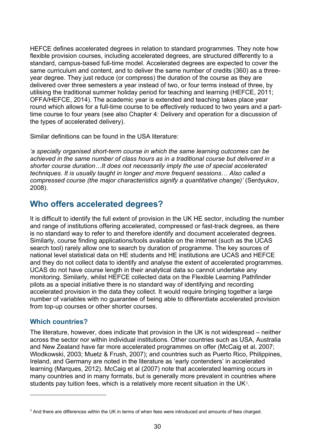HEFCE defines accelerated degrees in relation to standard programmes. They note how flexible provision courses, including accelerated degrees, are structured differently to a standard, campus-based full-time model. Accelerated degrees are expected to cover the same curriculum and content, and to deliver the same number of credits (360) as a threeyear degree. They just reduce (or compress) the duration of the course as they are delivered over three semesters a year instead of two, or four terms instead of three, by utilising the traditional summer holiday period for teaching and learning (HEFCE, 2011; OFFA/HEFCE, 2014). The academic year is extended and teaching takes place year round which allows for a full-time course to be effectively reduced to two years and a parttime course to four years (see also Chapter 4: Delivery and operation for a discussion of the types of accelerated delivery).

Similar definitions can be found in the USA literature:

*'a specially organised short-term course in which the same learning outcomes can be achieved in the same number of class hours as in a traditional course but delivered in a shorter course duration…It does not necessarily imply the use of special accelerated techniques. It is usually taught in longer and more frequent sessions… Also called a compressed course (the major characteristics signify a quantitative change)'* (Serdyukov, 2008).

### <span id="page-29-0"></span>**Who offers accelerated degrees?**

It is difficult to identify the full extent of provision in the UK HE sector, including the number and range of institutions offering accelerated, compressed or fast-track degrees, as there is no standard way to refer to and therefore identify and document accelerated degrees. Similarly, course finding applications/tools available on the internet (such as the UCAS search tool) rarely allow one to search by duration of programme. The key sources of national level statistical data on HE students and HE institutions are UCAS and HEFCE and they do not collect data to identify and analyse the extent of accelerated programmes. UCAS do not have course length in their analytical data so cannot undertake any monitoring. Similarly, whilst HEFCE collected data on the Flexible Learning Pathfinder pilots as a special initiative there is no standard way of identifying and recording accelerated provision in the data they collect. It would require bringing together a large number of variables with no guarantee of being able to differentiate accelerated provision from top-up courses or other shorter courses.

#### **Which countries?**

 $\overline{a}$ 

The literature, however, does indicate that provision in the UK is not widespread – neither across the sector nor within individual institutions. Other countries such as USA, Australia and New Zealand have far more accelerated programmes on offer (McCaig et al, 2007; Wlodkowski, 2003; Muetz & Frush, 2007); and countries such as Puerto Rico, Philippines, Ireland, and Germany are noted in the literature as 'early contenders' in accelerated learning (Marques, 2012). McCaig et al (2007) note that accelerated learning occurs in many countries and in many formats, but is generally more prevalent in countries where students pay tuition fees, which is a relatively more recent situation in the UK<sup>[3](#page-29-1)</sup>.

<span id="page-29-1"></span><sup>&</sup>lt;sup>3</sup> And there are differences within the UK in terms of when fees were introduced and amounts of fees charged.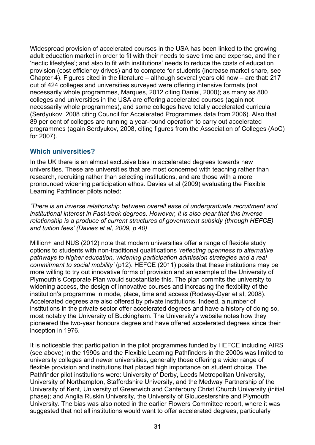Widespread provision of accelerated courses in the USA has been linked to the growing adult education market in order to fit with their needs to save time and expense, and their 'hectic lifestyles'; and also to fit with institutions' needs to reduce the costs of education provision (cost efficiency drives) and to compete for students (increase market share, see Chapter 4). Figures cited in the literature – although several years old now – are that: 217 out of 424 colleges and universities surveyed were offering intensive formats (not necessarily whole programmes, Marques, 2012 citing Daniel, 2000); as many as 800 colleges and universities in the USA are offering accelerated courses (again not necessarily whole programmes), and some colleges have totally accelerated curricula (Serdyukov, 2008 citing Council for Accelerated Programmes data from 2006). Also that 89 per cent of colleges are running a year-round operation to carry out accelerated programmes (again Serdyukov, 2008, citing figures from the Association of Colleges (AoC) for 2007).

#### **Which universities?**

In the UK there is an almost exclusive bias in accelerated degrees towards new universities. These are universities that are most concerned with teaching rather than research, recruiting rather than selecting institutions, and are those with a more pronounced widening participation ethos. Davies et al (2009) evaluating the Flexible Learning Pathfinder pilots noted:

*'There is an inverse relationship between overall ease of undergraduate recruitment and institutional interest in Fast-track degrees. However, it is also clear that this inverse relationship is a produce of current structures of government subsidy (through HEFCE) and tuition fees' (Davies et al, 2009, p 40)*

Million+ and NUS (2012) note that modern universities offer a range of flexible study options to students with non-traditional qualifications *'reflecting openness to alternative pathways to higher education, widening participation admission strategies and a real commitment to social mobility'* (p12). HEFCE (2011) posits that these institutions may be more willing to try out innovative forms of provision and an example of the University of Plymouth's Corporate Plan would substantiate this. The plan commits the university to widening access, the design of innovative courses and increasing the flexibility of the institution's programme in mode, place, time and access (Rodway-Dyer et al, 2008). Accelerated degrees are also offered by private institutions. Indeed, a number of institutions in the private sector offer accelerated degrees and have a history of doing so, most notably the University of Buckingham. The University's website notes how they pioneered the two-year honours degree and have offered accelerated degrees since their inception in 1976.

It is noticeable that participation in the pilot programmes funded by HEFCE including AIRS (see above) in the 1990s and the Flexible Learning Pathfinders in the 2000s was limited to university colleges and newer universities, generally those offering a wider range of flexible provision and institutions that placed high importance on student choice. The Pathfinder pilot institutions were: University of Derby, Leeds Metropolitan University, University of Northampton, Staffordshire University, and the Medway Partnership of the University of Kent, University of Greenwich and Canterbury Christ Church University (initial phase); and Anglia Ruskin University, the University of Gloucestershire and Plymouth University. The bias was also noted in the earlier Flowers Committee report, where it was suggested that not all institutions would want to offer accelerated degrees, particularly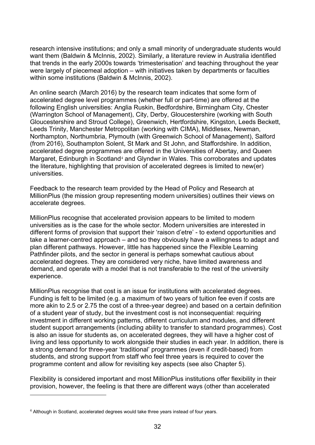research intensive institutions; and only a small minority of undergraduate students would want them (Baldwin & McInnis, 2002). Similarly, a literature review in Australia identified that trends in the early 2000s towards 'trimesterisation' and teaching throughout the year were largely of piecemeal adoption – with initiatives taken by departments or faculties within some institutions (Baldwin & McInnis, 2002).

An online search (March 2016) by the research team indicates that some form of accelerated degree level programmes (whether full or part-time) are offered at the following English universities: Anglia Ruskin, Bedfordshire, Birmingham City, Chester (Warrington School of Management), City, Derby, Gloucestershire (working with South Gloucestershire and Stroud College), Greenwich, Hertfordshire, Kingston, Leeds Beckett, Leeds Trinity, Manchester Metropolitan (working with CIMA), Middlesex, Newman, Northampton, Northumbria, Plymouth (with Greenwich School of Management), Salford (from 2016), Southampton Solent, St Mark and St John, and Staffordshire. In addition, accelerated degree programmes are offered in the Universities of Abertay, and Queen Margaret, Edinburgh in Scotland<sup>[4](#page-31-0)</sup> and Glyndwr in Wales. This corroborates and updates the literature, highlighting that provision of accelerated degrees is limited to new(er) universities.

Feedback to the research team provided by the Head of Policy and Research at MillionPlus (the mission group representing modern universities) outlines their views on accelerate degrees.

MillionPlus recognise that accelerated provision appears to be limited to modern universities as is the case for the whole sector. Modern universities are interested in different forms of provision that support their 'raison d'etre' - to extend opportunities and take a learner-centred approach – and so they obviously have a willingness to adapt and plan different pathways. However, little has happened since the Flexible Learning Pathfinder pilots, and the sector in general is perhaps somewhat cautious about accelerated degrees. They are considered very niche, have limited awareness and demand, and operate with a model that is not transferable to the rest of the university experience.

MillionPlus recognise that cost is an issue for institutions with accelerated degrees. Funding is felt to be limited (e.g. a maximum of two years of tuition fee even if costs are more akin to 2.5 or 2.75 the cost of a three-year degree) and based on a certain definition of a student year of study, but the investment cost is not inconsequential: requiring investment in different working patterns, different curriculum and modules, and different student support arrangements (including ability to transfer to standard programmes). Cost is also an issue for students as, on accelerated degrees, they will have a higher cost of living and less opportunity to work alongside their studies in each year. In addition, there is a strong demand for three-year 'traditional' programmes (even if credit-based) from students, and strong support from staff who feel three years is required to cover the programme content and allow for revisiting key aspects (see also Chapter 5).

Flexibility is considered important and most MillionPlus institutions offer flexibility in their provision, however, the feeling is that there are different ways (other than accelerated

 $\overline{a}$ 

<span id="page-31-0"></span><sup>4</sup> Although in Scotland, accelerated degrees would take three years instead of four years.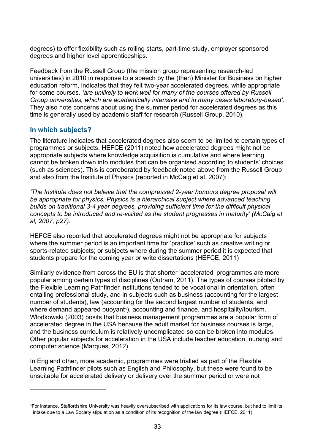degrees) to offer flexibility such as rolling starts, part-time study, employer sponsored degrees and higher level apprenticeships.

Feedback from the Russell Group (the mission group representing research-led universities) in 2010 in response to a speech by the (then) Minister for Business on higher education reform, indicates that they felt two-year accelerated degrees, while appropriate for some courses*, 'are unlikely to work well for many of the courses offered by Russell Group universities, which are academically intensive and in many cases laboratory-based'.* They also note concerns about using the summer period for accelerated degrees as this time is generally used by academic staff for research (Russell Group, 2010).

#### **In which subjects?**

 $\overline{a}$ 

The literature indicates that accelerated degrees also seem to be limited to certain types of programmes or subjects. HEFCE (2011) noted how accelerated degrees might not be appropriate subjects where knowledge acquisition is cumulative and where learning cannot be broken down into modules that can be organised according to students' choices (such as sciences). This is corroborated by feedback noted above from the Russell Group and also from the Institute of Physics (reported in McCaig et al, 2007):

*'The Institute does not believe that the compressed 2-year honours degree proposal will be appropriate for physics. Physics is a hierarchical subject where advanced teaching builds on traditional 3-4 year degrees, providing sufficient time for the difficult physical concepts to be introduced and re-visited as the student progresses in maturity' (McCaig et al, 2007, p27).*

HEFCE also reported that accelerated degrees might not be appropriate for subjects where the summer period is an important time for 'practice' such as creative writing or sports-related subjects; or subjects where during the summer period it is expected that students prepare for the coming year or write dissertations (HEFCE, 2011)

Similarly evidence from across the EU is that shorter 'accelerated' programmes are more popular among certain types of disciplines (Outram, 2011). The types of courses piloted by the Flexible Learning Pathfinder institutions tended to be vocational in orientation, often entailing professional study, and in subjects such as business (accounting for the largest number of students), law (accounting for the second largest number of students, and where demand appeared buoyant<sup> $5$ </sup>), accounting and finance, and hospitality/tourism. Wlodkowski (2003) posits that business management programmes are a popular form of accelerated degree in the USA because the adult market for business courses is large, and the business curriculum is relatively uncomplicated so can be broken into modules. Other popular subjects for acceleration in the USA include teacher education, nursing and computer science (Marques, 2012).

In England other, more academic, programmes were trialled as part of the Flexible Learning Pathfinder pilots such as English and Philosophy, but these were found to be unsuitable for accelerated delivery or delivery over the summer period or were not

<span id="page-32-0"></span><sup>5</sup>For instance, Staffordshire University was heavily oversubscribed with applications for its law course, but had to limit its intake due to a Law Society stipulation as a condition of its recognition of the law degree (HEFCE, 2011)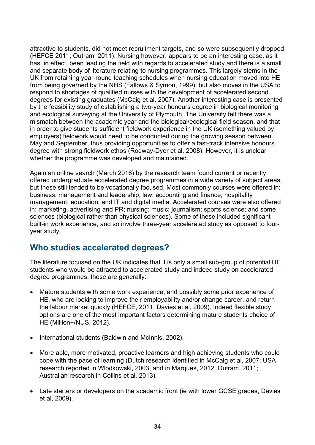attractive to students, did not meet recruitment targets, and so were subsequently dropped (HEFCE 2011; Outram, 2011). Nursing however, appears to be an interesting case, as it has, in effect, been leading the field with regards to accelerated study and there is a small and separate body of literature relating to nursing programmes. This largely stems in the UK from retaining year-round teaching schedules when nursing education moved into HE from being governed by the NHS (Fallows & Symon, 1999), but also moves in the USA to respond to shortages of qualified nurses with the development of accelerated second degrees for existing graduates (McCaig et al, 2007). Another interesting case is presented by the feasibility study of establishing a two-year honours degree in biological monitoring and ecological surveying at the University of Plymouth. The University felt there was a mismatch between the academic year and the biological/ecological field season, and that in order to give students sufficient fieldwork experience in the UK (something valued by employers) fieldwork would need to be conducted during the growing season between May and September, thus providing opportunities to offer a fast-track intensive honours degree with strong fieldwork ethos (Rodway-Dyer et al, 2008). However, it is unclear whether the programme was developed and maintained.

Again an online search (March 2016) by the research team found current or recently offered undergraduate accelerated degree programmes in a wide variety of subject areas, but these still tended to be vocationally focused. Most commonly courses were offered in: business, management and leadership; law; accounting and finance; hospitality management; education; and IT and digital media. Accelerated courses were also offered in: marketing, advertising and PR; nursing; music; journalism; sports science; and some sciences (biological rather than physical sciences). Some of these included significant built-in work experience, and so involve three-year accelerated study as opposed to fouryear study.

# <span id="page-33-0"></span>**Who studies accelerated degrees?**

The literature focused on the UK indicates that it is only a small sub-group of potential HE students who would be attracted to accelerated study and indeed study on accelerated degree programmes: these are generally:

- Mature students with some work experience, and possibly some prior experience of HE, who are looking to improve their employability and/or change career, and return the labour market quickly (HEFCE, 2011, Davies et al, 2009). Indeed flexible study options are one of the most important factors determining mature students choice of HE (Million+/NUS, 2012).
- International students (Baldwin and McInnis, 2002).
- More able, more motivated, proactive learners and high achieving students who could cope with the pace of learning (Dutch research identified in McCaig et al, 2007; USA research reported in Wlodkowski, 2003, and in Marques, 2012; Outram, 2011; Australian research in Collins et al, 2013).
- Late starters or developers on the academic front (ie with lower GCSE grades, Davies et al, 2009).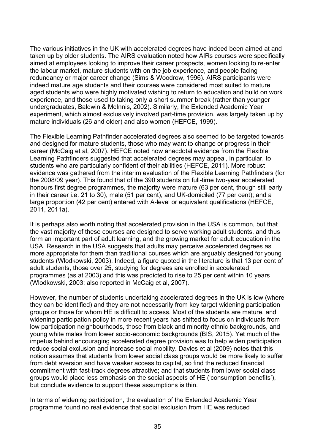The various initiatives in the UK with accelerated degrees have indeed been aimed at and taken up by older students. The AIRS evaluation noted how AIRs courses were specifically aimed at employees looking to improve their career prospects, women looking to re-enter the labour market, mature students with on the job experience, and people facing redundancy or major career change (Sims & Woodrow, 1996). AIRS participants were indeed mature age students and their courses were considered most suited to mature aged students who were highly motivated wishing to return to education and build on work experience, and those used to taking only a short summer break (rather than younger undergraduates, Baldwin & McInnis, 2002). Similarly, the Extended Academic Year experiment, which almost exclusively involved part-time provision, was largely taken up by mature individuals (26 and older) and also women (HEFCE, 1999).

The Flexible Learning Pathfinder accelerated degrees also seemed to be targeted towards and designed for mature students, those who may want to change or progress in their career (McCaig et al, 2007). HEFCE noted how anecdotal evidence from the Flexible Learning Pathfinders suggested that accelerated degrees may appeal, in particular, to students who are particularly confident of their abilities (HEFCE, 2011). More robust evidence was gathered from the interim evaluation of the Flexible Learning Pathfinders (for the 2008/09 year). This found that of the 390 students on full-time two-year accelerated honours first degree programmes, the majority were mature (63 per cent, though still early in their career i.e. 21 to 30), male (51 per cent), and UK-domiciled (77 per cent); and a large proportion (42 per cent) entered with A-level or equivalent qualifications (HEFCE, 2011, 2011a).

It is perhaps also worth noting that accelerated provision in the USA is common, but that the vast majority of these courses are designed to serve working adult students, and thus form an important part of adult learning, and the growing market for adult education in the USA. Research in the USA suggests that adults may perceive accelerated degrees as more appropriate for them than traditional courses which are arguably designed for young students (Wlodkowski, 2003). Indeed, a figure quoted in the literature is that 13 per cent of adult students, those over 25, studying for degrees are enrolled in accelerated programmes (as at 2003) and this was predicted to rise to 25 per cent within 10 years (Wlodkowski, 2003; also reported in McCaig et al, 2007).

However, the number of students undertaking accelerated degrees in the UK is low (where they can be identified) and they are not necessarily from key target widening participation groups or those for whom HE is difficult to access. Most of the students are mature, and widening participation policy in more recent years has shifted to focus on individuals from low participation neighbourhoods, those from black and minority ethnic backgrounds, and young white males from lower socio-economic backgrounds (BIS, 2015). Yet much of the impetus behind encouraging accelerated degree provision was to help widen participation, reduce social exclusion and increase social mobility. Davies et al (2009) notes that this notion assumes that students from lower social class groups would be more likely to suffer from debt aversion and have weaker access to capital, so find the reduced financial commitment with fast-track degrees attractive; and that students from lower social class groups would place less emphasis on the social aspects of HE ('consumption benefits'), but conclude evidence to support these assumptions is thin.

In terms of widening participation, the evaluation of the Extended Academic Year programme found no real evidence that social exclusion from HE was reduced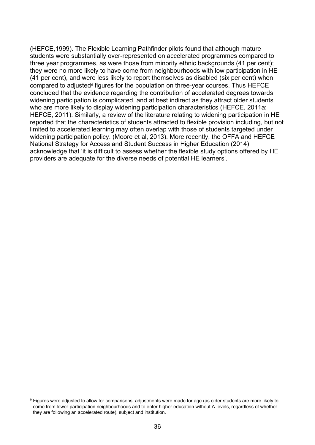(HEFCE,1999). The Flexible Learning Pathfinder pilots found that although mature students were substantially over-represented on accelerated programmes compared to three year programmes, as were those from minority ethnic backgrounds (41 per cent); they were no more likely to have come from neighbourhoods with low participation in HE (41 per cent), and were less likely to report themselves as disabled (six per cent) when compared to adjusted<sup>[6](#page-35-0)</sup> figures for the population on three-year courses. Thus HEFCE concluded that the evidence regarding the contribution of accelerated degrees towards widening participation is complicated, and at best indirect as they attract older students who are more likely to display widening participation characteristics (HEFCE, 2011a; HEFCE, 2011). Similarly, a review of the literature relating to widening participation in HE reported that the characteristics of students attracted to flexible provision including, but not limited to accelerated learning may often overlap with those of students targeted under widening participation policy. (Moore et al, 2013). More recently, the OFFA and HEFCE National Strategy for Access and Student Success in Higher Education (2014) acknowledge that 'it is difficult to assess whether the flexible study options offered by HE providers are adequate for the diverse needs of potential HE learners'.

 $\overline{a}$ 

<span id="page-35-0"></span> $6$  Figures were adjusted to allow for comparisons, adjustments were made for age (as older students are more likely to come from lower-participation neighbourhoods and to enter higher education without A-levels, regardless of whether they are following an accelerated route), subject and institution.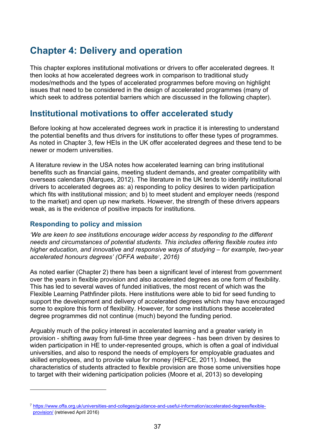# **Chapter 4: Delivery and operation**

This chapter explores institutional motivations or drivers to offer accelerated degrees. It then looks at how accelerated degrees work in comparison to traditional study modes/methods and the types of accelerated programmes before moving on highlight issues that need to be considered in the design of accelerated programmes (many of which seek to address potential barriers which are discussed in the following chapter).

# **Institutional motivations to offer accelerated study**

Before looking at how accelerated degrees work in practice it is interesting to understand the potential benefits and thus drivers for institutions to offer these types of programmes. As noted in Chapter 3, few HEIs in the UK offer accelerated degrees and these tend to be newer or modern universities.

A literature review in the USA notes how accelerated learning can bring institutional benefits such as financial gains, meeting student demands, and greater compatibility with overseas calendars (Marques, 2012). The literature in the UK tends to identify institutional drivers to accelerated degrees as: a) responding to policy desires to widen participation which fits with institutional mission; and b) to meet student and employer needs (respond to the market) and open up new markets. However, the strength of these drivers appears weak, as is the evidence of positive impacts for institutions.

# **Responding to policy and mission**

 $\overline{a}$ 

*'We are keen to see institutions encourage wider access by responding to the different needs and circumstances of potential students. This includes offering flexible routes into higher education, and innovative and responsive ways of studying – for example, two-year accelerated honours degrees' (OFFA website[7](#page-36-0), 2016)*

As noted earlier (Chapter 2) there has been a significant level of interest from government over the years in flexible provision and also accelerated degrees as one form of flexibility. This has led to several waves of funded initiatives, the most recent of which was the Flexible Learning Pathfinder pilots. Here institutions were able to bid for seed funding to support the development and delivery of accelerated degrees which may have encouraged some to explore this form of flexibility. However, for some institutions these accelerated degree programmes did not continue (much) beyond the funding period.

Arguably much of the policy interest in accelerated learning and a greater variety in provision - shifting away from full-time three year degrees - has been driven by desires to widen participation in HE to under-represented groups, which is often a goal of individual universities, and also to respond the needs of employers for employable graduates and skilled employees, and to provide value for money (HEFCE, 2011). Indeed, the characteristics of students attracted to flexible provision are those some universities hope to target with their widening participation policies (Moore et al, 2013) so developing

<span id="page-36-0"></span><sup>7</sup> [https://www.offa.org.uk/universities-and-colleges/guidance-and-useful-information/accelerated-degreesflexible](https://www.offa.org.uk/universities-and-colleges/guidance-and-useful-information/accelerated-degreesflexible-provision/)[provision/](https://www.offa.org.uk/universities-and-colleges/guidance-and-useful-information/accelerated-degreesflexible-provision/) (retrieved April 2016)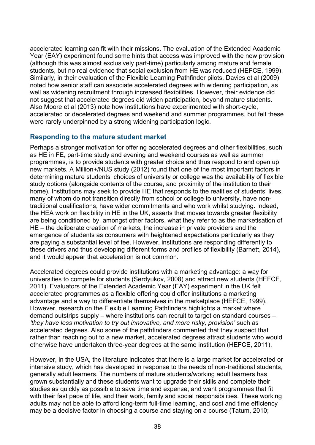accelerated learning can fit with their missions. The evaluation of the Extended Academic Year (EAY) experiment found some hints that access was improved with the new provision (although this was almost exclusively part-time) particularly among mature and female students, but no real evidence that social exclusion from HE was reduced (HEFCE, 1999). Similarly, in their evaluation of the Flexible Learning Pathfinder pilots, Davies et al (2009) noted how senior staff can associate accelerated degrees with widening participation, as well as widening recruitment through increased flexibilities. However, their evidence did not suggest that accelerated degrees did widen participation, beyond mature students. Also Moore et al (2013) note how institutions have experimented with short-cycle, accelerated or decelerated degrees and weekend and summer programmes, but felt these were rarely underpinned by a strong widening participation logic.

# **Responding to the mature student market**

Perhaps a stronger motivation for offering accelerated degrees and other flexibilities, such as HE in FE, part-time study and evening and weekend courses as well as summer programmes, is to provide students with greater choice and thus respond to and open up new markets. A Million+/NUS study (2012) found that one of the most important factors in determining mature students' choices of university or college was the availability of flexible study options (alongside contents of the course, and proximity of the institution to their home). Institutions may seek to provide HE that responds to the realities of students' lives, many of whom do not transition directly from school or college to university, have nontraditional qualifications, have wider commitments and who work whilst studying. Indeed, the HEA work on flexibility in HE in the UK, asserts that moves towards greater flexibility are being conditioned by, amongst other factors, what they refer to as the marketisation of HE – the deliberate creation of markets, the increase in private providers and the emergence of students as consumers with heightened expectations particularly as they are paying a substantial level of fee. However, institutions are responding differently to these drivers and thus developing different forms and profiles of flexibility (Barnett, 2014), and it would appear that acceleration is not common.

Accelerated degrees could provide institutions with a marketing advantage: a way for universities to compete for students (Serdyukov, 2008) and attract new students (HEFCE, 2011). Evaluators of the Extended Academic Year (EAY) experiment in the UK felt accelerated programmes as a flexible offering could offer institutions a marketing advantage and a way to differentiate themselves in the marketplace (HEFCE, 1999). However, research on the Flexible Learning Pathfinders highlights a market where demand outstrips supply – where institutions can recruit to target on standard courses – *'they have less motivation to try out innovative, and more risky, provision'* such as accelerated degrees. Also some of the pathfinders commented that they suspect that rather than reaching out to a new market, accelerated degrees attract students who would otherwise have undertaken three-year degrees at the same institution (HEFCE, 2011).

However, in the USA, the literature indicates that there is a large market for accelerated or intensive study, which has developed in response to the needs of non-traditional students, generally adult learners. The numbers of mature students/working adult learners has grown substantially and these students want to upgrade their skills and complete their studies as quickly as possible to save time and expense; and want programmes that fit with their fast pace of life, and their work, family and social responsibilities. These working adults may not be able to afford long-term full-time learning, and cost and time efficiency may be a decisive factor in choosing a course and staying on a course (Tatum, 2010;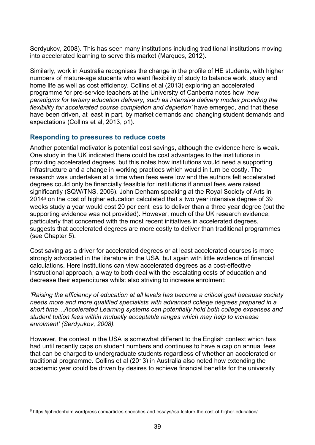Serdyukov, 2008). This has seen many institutions including traditional institutions moving into accelerated learning to serve this market (Marques, 2012).

Similarly, work in Australia recognises the change in the profile of HE students, with higher numbers of mature-age students who want flexibility of study to balance work, study and home life as well as cost efficiency. Collins et al (2013) exploring an accelerated programme for pre-service teachers at the University of Canberra notes how *'new paradigms for tertiary education delivery, such as intensive delivery modes providing the flexibility for accelerated course completion and depletion'* have emerged, and that these have been driven, at least in part, by market demands and changing student demands and expectations (Collins et al, 2013, p1).

# **Responding to pressures to reduce costs**

Another potential motivator is potential cost savings, although the evidence here is weak. One study in the UK indicated there could be cost advantages to the institutions in providing accelerated degrees, but this notes how institutions would need a supporting infrastructure and a change in working practices which would in turn be costly. The research was undertaken at a time when fees were low and the authors felt accelerated degrees could only be financially feasible for institutions if annual fees were raised significantly (SQW/TNS, 2006). John Denham speaking at the Royal Society of Arts in 2014[8](#page-38-0) on the cost of higher education calculated that a two year intensive degree of 39 weeks study a year would cost 20 per cent less to deliver than a three year degree (but the supporting evidence was not provided). However, much of the UK research evidence, particularly that concerned with the most recent initiatives in accelerated degrees, suggests that accelerated degrees are more costly to deliver than traditional programmes (see Chapter 5).

Cost saving as a driver for accelerated degrees or at least accelerated courses is more strongly advocated in the literature in the USA, but again with little evidence of financial calculations. Here institutions can view accelerated degrees as a cost-effective instructional approach, a way to both deal with the escalating costs of education and decrease their expenditures whilst also striving to increase enrolment:

*'Raising the efficiency of education at all levels has become a critical goal because society needs more and more qualified specialists with advanced college degrees prepared in a short time…Accelerated Learning systems can potentially hold both college expenses and student tuition fees within mutually acceptable ranges which may help to increase enrolment' (Serdyukov, 2008).* 

However, the context in the USA is somewhat different to the English context which has had until recently caps on student numbers and continues to have a cap on annual fees that can be charged to undergraduate students regardless of whether an accelerated or traditional programme. Collins et al (2013) in Australia also noted how extending the academic year could be driven by desires to achieve financial benefits for the university

 $\overline{a}$ 

<span id="page-38-0"></span><sup>8</sup> https://johndenham.wordpress.com/articles-speeches-and-essays/rsa-lecture-the-cost-of-higher-education/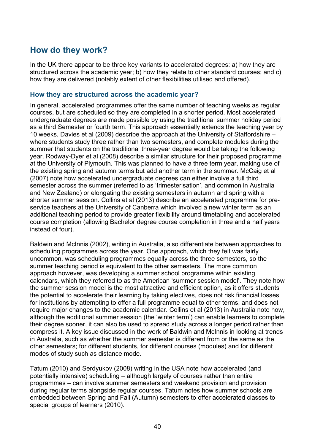# **How do they work?**

In the UK there appear to be three key variants to accelerated degrees: a) how they are structured across the academic year; b) how they relate to other standard courses; and c) how they are delivered (notably extent of other flexibilities utilised and offered).

# **How they are structured across the academic year?**

In general, accelerated programmes offer the same number of teaching weeks as regular courses, but are scheduled so they are completed in a shorter period. Most accelerated undergraduate degrees are made possible by using the traditional summer holiday period as a third Semester or fourth term. This approach essentially extends the teaching year by 10 weeks. Davies et al (2009) describe the approach at the University of Staffordshire – where students study three rather than two semesters, and complete modules during the summer that students on the traditional three-year degree would be taking the following year. Rodway-Dyer et al (2008) describe a similar structure for their proposed programme at the University of Plymouth. This was planned to have a three term year, making use of the existing spring and autumn terms but add another term in the summer. McCaig et al (2007) note how accelerated undergraduate degrees can either involve a full third semester across the summer (referred to as 'trimesterisation', and common in Australia and New Zealand) or elongating the existing semesters in autumn and spring with a shorter summer session. Collins et al (2013) describe an accelerated programme for preservice teachers at the University of Canberra which involved a new winter term as an additional teaching period to provide greater flexibility around timetabling and accelerated course completion (allowing Bachelor degree course completion in three and a half years instead of four).

Baldwin and McInnis (2002), writing in Australia, also differentiate between approaches to scheduling programmes across the year. One approach, which they felt was fairly uncommon, was scheduling programmes equally across the three semesters, so the summer teaching period is equivalent to the other semesters. The more common approach however, was developing a summer school programme within existing calendars, which they referred to as the American 'summer session model'. They note how the summer session model is the most attractive and efficient option, as it offers students the potential to accelerate their learning by taking electives, does not risk financial losses for institutions by attempting to offer a full programme equal to other terms, and does not require major changes to the academic calendar. Collins et al (2013) in Australia note how, although the additional summer session (the 'winter term') can enable learners to complete their degree sooner, it can also be used to spread study across a longer period rather than compress it. A key issue discussed in the work of Baldwin and McInnis in looking at trends in Australia, such as whether the summer semester is different from or the same as the other semesters; for different students, for different courses (modules) and for different modes of study such as distance mode.

Tatum (2010) and Serdyukov (2008) writing in the USA note how accelerated (and potentially intensive) scheduling – although largely of courses rather than entire programmes – can involve summer semesters and weekend provision and provision during regular terms alongside regular courses. Tatum notes how summer schools are embedded between Spring and Fall (Autumn) semesters to offer accelerated classes to special groups of learners (2010).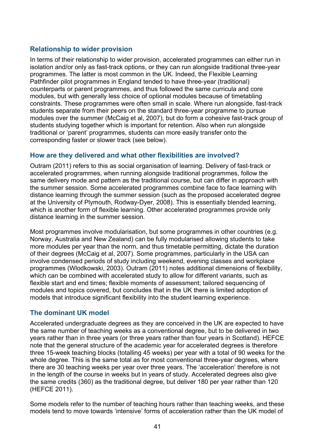# **Relationship to wider provision**

In terms of their relationship to wider provision, accelerated programmes can either run in isolation and/or only as fast-track options, or they can run alongside traditional three-year programmes. The latter is most common in the UK. Indeed, the Flexible Learning Pathfinder pilot programmes in England tended to have three-year (traditional) counterparts or parent programmes, and thus followed the same curricula and core modules, but with generally less choice of optional modules because of timetabling constraints. These programmes were often small in scale. Where run alongside, fast-track students separate from their peers on the standard three-year programme to pursue modules over the summer (McCaig et al, 2007), but do form a cohesive fast-track group of students studying together which is important for retention. Also when run alongside traditional or 'parent' programmes, students can more easily transfer onto the corresponding faster or slower track (see below).

# **How are they delivered and what other flexibilities are involved?**

Outram (2011) refers to this as social organisation of learning. Delivery of fast-track or accelerated programmes, when running alongside traditional programmes, follow the same delivery mode and pattern as the traditional course, but can differ in approach with the summer session. Some accelerated programmes combine face to face learning with distance learning through the summer session (such as the proposed accelerated degree at the University of Plymouth, Rodway-Dyer, 2008). This is essentially blended learning, which is another form of flexible learning. Other accelerated programmes provide only distance learning in the summer session.

Most programmes involve modularisation, but some programmes in other countries (e.g. Norway, Australia and New Zealand) can be fully modularised allowing students to take more modules per year than the norm, and thus timetable permitting, dictate the duration of their degrees (McCaig et al, 2007). Some programmes, particularly in the USA can involve condensed periods of study including weekend, evening classes and workplace programmes (Wlodkowski, 2003). Outram (2011) notes additional dimensions of flexibility, which can be combined with accelerated study to allow for different variants, such as flexible start and end times; flexible moments of assessment; tailored sequencing of modules and topics covered, but concludes that in the UK there is limited adoption of models that introduce significant flexibility into the student learning experience.

# **The dominant UK model**

Accelerated undergraduate degrees as they are conceived in the UK are expected to have the same number of teaching weeks as a conventional degree, but to be delivered in two years rather than in three years (or three years rather than four years in Scotland). HEFCE note that the general structure of the academic year for accelerated degrees is therefore three 15-week teaching blocks (totalling 45 weeks) per year with a total of 90 weeks for the whole degree. This is the same total as for most conventional three-year degrees, where there are 30 teaching weeks per year over three years. The 'acceleration' therefore is not in the length of the course in weeks but in years of study. Accelerated degrees also give the same credits (360) as the traditional degree, but deliver 180 per year rather than 120 (HEFCE 2011).

Some models refer to the number of teaching hours rather than teaching weeks, and these models tend to move towards 'intensive' forms of acceleration rather than the UK model of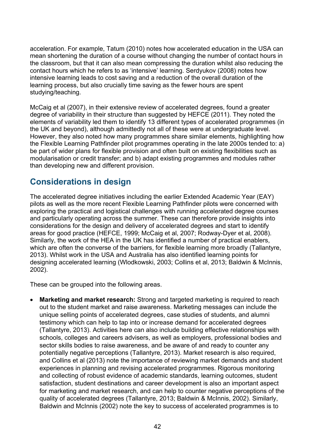acceleration. For example, Tatum (2010) notes how accelerated education in the USA can mean shortening the duration of a course without changing the number of contact hours in the classroom, but that it can also mean compressing the duration whilst also reducing the contact hours which he refers to as 'intensive' learning. Serdyukov (2008) notes how intensive learning leads to cost saving and a reduction of the overall duration of the learning process, but also crucially time saving as the fewer hours are spent studying/teaching.

McCaig et al (2007), in their extensive review of accelerated degrees, found a greater degree of variability in their structure than suggested by HEFCE (2011). They noted the elements of variability led them to identify 13 different types of accelerated programmes (in the UK and beyond), although admittedly not all of these were at undergraduate level. However, they also noted how many programmes share similar elements, highlighting how the Flexible Learning Pathfinder pilot programmes operating in the late 2000s tended to: a) be part of wider plans for flexible provision and often built on existing flexibilities such as modularisation or credit transfer; and b) adapt existing programmes and modules rather than developing new and different provision.

# **Considerations in design**

The accelerated degree initiatives including the earlier Extended Academic Year (EAY) pilots as well as the more recent Flexible Learning Pathfinder pilots were concerned with exploring the practical and logistical challenges with running accelerated degree courses and particularly operating across the summer. These can therefore provide insights into considerations for the design and delivery of accelerated degrees and start to identify areas for good practice (HEFCE, 1999; McCaig et al, 2007; Rodway-Dyer et al, 2008). Similarly, the work of the HEA in the UK has identified a number of practical enablers, which are often the converse of the barriers, for flexible learning more broadly (Tallantyre, 2013). Whilst work in the USA and Australia has also identified learning points for designing accelerated learning (Wlodkowski, 2003; Collins et al, 2013; Baldwin & McInnis, 2002).

These can be grouped into the following areas.

**Marketing and market research:** Strong and targeted marketing is required to reach out to the student market and raise awareness. Marketing messages can include the unique selling points of accelerated degrees, case studies of students, and alumni testimony which can help to tap into or increase demand for accelerated degrees (Tallantyre, 2013). Activities here can also include building effective relationships with schools, colleges and careers advisers, as well as employers, professional bodies and sector skills bodies to raise awareness, and be aware of and ready to counter any potentially negative perceptions (Tallantyre, 2013). Market research is also required, and Collins et al (2013) note the importance of reviewing market demands and student experiences in planning and revising accelerated programmes. Rigorous monitoring and collecting of robust evidence of academic standards, learning outcomes, student satisfaction, student destinations and career development is also an important aspect for marketing and market research, and can help to counter negative perceptions of the quality of accelerated degrees (Tallantyre, 2013; Baldwin & McInnis, 2002). Similarly, Baldwin and McInnis (2002) note the key to success of accelerated programmes is to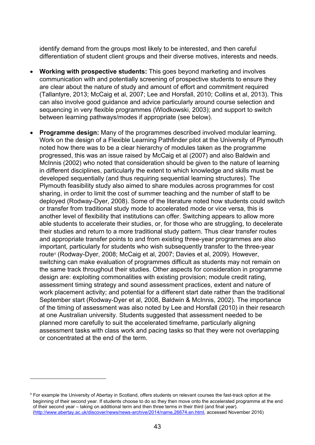identify demand from the groups most likely to be interested, and then careful differentiation of student client groups and their diverse motives, interests and needs.

- **Working with prospective students:** This goes beyond marketing and involves communication with and potentially screening of prospective students to ensure they are clear about the nature of study and amount of effort and commitment required (Tallantyre, 2013; McCaig et al, 2007; Lee and Horsfall, 2010; Collins et al, 2013). This can also involve good guidance and advice particularly around course selection and sequencing in very flexible programmes (Wlodkowski, 2003); and support to switch between learning pathways/modes if appropriate (see below).
- **Programme design:** Many of the programmes described involved modular learning. Work on the design of a Flexible Learning Pathfinder pilot at the University of Plymouth noted how there was to be a clear hierarchy of modules taken as the programme progressed, this was an issue raised by McCaig et al (2007) and also Baldwin and McInnis (2002) who noted that consideration should be given to the nature of learning in different disciplines, particularly the extent to which knowledge and skills must be developed sequentially (and thus requiring sequential learning structures). The Plymouth feasibility study also aimed to share modules across programmes for cost sharing, in order to limit the cost of summer teaching and the number of staff to be deployed (Rodway-Dyer, 2008). Some of the literature noted how students could switch or transfer from traditional study mode to accelerated mode or vice versa, this is another level of flexibility that institutions can offer. Switching appears to allow more able students to accelerate their studies, or, for those who are struggling, to decelerate their studies and return to a more traditional study pattern. Thus clear transfer routes and appropriate transfer points to and from existing three-year programmes are also important, particularly for students who wish subsequently transfer to the three-year route<sup>[9](#page-42-0)</sup> (Rodway-Dyer, 2008; McCaig et al, 2007; Davies et al, 2009). However, switching can make evaluation of programmes difficult as students may not remain on the same track throughout their studies. Other aspects for consideration in programme design are: exploiting commonalities with existing provision; module credit rating, assessment timing strategy and sound assessment practices, extent and nature of work placement activity; and potential for a different start date rather than the traditional September start (Rodway-Dyer et al, 2008, Baldwin & McInnis, 2002). The importance of the timing of assessment was also noted by Lee and Horsfall (2010) in their research at one Australian university. Students suggested that assessment needed to be planned more carefully to suit the accelerated timeframe, particularly aligning assessment tasks with class work and pacing tasks so that they were not overlapping or concentrated at the end of the term.

 $\overline{a}$ 

<span id="page-42-0"></span><sup>9</sup> For example the University of Abertay in Scotland, offers students on relevant courses the fast-track option at the beginning of their second year. If students choose to do so they then move onto the accelerated programme at the end of their second year – taking on additional term and then three terms in their third (and final year). [\(http://www.abertay.ac.uk/discover/news/news-archive/2014/name,26674,en.html,](http://www.abertay.ac.uk/discover/news/news-archive/2014/name,26674,en.html) accessed November 2016)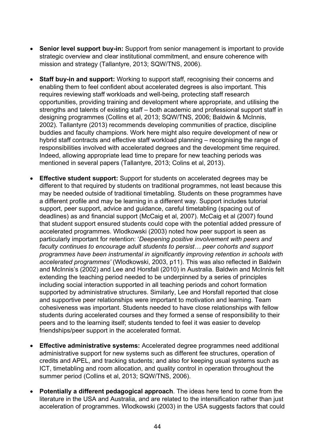- **Senior level support buy-in:** Support from senior management is important to provide strategic overview and clear institutional commitment, and ensure coherence with mission and strategy (Tallantyre, 2013; SQW/TNS, 2006).
- **Staff buy-in and support:** Working to support staff, recognising their concerns and enabling them to feel confident about accelerated degrees is also important. This requires reviewing staff workloads and well-being, protecting staff research opportunities, providing training and development where appropriate, and utilising the strengths and talents of existing staff – both academic and professional support staff in designing programmes (Collins et al, 2013; SQW/TNS, 2006; Baldwin & McInnis, 2002). Tallantyre (2013) recommends developing communities of practice, discipline buddies and faculty champions. Work here might also require development of new or hybrid staff contracts and effective staff workload planning – recognising the range of responsibilities involved with accelerated degrees and the development time required. Indeed, allowing appropriate lead time to prepare for new teaching periods was mentioned in several papers (Tallantyre, 2013; Colins et al, 2013).
- **Effective student support:** Support for students on accelerated degrees may be different to that required by students on traditional programmes, not least because this may be needed outside of traditional timetabling. Students on these programmes have a different profile and may be learning in a different way. Support includes tutorial support, peer support, advice and guidance, careful timetabling (spacing out of deadlines) as and financial support (McCaig et al, 2007). McCaig et al (2007) found that student support ensured students could cope with the potential added pressure of accelerated programmes. Wlodkowski (2003) noted how peer support is seen as particularly important for retention: '*Deepening positive involvement with peers and faculty continues to encourage adult students to persist… peer cohorts and support programmes have been instrumental in significantly improving retention in schools with accelerated programmes'* (Wlodkowski, 2003, p11). This was also reflected in Baldwin and McInnis's (2002) and Lee and Horsfall (2010) in Australia. Baldwin and McInnis felt extending the teaching period needed to be underpinned by a series of principles including social interaction supported in all teaching periods and cohort formation supported by administrative structures. Similarly, Lee and Horsfall reported that close and supportive peer relationships were important to motivation and learning. Team cohesiveness was important. Students needed to have close relationships with fellow students during accelerated courses and they formed a sense of responsibility to their peers and to the learning itself; students tended to feel it was easier to develop friendships/peer support in the accelerated format.
- **Effective administrative systems:** Accelerated degree programmes need additional administrative support for new systems such as different fee structures, operation of credits and APEL, and tracking students; and also for keeping usual systems such as ICT, timetabling and room allocation, and quality control in operation throughout the summer period (Collins et al, 2013; SQW/TNS, 2006).
- **Potentially a different pedagogical approach**. The ideas here tend to come from the literature in the USA and Australia, and are related to the intensification rather than just acceleration of programmes. Wlodkowski (2003) in the USA suggests factors that could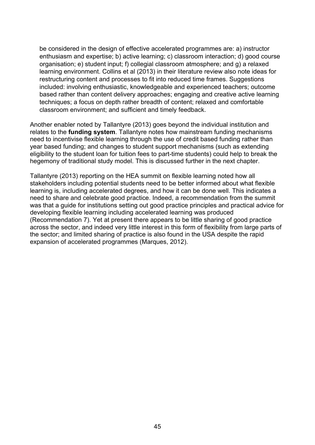be considered in the design of effective accelerated programmes are: a) instructor enthusiasm and expertise; b) active learning; c) classroom interaction; d) good course organisation; e) student input; f) collegial classroom atmosphere; and g) a relaxed learning environment. Collins et al (2013) in their literature review also note ideas for restructuring content and processes to fit into reduced time frames. Suggestions included: involving enthusiastic, knowledgeable and experienced teachers; outcome based rather than content delivery approaches; engaging and creative active learning techniques; a focus on depth rather breadth of content; relaxed and comfortable classroom environment; and sufficient and timely feedback.

Another enabler noted by Tallantyre (2013) goes beyond the individual institution and relates to the **funding system**. Tallantyre notes how mainstream funding mechanisms need to incentivise flexible learning through the use of credit based funding rather than year based funding; and changes to student support mechanisms (such as extending eligibility to the student loan for tuition fees to part-time students) could help to break the hegemony of traditional study model. This is discussed further in the next chapter.

Tallantyre (2013) reporting on the HEA summit on flexible learning noted how all stakeholders including potential students need to be better informed about what flexible learning is, including accelerated degrees, and how it can be done well. This indicates a need to share and celebrate good practice. Indeed, a recommendation from the summit was that a guide for institutions setting out good practice principles and practical advice for developing flexible learning including accelerated learning was produced (Recommendation 7). Yet at present there appears to be little sharing of good practice across the sector, and indeed very little interest in this form of flexibility from large parts of the sector; and limited sharing of practice is also found in the USA despite the rapid expansion of accelerated programmes (Marques, 2012).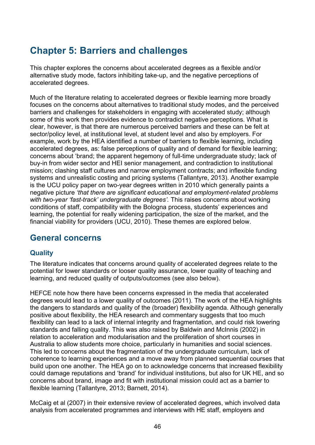# **Chapter 5: Barriers and challenges**

This chapter explores the concerns about accelerated degrees as a flexible and/or alternative study mode, factors inhibiting take-up, and the negative perceptions of accelerated degrees.

Much of the literature relating to accelerated degrees or flexible learning more broadly focuses on the concerns about alternatives to traditional study modes, and the perceived barriers and challenges for stakeholders in engaging with accelerated study; although some of this work then provides evidence to contradict negative perceptions. What is clear, however, is that there are numerous perceived barriers and these can be felt at sector/policy level, at institutional level, at student level and also by employers. For example, work by the HEA identified a number of barriers to flexible learning, including accelerated degrees, as: false perceptions of quality and of demand for flexible learning; concerns about 'brand; the apparent hegemony of full-time undergraduate study; lack of buy-in from wider sector and HEI senior management, and contradiction to institutional mission; clashing staff cultures and narrow employment contracts; and inflexible funding systems and unrealistic costing and pricing systems (Tallantyre, 2013). Another example is the UCU policy paper on two-year degrees written in 2010 which generally paints a negative picture *'that there are significant educational and employment-related problems with two-year 'fast-track' undergraduate degrees'.* This raises concerns about working conditions of staff, compatibility with the Bologna process, students' experiences and learning, the potential for really widening participation, the size of the market, and the financial viability for providers (UCU, 2010). These themes are explored below.

# **General concerns**

# **Quality**

The literature indicates that concerns around quality of accelerated degrees relate to the potential for lower standards or looser quality assurance, lower quality of teaching and learning, and reduced quality of outputs/outcomes (see also below).

HEFCE note how there have been concerns expressed in the media that accelerated degrees would lead to a lower quality of outcomes (2011). The work of the HEA highlights the dangers to standards and quality of the (broader) flexibility agenda. Although generally positive about flexibility, the HEA research and commentary suggests that too much flexibility can lead to a lack of internal integrity and fragmentation, and could risk lowering standards and falling quality. This was also raised by Baldwin and McInnis (2002) in relation to acceleration and modularisation and the proliferation of short courses in Australia to allow students more choice, particularly in humanities and social sciences. This led to concerns about the fragmentation of the undergraduate curriculum, lack of coherence to learning experiences and a move away from planned sequential courses that build upon one another. The HEA go on to acknowledge concerns that increased flexibility could damage reputations and 'brand' for individual institutions, but also for UK HE, and so concerns about brand, image and fit with institutional mission could act as a barrier to flexible learning (Tallantyre, 2013; Barnett, 2014).

McCaig et al (2007) in their extensive review of accelerated degrees, which involved data analysis from accelerated programmes and interviews with HE staff, employers and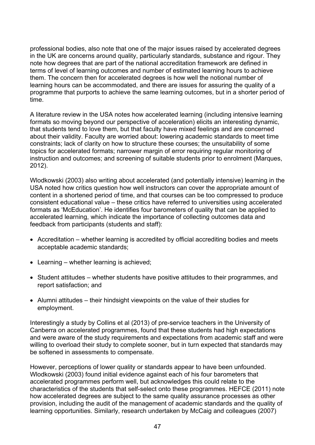professional bodies, also note that one of the major issues raised by accelerated degrees in the UK are concerns around quality, particularly standards, substance and rigour. They note how degrees that are part of the national accreditation framework are defined in terms of level of learning outcomes and number of estimated learning hours to achieve them. The concern then for accelerated degrees is how well the notional number of learning hours can be accommodated, and there are issues for assuring the quality of a programme that purports to achieve the same learning outcomes, but in a shorter period of time.

A literature review in the USA notes how accelerated learning (including intensive learning formats so moving beyond our perspective of acceleration) elicits an interesting dynamic, that students tend to love them, but that faculty have mixed feelings and are concerned about their validity. Faculty are worried about: lowering academic standards to meet time constraints; lack of clarity on how to structure these courses; the unsuitability of some topics for accelerated formats; narrower margin of error requiring regular monitoring of instruction and outcomes; and screening of suitable students prior to enrolment (Marques, 2012).

Wlodkowski (2003) also writing about accelerated (and potentially intensive) learning in the USA noted how critics question how well instructors can cover the appropriate amount of content in a shortened period of time, and that courses can be too compressed to produce consistent educational value – these critics have referred to universities using accelerated formats as 'McEducation'. He identifies four barometers of quality that can be applied to accelerated learning, which indicate the importance of collecting outcomes data and feedback from participants (students and staff):

- Accreditation whether learning is accredited by official accrediting bodies and meets acceptable academic standards;
- Learning whether learning is achieved;
- Student attitudes whether students have positive attitudes to their programmes, and report satisfaction; and
- Alumni attitudes their hindsight viewpoints on the value of their studies for employment.

Interestingly a study by Collins et al (2013) of pre-service teachers in the University of Canberra on accelerated programmes, found that these students had high expectations and were aware of the study requirements and expectations from academic staff and were willing to overload their study to complete sooner, but in turn expected that standards may be softened in assessments to compensate.

However, perceptions of lower quality or standards appear to have been unfounded. Wlodkowski (2003) found initial evidence against each of his four barometers that accelerated programmes perform well, but acknowledges this could relate to the characteristics of the students that self-select onto these programmes. HEFCE (2011) note how accelerated degrees are subject to the same quality assurance processes as other provision, including the audit of the management of academic standards and the quality of learning opportunities. Similarly, research undertaken by McCaig and colleagues (2007)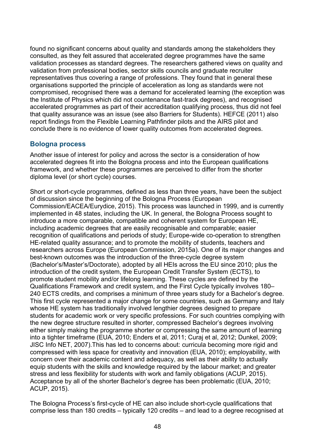found no significant concerns about quality and standards among the stakeholders they consulted, as they felt assured that accelerated degree programmes have the same validation processes as standard degrees. The researchers gathered views on quality and validation from professional bodies, sector skills councils and graduate recruiter representatives thus covering a range of professions. They found that in general these organisations supported the principle of acceleration as long as standards were not compromised, recognised there was a demand for accelerated learning (the exception was the Institute of Physics which did not countenance fast-track degrees), and recognised accelerated programmes as part of their accreditation qualifying process, thus did not feel that quality assurance was an issue (see also Barriers for Students). HEFCE (2011) also report findings from the Flexible Learning Pathfinder pilots and the AIRS pilot and conclude there is no evidence of lower quality outcomes from accelerated degrees.

## **Bologna process**

Another issue of interest for policy and across the sector is a consideration of how accelerated degrees fit into the Bologna process and into the European qualifications framework, and whether these programmes are perceived to differ from the shorter diploma level (or short cycle) courses.

Short or short-cycle programmes, defined as less than three years, have been the subject of discussion since the beginning of the Bologna Process (European Commission/EACEA/Eurydice, 2015). This process was launched in 1999, and is currently implemented in 48 states, including the UK. In general, the Bologna Process sought to introduce a more comparable, compatible and coherent system for European HE, including academic degrees that are easily recognisable and comparable; easier recognition of qualifications and periods of study; Europe-wide co-operation to strengthen HE-related quality assurance; and to promote the mobility of students, teachers and researchers across Europe (European Commission, 2015a). One of its major changes and best-known outcomes was the introduction of the three-cycle degree system (Bachelor's/Master's/Doctorate), adopted by all HEIs across the EU since 2010; plus the introduction of the credit system, the European Credit Transfer System (ECTS), to promote student mobility and/or lifelong learning. These cycles are defined by the Qualifications Framework and credit system, and the First Cycle typically involves 180– 240 ECTS credits, and comprises a minimum of three years study for a Bachelor's degree. This first cycle represented a major change for some countries, such as Germany and Italy whose HE system has traditionally involved lengthier degrees designed to prepare students for academic work or very specific professions. For such countries complying with the new degree structure resulted in shorter, compressed Bachelor's degrees involving either simply making the programme shorter or compressing the same amount of learning into a tighter timeframe (EUA, 2010; Enders et al, 2011; Curaj et al, 2012; Dunkel, 2009; JISC Info NET, 2007).This has led to concerns about: curricula becoming more rigid and compressed with less space for creativity and innovation (EUA, 2010); employability, with concern over their academic content and adequacy, as well as their ability to actually equip students with the skills and knowledge required by the labour market; and greater stress and less flexibility for students with work and family obligations (ACUP, 2015). Acceptance by all of the shorter Bachelor's degree has been problematic (EUA, 2010; ACUP, 2015).

The Bologna Process's first-cycle of HE can also include short-cycle qualifications that comprise less than 180 credits – typically 120 credits – and lead to a degree recognised at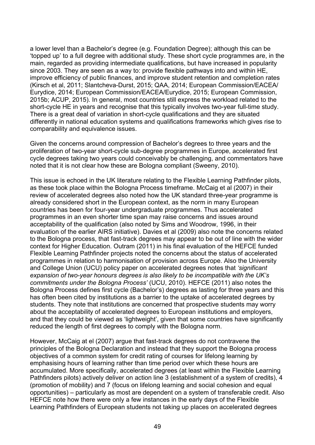a lower level than a Bachelor's degree (e.g. Foundation Degree); although this can be 'topped up' to a full degree with additional study. These short cycle programmes are, in the main, regarded as providing intermediate qualifications, but have increased in popularity since 2003. They are seen as a way to: provide flexible pathways into and within HE, improve efficiency of public finances, and improve student retention and completion rates (Kirsch et al, 2011; Slantcheva-Durst, 2015; QAA, 2014; European Commission/EACEA/ Eurydice, 2014; European Commission/EACEA/Eurydice, 2015; European Commission, 2015b; ACUP, 2015). In general, most countries still express the workload related to the short-cycle HE in years and recognise that this typically involves two-year full-time study. There is a great deal of variation in short-cycle qualifications and they are situated differently in national education systems and qualifications frameworks which gives rise to comparability and equivalence issues.

Given the concerns around compression of Bachelor's degrees to three years and the proliferation of two-year short-cycle sub-degree programmes in Europe, accelerated first cycle degrees taking two years could conceivably be challenging, and commentators have noted that it is not clear how these are Bologna compliant (Sweeny, 2010).

This issue is echoed in the UK literature relating to the Flexible Learning Pathfinder pilots, as these took place within the Bologna Process timeframe. McCaig et al (2007) in their review of accelerated degrees also noted how the UK standard three-year programme is already considered short in the European context, as the norm in many European countries has been for four-year undergraduate programmes. Thus accelerated programmes in an even shorter time span may raise concerns and issues around acceptability of the qualification (also noted by Sims and Woodrow, 1996, in their evaluation of the earlier AIRS initiative). Davies et al (2009) also note the concerns related to the Bologna process, that fast-track degrees may appear to be out of line with the wider context for Higher Education. Outram (2011) in his final evaluation of the HEFCE funded Flexible Learning Pathfinder projects noted the concerns about the status of accelerated programmes in relation to harmonisation of provision across Europe. Also the University and College Union (UCU) policy paper on accelerated degrees notes that *'significant expansion of two-year honours degrees is also likely to be incompatible with the UK's commitments under the Bologna Process'* (UCU, 2010). HEFCE (2011) also notes the Bologna Process defines first cycle (Bachelor's) degrees as lasting for three years and this has often been cited by institutions as a barrier to the uptake of accelerated degrees by students. They note that institutions are concerned that prospective students may worry about the acceptability of accelerated degrees to European institutions and employers, and that they could be viewed as 'lightweight', given that some countries have significantly reduced the length of first degrees to comply with the Bologna norm.

However, McCaig at el (2007) argue that fast-track degrees do not contravene the principles of the Bologna Declaration and instead that they support the Bologna process objectives of a common system for credit rating of courses for lifelong learning by emphasising hours of learning rather than time period over which these hours are accumulated. More specifically, accelerated degrees (at least within the Flexible Learning Pathfinders pilots) actively deliver on action line 3 (establishment of a system of credits), 4 (promotion of mobility) and 7 (focus on lifelong learning and social cohesion and equal opportunities) – particularly as most are dependent on a system of transferable credit. Also HEFCE note how there were only a few instances in the early days of the Flexible Learning Pathfinders of European students not taking up places on accelerated degrees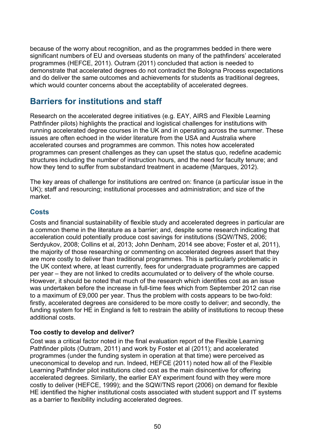because of the worry about recognition, and as the programmes bedded in there were significant numbers of EU and overseas students on many of the pathfinders' accelerated programmes (HEFCE, 2011). Outram (2011) concluded that action is needed to demonstrate that accelerated degrees do not contradict the Bologna Process expectations and do deliver the same outcomes and achievements for students as traditional degrees, which would counter concerns about the acceptability of accelerated degrees.

# **Barriers for institutions and staff**

Research on the accelerated degree initiatives (e.g. EAY, AIRS and Flexible Learning Pathfinder pilots) highlights the practical and logistical challenges for institutions with running accelerated degree courses in the UK and in operating across the summer. These issues are often echoed in the wider literature from the USA and Australia where accelerated courses and programmes are common. This notes how accelerated programmes can present challenges as they can upset the status quo, redefine academic structures including the number of instruction hours, and the need for faculty tenure; and how they tend to suffer from substandard treatment in academe (Marques, 2012).

The key areas of challenge for institutions are centred on: finance (a particular issue in the UK); staff and resourcing; institutional processes and administration; and size of the market.

# **Costs**

Costs and financial sustainability of flexible study and accelerated degrees in particular are a common theme in the literature as a barrier; and, despite some research indicating that acceleration could potentially produce cost savings for institutions (SQW/TNS, 2006; Serdyukov, 2008; Collins et al, 2013; John Denham, 2014 see above; Foster et al, 2011), the majority of those researching or commenting on accelerated degrees assert that they are more costly to deliver than traditional programmes. This is particularly problematic in the UK context where, at least currently, fees for undergraduate programmes are capped per year – they are not linked to credits accumulated or to delivery of the whole course. However, it should be noted that much of the research which identifies cost as an issue was undertaken before the increase in full-time fees which from September 2012 can rise to a maximum of £9,000 per year. Thus the problem with costs appears to be two-fold: firstly, accelerated degrees are considered to be more costly to deliver; and secondly, the funding system for HE in England is felt to restrain the ability of institutions to recoup these additional costs.

## **Too costly to develop and deliver?**

Cost was a critical factor noted in the final evaluation report of the Flexible Learning Pathfinder pilots (Outram, 2011) and work by Foster et al (2011); and accelerated programmes (under the funding system in operation at that time) were perceived as uneconomical to develop and run. Indeed, HEFCE (2011) noted how all of the Flexible Learning Pathfinder pilot institutions cited cost as the main disincentive for offering accelerated degrees. Similarly, the earlier EAY experiment found with they were more costly to deliver (HEFCE, 1999); and the SQW/TNS report (2006) on demand for flexible HE identified the higher institutional costs associated with student support and IT systems as a barrier to flexibility including accelerated degrees.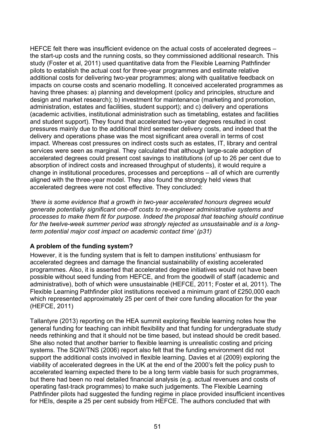HEFCE felt there was insufficient evidence on the actual costs of accelerated degrees – the start-up costs and the running costs, so they commissioned additional research. This study (Foster et al, 2011) used quantitative data from the Flexible Learning Pathfinder pilots to establish the actual cost for three-year programmes and estimate relative additional costs for delivering two-year programmes; along with qualitative feedback on impacts on course costs and scenario modelling. It conceived accelerated programmes as having three phases: a) planning and development (policy and principles, structure and design and market research); b) investment for maintenance (marketing and promotion, administration, estates and facilities, student support); and c) delivery and operations (academic activities, institutional administration such as timetabling, estates and facilities and student support). They found that accelerated two-year degrees resulted in cost pressures mainly due to the additional third semester delivery costs, and indeed that the delivery and operations phase was the most significant area overall in terms of cost impact. Whereas cost pressures on indirect costs such as estates, IT, library and central services were seen as marginal. They calculated that although large-scale adoption of accelerated degrees could present cost savings to institutions (of up to 26 per cent due to absorption of indirect costs and increased throughput of students), it would require a change in institutional procedures, processes and perceptions – all of which are currently aligned with the three-year model. They also found the strongly held views that accelerated degrees were not cost effective. They concluded:

*'there is some evidence that a growth in two-year accelerated honours degrees would generate potentially significant one-off costs to re-engineer administrative systems and processes to make them fit for purpose. Indeed the proposal that teaching should continue for the twelve-week summer period was strongly rejected as unsustainable and is a longterm potential major cost impact on academic contact time' (p31)*

## **A problem of the funding system?**

However, it is the funding system that is felt to dampen institutions' enthusiasm for accelerated degrees and damage the financial sustainability of existing accelerated programmes. Also, it is asserted that accelerated degree initiatives would not have been possible without seed funding from HEFCE, and from the goodwill of staff (academic and administrative), both of which were unsustainable (HEFCE, 2011; Foster et al, 2011). The Flexible Learning Pathfinder pilot institutions received a minimum grant of £250,000 each which represented approximately 25 per cent of their core funding allocation for the year (HEFCE, 2011)

Tallantyre (2013) reporting on the HEA summit exploring flexible learning notes how the general funding for teaching can inhibit flexibility and that funding for undergraduate study needs rethinking and that it should not be time based, but instead should be credit based. She also noted that another barrier to flexible learning is unrealistic costing and pricing systems. The SQW/TNS (2006) report also felt that the funding environment did not support the additional costs involved in flexible learning. Davies et al (2009) exploring the viability of accelerated degrees in the UK at the end of the 2000's felt the policy push to accelerated learning expected there to be a long term viable basis for such programmes, but there had been no real detailed financial analysis (e.g. actual revenues and costs of operating fast-track programmes) to make such judgements. The Flexible Learning Pathfinder pilots had suggested the funding regime in place provided insufficient incentives for HEIs, despite a 25 per cent subsidy from HEFCE. The authors concluded that with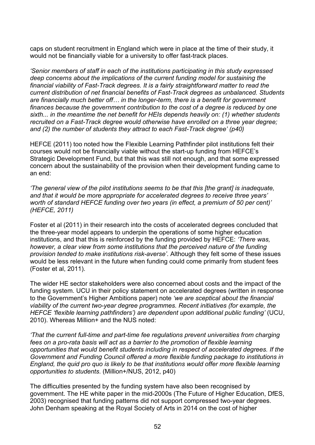caps on student recruitment in England which were in place at the time of their study, it would not be financially viable for a university to offer fast-track places.

*'Senior members of staff in each of the institutions participating in this study expressed deep concerns about the implications of the current funding model for sustaining the financial viability of Fast-Track degrees. It is a fairly straightforward matter to read the current distribution of net financial benefits of Fast-Track degrees as unbalanced. Students are financially much better off… in the longer-term, there is a benefit for government finances because the government contribution to the cost of a degree is reduced by one sixth... in the meantime the net benefit for HEIs depends heavily on: (1) whether students recruited on a Fast-Track degree would otherwise have enrolled on a three year degree; and (2) the number of students they attract to each Fast-Track degree' (p40)*

HEFCE (2011) too noted how the Flexible Learning Pathfinder pilot institutions felt their courses would not be financially viable without the start-up funding from HEFCE's Strategic Development Fund, but that this was still not enough, and that some expressed concern about the sustainability of the provision when their development funding came to an end:

*'The general view of the pilot institutions seems to be that this [the grant] is inadequate, and that it would be more appropriate for accelerated degrees to receive three years' worth of standard HEFCE funding over two years (in effect, a premium of 50 per cent)' (HEFCE, 2011)*

Foster et al (2011) in their research into the costs of accelerated degrees concluded that the three-year model appears to underpin the operations of some higher education institutions, and that this is reinforced by the funding provided by HEFCE: *'There was, however, a clear view from some institutions that the perceived nature of the funding provision tended to make institutions risk-averse'*. Although they felt some of these issues would be less relevant in the future when funding could come primarily from student fees (Foster et al, 2011).

The wider HE sector stakeholders were also concerned about costs and the impact of the funding system. UCU in their policy statement on accelerated degrees (written in response to the Government's Higher Ambitions paper) note *'we are sceptical about the financial viability of the current two-year degree programmes. Recent initiatives (for example, the HEFCE 'flexible learning pathfinders') are dependent upon additional public funding'* (UCU, 2010). Whereas Million+ and the NUS noted:

*'That the current full-time and part-time fee regulations prevent universities from charging fees on a pro-rata basis will act as a barrier to the promotion of flexible learning opportunities that would benefit students including in respect of accelerated degrees. If the Government and Funding Council offered a more flexible funding package to institutions in England, the quid pro quo is likely to be that institutions would offer more flexible learning opportunities to students*. (Million+/NUS, 2012, p40)

The difficulties presented by the funding system have also been recognised by government. The HE white paper in the mid-2000s (The Future of Higher Education, DfES, 2003) recognised that funding patterns did not support compressed two-year degrees. John Denham speaking at the Royal Society of Arts in 2014 on the cost of higher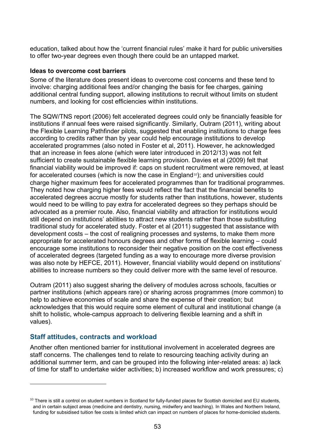education, talked about how the 'current financial rules' make it hard for public universities to offer two-year degrees even though there could be an untapped market.

#### **Ideas to overcome cost barriers**

Some of the literature does present ideas to overcome cost concerns and these tend to involve: charging additional fees and/or changing the basis for fee charges, gaining additional central funding support, allowing institutions to recruit without limits on student numbers, and looking for cost efficiencies within institutions.

The SQW/TNS report (2006) felt accelerated degrees could only be financially feasible for institutions if annual fees were raised significantly. Similarly, Outram (2011), writing about the Flexible Learning Pathfinder pilots, suggested that enabling institutions to charge fees according to credits rather than by year could help encourage institutions to develop accelerated programmes (also noted in Foster et al, 2011). However, he acknowledged that an increase in fees alone (which were later introduced in 2012/13) was not felt sufficient to create sustainable flexible learning provision. Davies et al (2009) felt that financial viability would be improved if: caps on student recruitment were removed, at least for accelerated courses (which is now the case in England<sup>[10](#page-52-0)</sup>); and universities could charge higher maximum fees for accelerated programmes than for traditional programmes. They noted how charging higher fees would reflect the fact that the financial benefits to accelerated degrees accrue mostly for students rather than institutions, however, students would need to be willing to pay extra for accelerated degrees so they perhaps should be advocated as a premier route. Also, financial viability and attraction for institutions would still depend on institutions' abilities to attract new students rather than those substituting traditional study for accelerated study. Foster et al (2011) suggested that assistance with development costs – the cost of realigning processes and systems, to make them more appropriate for accelerated honours degrees and other forms of flexible learning – could encourage some institutions to reconsider their negative position on the cost effectiveness of accelerated degrees (targeted funding as a way to encourage more diverse provision was also note by HEFCE, 2011). However, financial viability would depend on institutions' abilities to increase numbers so they could deliver more with the same level of resource.

Outram (2011) also suggest sharing the delivery of modules across schools, faculties or partner institutions (which appears rare) or sharing across programmes (more common) to help to achieve economies of scale and share the expense of their creation; but acknowledges that this would require some element of cultural and institutional change (a shift to holistic, whole-campus approach to delivering flexible learning and a shift in values).

# **Staff attitudes, contracts and workload**

 $\overline{a}$ 

Another often mentioned barrier for institutional involvement in accelerated degrees are staff concerns. The challenges tend to relate to resourcing teaching activity during an additional summer term, and can be grouped into the following inter-related areas: a) lack of time for staff to undertake wider activities; b) increased workflow and work pressures; c)

<span id="page-52-0"></span> $10$  There is still a control on student numbers in Scotland for fully-funded places for Scottish domiciled and EU students, and in certain subject areas (medicine and dentistry, nursing, midwifery and teaching). In Wales and Northern Ireland, funding for subsidised tuition fee costs is limited which can impact on numbers of places for home-domiciled students.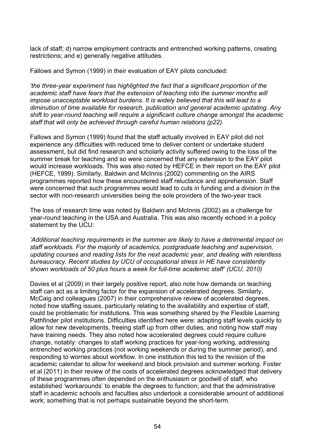lack of staff; d) narrow employment contracts and entrenched working patterns, creating restrictions; and e) generally negative attitudes.

Fallows and Symon (1999) in their evaluation of EAY pilots concluded:

*'the three-year experiment has highlighted the fact that a significant proportion of the academic staff have fears that the extension of teaching into the summer months will impose unacceptable workload burdens. It is widely believed that this will lead to a diminution of time available for research, publication and general academic updating. Any shift to year-round teaching will require a significant culture change amongst the academic staff that will only be achieved through careful human relations (p22).* 

Fallows and Symon (1999) found that the staff actually involved in EAY pilot did not experience any difficulties with reduced time to deliver content or undertake student assessment, but did find research and scholarly activity suffered owing to the loss of the summer break for teaching and so were concerned that any extension to the EAY pilot would increase workloads. This was also noted by HEFCE in their report on the EAY pilot (HEFCE, 1999). Similarly, Baldwin and McInnis (2002) commenting on the AIRS programmes reported how these encountered staff reluctance and apprehension. Staff were concerned that such programmes would lead to cuts in funding and a division in the sector with non-research universities being the sole providers of the two-year track

The loss of research time was noted by Baldwin and McInnis (2002) as a challenge for year-round teaching in the USA and Australia. This was also recently echoed in a policy statement by the UCU:

*'Additional teaching requirements in the summer are likely to have a detrimental impact on staff workloads. For the majority of academics, postgraduate teaching and supervision, updating courses and reading lists for the next academic year, and dealing with relentless bureaucracy. Recent studies by UCU of occupational stress in HE have consistently shown workloads of 50 plus hours a week for full-time academic staff' (UCU, 2010)*

Davies et al (2009) in their largely positive report, also note how demands on teaching staff can act as a limiting factor for the expansion of accelerated degrees. Similarly, McCaig and colleagues (2007) in their comprehensive review of accelerated degrees, noted how staffing issues, particularly relating to the availability and expertise of staff, could be problematic for institutions. This was something shared by the Flexible Learning Pathfinder pilot institutions. Difficulties identified here were: adapting staff levels quickly to allow for new developments, freeing staff up from other duties, and noting how staff may have training needs. They also noted how accelerated degrees could require culture change, notably: changes to staff working practices for year-long working, addressing entrenched working practices (not working weekends or during the summer period), and responding to worries about workflow. In one institution this led to the revision of the academic calendar to allow for weekend and block provision and summer working. Foster et al (2011) in their review of the costs of accelerated degrees acknowledged that delivery of these programmes often depended on the enthusiasm or goodwill of staff, who established 'workarounds' to enable the degrees to function; and that the administrative staff in academic schools and faculties also undertook a considerable amount of additional work; something that is not perhaps sustainable beyond the short-term.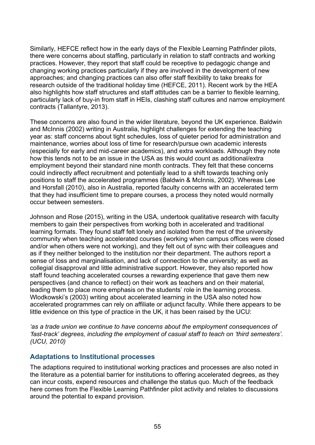Similarly, HEFCE reflect how in the early days of the Flexible Learning Pathfinder pilots, there were concerns about staffing, particularly in relation to staff contracts and working practices. However, they report that staff could be receptive to pedagogic change and changing working practices particularly if they are involved in the development of new approaches; and changing practices can also offer staff flexibility to take breaks for research outside of the traditional holiday time (HEFCE, 2011). Recent work by the HEA also highlights how staff structures and staff attitudes can be a barrier to flexible learning, particularly lack of buy-in from staff in HEIs, clashing staff cultures and narrow employment contracts (Tallantyre, 2013).

These concerns are also found in the wider literature, beyond the UK experience. Baldwin and McInnis (2002) writing in Australia, highlight challenges for extending the teaching year as: staff concerns about tight schedules, loss of quieter period for administration and maintenance, worries about loss of time for research/pursue own academic interests (especially for early and mid-career academics), and extra workloads. Although they note how this tends not to be an issue in the USA as this would count as additional/extra employment beyond their standard nine month contracts. They felt that these concerns could indirectly affect recruitment and potentially lead to a shift towards teaching only positions to staff the accelerated programmes (Baldwin & McInnis, 2002). Whereas Lee and Horsfall (2010), also in Australia, reported faculty concerns with an accelerated term that they had insufficient time to prepare courses, a process they noted would normally occur between semesters.

Johnson and Rose (2015), writing in the USA, undertook qualitative research with faculty members to gain their perspectives from working both in accelerated and traditional learning formats. They found staff felt lonely and isolated from the rest of the university community when teaching accelerated courses (working when campus offices were closed and/or when others were not working), and they felt out of sync with their colleagues and as if they neither belonged to the institution nor their department. The authors report a sense of loss and marginalisation, and lack of connection to the university; as well as collegial disapproval and little administrative support. However, they also reported how staff found teaching accelerated courses a rewarding experience that gave them new perspectives (and chance to reflect) on their work as teachers and on their material, leading them to place more emphasis on the students' role in the learning process. Wlodkowski's (2003) writing about accelerated learning in the USA also noted how accelerated programmes can rely on affiliate or adjunct faculty. While there appears to be little evidence on this type of practice in the UK, it has been raised by the UCU:

*'as a trade union we continue to have concerns about the employment consequences of 'fast-track' degrees, including the employment of casual staff to teach on 'third semesters'. (UCU, 2010)*

## **Adaptations to Institutional processes**

The adaptions required to institutional working practices and processes are also noted in the literature as a potential barrier for institutions to offering accelerated degrees, as they can incur costs, expend resources and challenge the status quo. Much of the feedback here comes from the Flexible Learning Pathfinder pilot activity and relates to discussions around the potential to expand provision.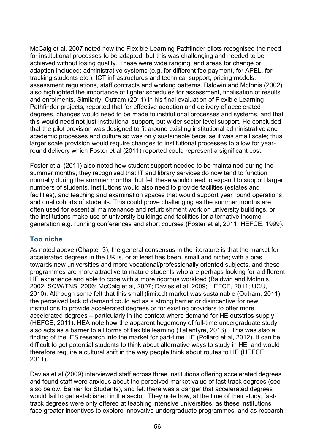McCaig et al, 2007 noted how the Flexible Learning Pathfinder pilots recognised the need for institutional processes to be adapted, but this was challenging and needed to be achieved without losing quality. These were wide ranging, and areas for change or adaption included: administrative systems (e.g. for different fee payment, for APEL, for tracking students etc.), ICT infrastructures and technical support, pricing models, assessment regulations, staff contracts and working patterns. Baldwin and McInnis (2002) also highlighted the importance of tighter schedules for assessment, finalisation of results and enrolments. Similarly, Outram (2011) in his final evaluation of Flexible Learning Pathfinder projects, reported that for effective adoption and delivery of accelerated degrees, changes would need to be made to institutional processes and systems, and that this would need not just institutional support, but wider sector level support. He concluded that the pilot provision was designed to fit around existing institutional administrative and academic processes and culture so was only sustainable because it was small scale; thus larger scale provision would require changes to institutional processes to allow for yearround delivery which Foster et al (2011) reported could represent a significant cost.

Foster et al (2011) also noted how student support needed to be maintained during the summer months; they recognised that IT and library services do now tend to function normally during the summer months, but felt these would need to expand to support larger numbers of students. Institutions would also need to provide facilities (estates and facilities), and teaching and examination spaces that would support year round operations and dual cohorts of students. This could prove challenging as the summer months are often used for essential maintenance and refurbishment work on university buildings, or the institutions make use of university buildings and facilities for alternative income generation e.g. running conferences and short courses (Foster et al, 2011; HEFCE, 1999).

## **Too niche**

As noted above (Chapter 3), the general consensus in the literature is that the market for accelerated degrees in the UK is, or at least has been, small and niche; with a bias towards new universities and more vocational/professionally oriented subjects, and these programmes are more attractive to mature students who are perhaps looking for a different HE experience and able to cope with a more rigorous workload (Baldwin and McInnis, 2002, SQW/TNS, 2006; McCaig et al, 2007; Davies et al, 2009; HEFCE, 2011; UCU, 2010). Although some felt that this small (limited) market was sustainable (Outram, 2011), the perceived lack of demand could act as a strong barrier or disincentive for new institutions to provide accelerated degrees or for existing providers to offer more accelerated degrees – particularly in the context where demand for HE outstrips supply (HEFCE, 2011). HEA note how the apparent hegemony of full-time undergraduate study also acts as a barrier to all forms of flexible learning (Tallantyre, 2013). This was also a finding of the IES research into the market for part-time HE (Pollard et al, 2012). It can be difficult to get potential students to think about alternative ways to study in HE, and would therefore require a cultural shift in the way people think about routes to HE (HEFCE, 2011).

Davies et al (2009) interviewed staff across three institutions offering accelerated degrees and found staff were anxious about the perceived market value of fast-track degrees (see also below, Barrier for Students), and felt there was a danger that accelerated degrees would fail to get established in the sector. They note how, at the time of their study, fasttrack degrees were only offered at teaching intensive universities, as these institutions face greater incentives to explore innovative undergraduate programmes, and as research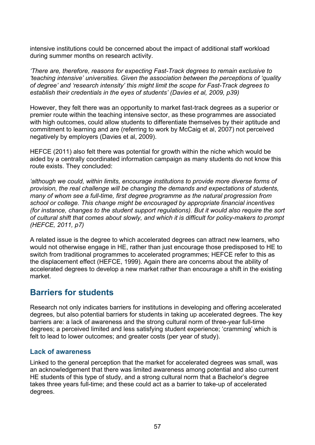intensive institutions could be concerned about the impact of additional staff workload during summer months on research activity.

*'There are, therefore, reasons for expecting Fast-Track degrees to remain exclusive to 'teaching intensive' universities. Given the association between the perceptions of 'quality of degree' and 'research intensity' this might limit the scope for Fast-Track degrees to establish their credentials in the eyes of students' (Davies et al, 2009, p39)*

However, they felt there was an opportunity to market fast-track degrees as a superior or premier route within the teaching intensive sector, as these programmes are associated with high outcomes, could allow students to differentiate themselves by their aptitude and commitment to learning and are (referring to work by McCaig et al, 2007) not perceived negatively by employers (Davies et al, 2009).

HEFCE (2011) also felt there was potential for growth within the niche which would be aided by a centrally coordinated information campaign as many students do not know this route exists. They concluded:

*'although we could, within limits, encourage institutions to provide more diverse forms of provision, the real challenge will be changing the demands and expectations of students, many of whom see a full-time, first degree programme as the natural progression from school or college. This change might be encouraged by appropriate financial incentives (for instance, changes to the student support regulations). But it would also require the sort of cultural shift that comes about slowly, and which it is difficult for policy-makers to prompt (HEFCE, 2011, p7)* 

A related issue is the degree to which accelerated degrees can attract new learners, who would not otherwise engage in HE, rather than just encourage those predisposed to HE to switch from traditional programmes to accelerated programmes; HEFCE refer to this as the displacement effect (HEFCE, 1999). Again there are concerns about the ability of accelerated degrees to develop a new market rather than encourage a shift in the existing market.

# **Barriers for students**

Research not only indicates barriers for institutions in developing and offering accelerated degrees, but also potential barriers for students in taking up accelerated degrees. The key barriers are: a lack of awareness and the strong cultural norm of three-year full-time degrees; a perceived limited and less satisfying student experience; 'cramming' which is felt to lead to lower outcomes; and greater costs (per year of study).

## **Lack of awareness**

Linked to the general perception that the market for accelerated degrees was small, was an acknowledgement that there was limited awareness among potential and also current HE students of this type of study, and a strong cultural norm that a Bachelor's degree takes three years full-time; and these could act as a barrier to take-up of accelerated degrees.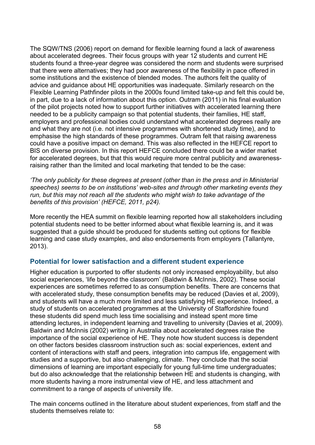The SQW/TNS (2006) report on demand for flexible learning found a lack of awareness about accelerated degrees. Their focus groups with year 12 students and current HE students found a three-year degree was considered the norm and students were surprised that there were alternatives; they had poor awareness of the flexibility in pace offered in some institutions and the existence of blended modes. The authors felt the quality of advice and guidance about HE opportunities was inadequate. Similarly research on the Flexible Learning Pathfinder pilots in the 2000s found limited take-up and felt this could be, in part, due to a lack of information about this option. Outram (2011) in his final evaluation of the pilot projects noted how to support further initiatives with accelerated learning there needed to be a publicity campaign so that potential students, their families, HE staff, employers and professional bodies could understand what accelerated degrees really are and what they are not (i.e. not intensive programmes with shortened study time), and to emphasise the high standards of these programmes. Outram felt that raising awareness could have a positive impact on demand. This was also reflected in the HEFCE report to BIS on diverse provision. In this report HEFCE concluded there could be a wider market for accelerated degrees, but that this would require more central publicity and awarenessraising rather than the limited and local marketing that tended to be the case:

*'The only publicity for these degrees at present (other than in the press and in Ministerial speeches) seems to be on institutions' web-sites and through other marketing events they run, but this may not reach all the students who might wish to take advantage of the benefits of this provision' (HEFCE, 2011, p24).*

More recently the HEA summit on flexible learning reported how all stakeholders including potential students need to be better informed about what flexible learning is, and it was suggested that a guide should be produced for students setting out options for flexible learning and case study examples, and also endorsements from employers (Tallantyre, 2013).

# **Potential for lower satisfaction and a different student experience**

Higher education is purported to offer students not only increased employability, but also social experiences, 'life beyond the classroom' (Baldwin & McInnis, 2002). These social experiences are sometimes referred to as consumption benefits. There are concerns that with accelerated study, these consumption benefits may be reduced (Davies et al, 2009), and students will have a much more limited and less satisfying HE experience. Indeed, a study of students on accelerated programmes at the University of Staffordshire found these students did spend much less time socialising and instead spent more time attending lectures, in independent learning and travelling to university (Davies et al, 2009). Baldwin and McInnis (2002) writing in Australia about accelerated degrees raise the importance of the social experience of HE. They note how student success is dependent on other factors besides classroom instruction such as: social experiences, extent and content of interactions with staff and peers, integration into campus life, engagement with studies and a supportive, but also challenging, climate. They conclude that the social dimensions of learning are important especially for young full-time time undergraduates; but do also acknowledge that the relationship between HE and students is changing, with more students having a more instrumental view of HE, and less attachment and commitment to a range of aspects of university life.

The main concerns outlined in the literature about student experiences, from staff and the students themselves relate to: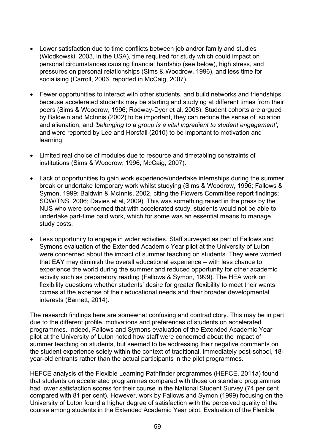- Lower satisfaction due to time conflicts between job and/or family and studies (Wlodkowski, 2003, in the USA), time required for study which could impact on personal circumstances causing financial hardship (see below), high stress, and pressures on personal relationships (Sims & Woodrow, 1996), and less time for socialising (Carroll, 2006, reported in McCaig, 2007).
- Fewer opportunities to interact with other students, and build networks and friendships because accelerated students may be starting and studying at different times from their peers (Sims & Woodrow, 1996; Rodway-Dyer et al, 2008). Student cohorts are argued by Baldwin and McInnis (2002) to be important, they can reduce the sense of isolation and alienation; and *'belonging to a group is a vital ingredient to student engagement'*; and were reported by Lee and Horsfall (2010) to be important to motivation and learning.
- Limited real choice of modules due to resource and timetabling constraints of institutions (Sims & Woodrow, 1996; McCaig, 2007).
- Lack of opportunities to gain work experience/undertake internships during the summer break or undertake temporary work whilst studying (Sims & Woodrow, 1996; Fallows & Symon, 1999; Baldwin & McInnis, 2002, citing the Flowers Committee report findings; SQW/TNS, 2006; Davies et al, 2009). This was something raised in the press by the NUS who were concerned that with accelerated study, students would not be able to undertake part-time paid work, which for some was an essential means to manage study costs.
- Less opportunity to engage in wider activities. Staff surveyed as part of Fallows and Symons evaluation of the Extended Academic Year pilot at the University of Luton were concerned about the impact of summer teaching on students. They were worried that EAY may diminish the overall educational experience – with less chance to experience the world during the summer and reduced opportunity for other academic activity such as preparatory reading (Fallows & Symon, 1999). The HEA work on flexibility questions whether students' desire for greater flexibility to meet their wants comes at the expense of their educational needs and their broader developmental interests (Barnett, 2014).

The research findings here are somewhat confusing and contradictory. This may be in part due to the different profile, motivations and preferences of students on accelerated programmes. Indeed, Fallows and Symons evaluation of the Extended Academic Year pilot at the University of Luton noted how staff were concerned about the impact of summer teaching on students, but seemed to be addressing their negative comments on the student experience solely within the context of traditional, immediately post-school, 18 year-old entrants rather than the actual participants in the pilot programmes.

HEFCE analysis of the Flexible Learning Pathfinder programmes (HEFCE, 2011a) found that students on accelerated programmes compared with those on standard programmes had lower satisfaction scores for their course in the National Student Survey (74 per cent compared with 81 per cent). However, work by Fallows and Symon (1999) focusing on the University of Luton found a higher degree of satisfaction with the perceived quality of the course among students in the Extended Academic Year pilot. Evaluation of the Flexible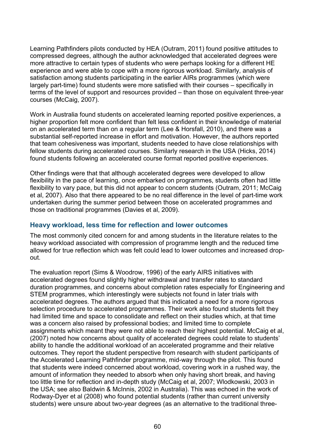Learning Pathfinders pilots conducted by HEA (Outram, 2011) found positive attitudes to compressed degrees, although the author acknowledged that accelerated degrees were more attractive to certain types of students who were perhaps looking for a different HE experience and were able to cope with a more rigorous workload. Similarly, analysis of satisfaction among students participating in the earlier AIRs programmes (which were largely part-time) found students were more satisfied with their courses – specifically in terms of the level of support and resources provided – than those on equivalent three-year courses (McCaig, 2007).

Work in Australia found students on accelerated learning reported positive experiences, a higher proportion felt more confident than felt less confident in their knowledge of material on an accelerated term than on a regular term (Lee & Horsfall, 2010), and there was a substantial self-reported increase in effort and motivation. However, the authors reported that team cohesiveness was important, students needed to have close relationships with fellow students during accelerated courses. Similarly research in the USA (Hicks, 2014) found students following an accelerated course format reported positive experiences.

Other findings were that that although accelerated degrees were developed to allow flexibility in the pace of learning, once embarked on programmes, students often had little flexibility to vary pace, but this did not appear to concern students (Outram, 2011; McCaig et al, 2007). Also that there appeared to be no real difference in the level of part-time work undertaken during the summer period between those on accelerated programmes and those on traditional programmes (Davies et al, 2009).

## **Heavy workload, less time for reflection and lower outcomes**

The most commonly cited concern for and among students in the literature relates to the heavy workload associated with compression of programme length and the reduced time allowed for true reflection which was felt could lead to lower outcomes and increased dropout.

The evaluation report (Sims & Woodrow, 1996) of the early AIRS initiatives with accelerated degrees found slightly higher withdrawal and transfer rates to standard duration programmes, and concerns about completion rates especially for Engineering and STEM programmes, which interestingly were subjects not found in later trials with accelerated degrees. The authors argued that this indicated a need for a more rigorous selection procedure to accelerated programmes. Their work also found students felt they had limited time and space to consolidate and reflect on their studies which, at that time was a concern also raised by professional bodies; and limited time to complete assignments which meant they were not able to reach their highest potential. McCaig et al, (2007) noted how concerns about quality of accelerated degrees could relate to students' ability to handle the additional workload of an accelerated programme and their relative outcomes. They report the student perspective from research with student participants of the Accelerated Learning Pathfinder programme, mid-way through the pilot. This found that students were indeed concerned about workload, covering work in a rushed way, the amount of information they needed to absorb when only having short break, and having too little time for reflection and in-depth study (McCaig et al, 2007; Wlodkowski, 2003 in the USA; see also Baldwin & McInnis, 2002 in Australia). This was echoed in the work of Rodway-Dyer et al (2008) who found potential students (rather than current university students) were unsure about two-year degrees (as an alternative to the traditional three-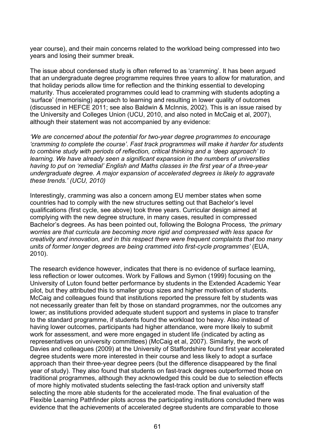year course), and their main concerns related to the workload being compressed into two years and losing their summer break.

The issue about condensed study is often referred to as 'cramming'. It has been argued that an undergraduate degree programme requires three years to allow for maturation, and that holiday periods allow time for reflection and the thinking essential to developing maturity. Thus accelerated programmes could lead to cramming with students adopting a 'surface' (memorising) approach to learning and resulting in lower quality of outcomes (discussed in HEFCE 2011; see also Baldwin & McInnis, 2002). This is an issue raised by the University and Colleges Union (UCU, 2010, and also noted in McCaig et al, 2007), although their statement was not accompanied by any evidence:

*'We are concerned about the potential for two-year degree programmes to encourage 'cramming to complete the course'. Fast track programmes will make it harder for students to combine study with periods of reflection, critical thinking and a 'deep approach' to learning. We have already seen a significant expansion in the numbers of universities having to put on 'remedial' English and Maths classes in the first year of a three-year undergraduate degree. A major expansion of accelerated degrees is likely to aggravate these trends.' (UCU, 2010)*

Interestingly, cramming was also a concern among EU member states when some countries had to comply with the new structures setting out that Bachelor's level qualifications (first cycle, see above) took three years. Curricular design aimed at complying with the new degree structure, in many cases, resulted in compressed Bachelor's degrees. As has been pointed out, following the Bologna Process*, 'the primary worries are that curricula are becoming more rigid and compressed with less space for creativity and innovation, and in this respect there were frequent complaints that too many units of former longer degrees are being crammed into first-cycle programmes'* (EUA, 2010).

The research evidence however, indicates that there is no evidence of surface learning, less reflection or lower outcomes. Work by Fallows and Symon (1999) focusing on the University of Luton found better performance by students in the Extended Academic Year pilot, but they attributed this to smaller group sizes and higher motivation of students. McCaig and colleagues found that institutions reported the pressure felt by students was not necessarily greater than felt by those on standard programmes, nor the outcomes any lower; as institutions provided adequate student support and systems in place to transfer to the standard programme, if students found the workload too heavy. Also instead of having lower outcomes, participants had higher attendance, were more likely to submit work for assessment, and were more engaged in student life (indicated by acting as representatives on university committees) (McCaig et al, 2007). Similarly, the work of Davies and colleagues (2009) at the University of Staffordshire found first year accelerated degree students were more interested in their course and less likely to adopt a surface approach than their three-year degree peers (but the difference disappeared by the final year of study). They also found that students on fast-track degrees outperformed those on traditional programmes, although they acknowledged this could be due to selection effects of more highly motivated students selecting the fast-track option and university staff selecting the more able students for the accelerated mode. The final evaluation of the Flexible Learning Pathfinder pilots across the participating institutions concluded there was evidence that the achievements of accelerated degree students are comparable to those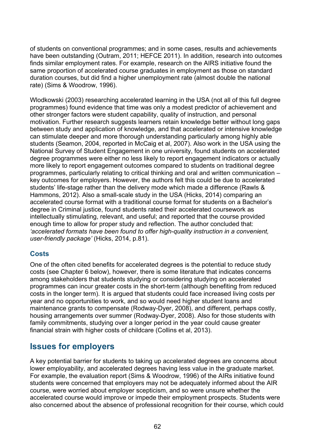of students on conventional programmes; and in some cases, results and achievements have been outstanding (Outram, 2011; HEFCE 2011). In addition, research into outcomes finds similar employment rates. For example, research on the AIRS initiative found the same proportion of accelerated course graduates in employment as those on standard duration courses, but did find a higher unemployment rate (almost double the national rate) (Sims & Woodrow, 1996).

Wlodkowski (2003) researching accelerated learning in the USA (not all of this full degree programmes) found evidence that time was only a modest predictor of achievement and other stronger factors were student capability, quality of instruction, and personal motivation. Further research suggests learners retain knowledge better without long gaps between study and application of knowledge, and that accelerated or intensive knowledge can stimulate deeper and more thorough understanding particularly among highly able students (Seamon, 2004, reported in McCaig et al, 2007). Also work in the USA using the National Survey of Student Engagement in one university, found students on accelerated degree programmes were either no less likely to report engagement indicators or actually more likely to report engagement outcomes compared to students on traditional degree programmes, particularly relating to critical thinking and oral and written communication – key outcomes for employers. However, the authors felt this could be due to accelerated students' life-stage rather than the delivery mode which made a difference (Rawls & Hammons, 2012). Also a small-scale study in the USA (Hicks, 2014) comparing an accelerated course format with a traditional course format for students on a Bachelor's degree in Criminal justice, found students rated their accelerated coursework as intellectually stimulating, relevant, and useful; and reported that the course provided enough time to allow for proper study and reflection. The author concluded that: *'accelerated formats have been found to offer high-quality instruction in a convenient, user-friendly package'* (Hicks, 2014, p.81).

# **Costs**

One of the often cited benefits for accelerated degrees is the potential to reduce study costs (see Chapter 6 below), however, there is some literature that indicates concerns among stakeholders that students studying or considering studying on accelerated programmes can incur greater costs in the short-term (although benefiting from reduced costs in the longer term). It is argued that students could face increased living costs per year and no opportunities to work, and so would need higher student loans and maintenance grants to compensate (Rodway-Dyer, 2008), and different, perhaps costly, housing arrangements over summer (Rodway-Dyer, 2008). Also for those students with family commitments, studying over a longer period in the year could cause greater financial strain with higher costs of childcare (Collins et al, 2013).

# **Issues for employers**

A key potential barrier for students to taking up accelerated degrees are concerns about lower employability, and accelerated degrees having less value in the graduate market. For example, the evaluation report (Sims & Woodrow, 1996) of the AIRs initiative found students were concerned that employers may not be adequately informed about the AIR course, were worried about employer scepticism, and so were unsure whether the accelerated course would improve or impede their employment prospects. Students were also concerned about the absence of professional recognition for their course, which could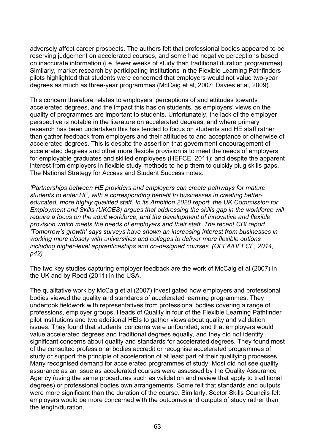adversely affect career prospects. The authors felt that professional bodies appeared to be reserving judgement on accelerated courses, and some had negative perceptions based on inaccurate information (i.e. fewer weeks of study than traditional duration programmes). Similarly, market research by participating institutions in the Flexible Learning Pathfinders pilots highlighted that students were concerned that employers would not value two-year degrees as much as three-year programmes (McCaig et al, 2007; Davies et al, 2009).

This concern therefore relates to employers' perceptions of and attitudes towards accelerated degrees, and the impact this has on students, as employers' views on the quality of programmes are important to students. Unfortunately, the lack of the employer perspective is notable in the literature on accelerated degrees, and where primary research has been undertaken this has tended to focus on students and HE staff rather than gather feedback from employers and their attitudes to and acceptance or otherwise of accelerated degrees. This is despite the assertion that government encouragement of accelerated degrees and other more flexible provision is to meet the needs of employers for employable graduates and skilled employees (HEFCE, 2011); and despite the apparent interest from employers in flexible study methods to help them to quickly plug skills gaps. The National Strategy for Access and Student Success notes:

*'Partnerships between HE providers and employers can create pathways for mature students to enter HE, with a corresponding benefit to businesses in creating bettereducated, more highly qualified staff. In its Ambition 2020 report, the UK Commission for Employment and Skills (UKCES) argues that addressing the skills gap in the workforce will require a focus on the adult workforce, and the development of innovative and flexible provision which meets the needs of employers and their staff. The recent CBI report 'Tomorrow's growth' says surveys have shown an increasing interest from businesses in working more closely with universities and colleges to deliver more flexible options including higher-level apprenticeships and co-designed courses' (OFFA/HEFCE, 2014, p42)*

The two key studies capturing employer feedback are the work of McCaig et al (2007) in the UK and by Rood (2011) in the USA.

The qualitative work by McCaig et al (2007) investigated how employers and professional bodies viewed the quality and standards of accelerated learning programmes. They undertook fieldwork with representatives from professional bodies covering a range of professions, employer groups, Heads of Quality in four of the Flexible Learning Pathfinder pilot institutions and two additional HEIs to gather views about quality and validation issues. They found that students' concerns were unfounded, and that employers would value accelerated degrees and traditional degrees equally, and they did not identify significant concerns about quality and standards for accelerated degrees. They found most of the consulted professional bodies accredit or recognise accelerated programmes of study or support the principle of acceleration of at least part of their qualifying processes. Many recognised demand for accelerated programmes of study. Most did not see quality assurance as an issue as accelerated courses were assessed by the Quality Assurance Agency (using the same procedures such as validation and review that apply to traditional degrees) or professional bodies own arrangements. Some felt that standards and outputs were more significant than the duration of the course. Similarly, Sector Skills Councils felt employers would be more concerned with the outcomes and outputs of study rather than the length/duration.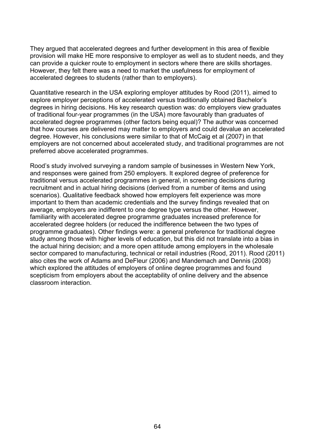They argued that accelerated degrees and further development in this area of flexible provision will make HE more responsive to employer as well as to student needs, and they can provide a quicker route to employment in sectors where there are skills shortages. However, they felt there was a need to market the usefulness for employment of accelerated degrees to students (rather than to employers).

Quantitative research in the USA exploring employer attitudes by Rood (2011), aimed to explore employer perceptions of accelerated versus traditionally obtained Bachelor's degrees in hiring decisions. His key research question was: do employers view graduates of traditional four-year programmes (in the USA) more favourably than graduates of accelerated degree programmes (other factors being equal)? The author was concerned that how courses are delivered may matter to employers and could devalue an accelerated degree. However, his conclusions were similar to that of McCaig et al (2007) in that employers are not concerned about accelerated study, and traditional programmes are not preferred above accelerated programmes.

Rood's study involved surveying a random sample of businesses in Western New York, and responses were gained from 250 employers. It explored degree of preference for traditional versus accelerated programmes in general, in screening decisions during recruitment and in actual hiring decisions (derived from a number of items and using scenarios). Qualitative feedback showed how employers felt experience was more important to them than academic credentials and the survey findings revealed that on average, employers are indifferent to one degree type versus the other. However, familiarity with accelerated degree programme graduates increased preference for accelerated degree holders (or reduced the indifference between the two types of programme graduates). Other findings were: a general preference for traditional degree study among those with higher levels of education, but this did not translate into a bias in the actual hiring decision; and a more open attitude among employers in the wholesale sector compared to manufacturing, technical or retail industries (Rood, 2011). Rood (2011) also cites the work of Adams and DeFleur (2006) and Mandemach and Dennis (2008) which explored the attitudes of employers of online degree programmes and found scepticism from employers about the acceptability of online delivery and the absence classroom interaction.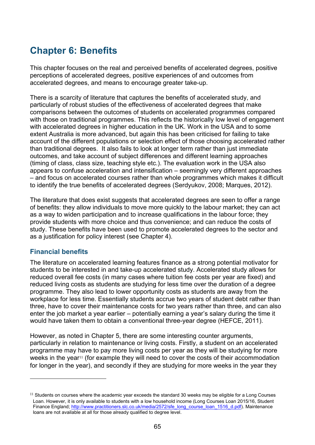# **Chapter 6: Benefits**

This chapter focuses on the real and perceived benefits of accelerated degrees, positive perceptions of accelerated degrees, positive experiences of and outcomes from accelerated degrees, and means to encourage greater take-up.

There is a scarcity of literature that captures the benefits of accelerated study, and particularly of robust studies of the effectiveness of accelerated degrees that make comparisons between the outcomes of students on accelerated programmes compared with those on traditional programmes. This reflects the historically low level of engagement with accelerated degrees in higher education in the UK. Work in the USA and to some extent Australia is more advanced, but again this has been criticised for failing to take account of the different populations or selection effect of those choosing accelerated rather than traditional degrees. It also fails to look at longer term rather than just immediate outcomes, and take account of subject differences and different learning approaches (timing of class, class size, teaching style etc.). The evaluation work in the USA also appears to confuse acceleration and intensification – seemingly very different approaches – and focus on accelerated courses rather than whole programmes which makes it difficult to identify the true benefits of accelerated degrees (Serdyukov, 2008; Marques, 2012).

The literature that does exist suggests that accelerated degrees are seen to offer a range of benefits: they allow individuals to move more quickly to the labour market; they can act as a way to widen participation and to increase qualifications in the labour force; they provide students with more choice and thus convenience; and can reduce the costs of study. These benefits have been used to promote accelerated degrees to the sector and as a justification for policy interest (see Chapter 4).

## **Financial benefits**

 $\overline{a}$ 

The literature on accelerated learning features finance as a strong potential motivator for students to be interested in and take-up accelerated study. Accelerated study allows for reduced overall fee costs (in many cases where tuition fee costs per year are fixed) and reduced living costs as students are studying for less time over the duration of a degree programme. They also lead to lower opportunity costs as students are away from the workplace for less time. Essentially students accrue two years of student debt rather than three, have to cover their maintenance costs for two years rather than three, and can also enter the job market a year earlier – potentially earning a year's salary during the time it would have taken them to obtain a conventional three-year degree (HEFCE, 2011).

However, as noted in Chapter 5, there are some interesting counter arguments, particularly in relation to maintenance or living costs. Firstly, a student on an accelerated programme may have to pay more living costs per year as they will be studying for more weeks in the year<sup>[11](#page-64-0)</sup> (for example they will need to cover the costs of their accommodation for longer in the year), and secondly if they are studying for more weeks in the year they

<span id="page-64-0"></span> $11$  Students on courses where the academic year exceeds the standard 30 weeks may be eligible for a Long Courses Loan. However, it is only available to students with a low household income (Long Courses Loan 2015/16, Student Finance England; [http://www.practitioners.slc.co.uk/media/2572/sfe\\_long\\_course\\_loan\\_1516\\_d.pdf\)](http://www.practitioners.slc.co.uk/media/2572/sfe_long_course_loan_1516_d.pdf). Maintenance loans are not available at all for those already qualified to degree level.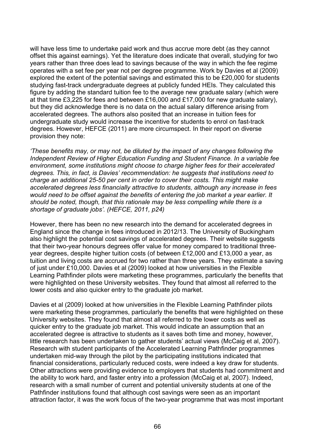will have less time to undertake paid work and thus accrue more debt (as they cannot offset this against earnings). Yet the literature does indicate that overall, studying for two years rather than three does lead to savings because of the way in which the fee regime operates with a set fee per year not per degree programme. Work by Davies et al (2009) explored the extent of the potential savings and estimated this to be £20,000 for students studying fast-track undergraduate degrees at publicly funded HEIs. They calculated this figure by adding the standard tuition fee to the average new graduate salary (which were at that time £3,225 for fees and between £16,000 and £17,000 for new graduate salary), but they did acknowledge there is no data on the actual salary difference arising from accelerated degrees. The authors also posited that an increase in tuition fees for undergraduate study would increase the incentive for students to enrol on fast-track degrees. However, HEFCE (2011) are more circumspect. In their report on diverse provision they note:

*'These benefits may, or may not, be diluted by the impact of any changes following the Independent Review of Higher Education Funding and Student Finance. In a variable fee environment, some institutions might choose to charge higher fees for their accelerated degrees. This, in fact, is Davies' recommendation: he suggests that institutions need to charge an additional 25-50 per cent in order to cover their costs. This might make accelerated degrees less financially attractive to students, although any increase in fees would need to be offset against the benefits of entering the job market a year earlier. It should be noted, though, that this rationale may be less compelling while there is a shortage of graduate jobs'. (HEFCE, 2011, p24)* 

However, there has been no new research into the demand for accelerated degrees in England since the change in fees introduced in 2012/13. The University of Buckingham also highlight the potential cost savings of accelerated degrees. Their website suggests that their two-year honours degrees offer value for money compared to traditional threeyear degrees, despite higher tuition costs (of between £12,000 and £13,000 a year, as tuition and living costs are accrued for two rather than three years. They estimate a saving of just under £10,000. Davies et al (2009) looked at how universities in the Flexible Learning Pathfinder pilots were marketing these programmes, particularly the benefits that were highlighted on these University websites. They found that almost all referred to the lower costs and also quicker entry to the graduate job market.

Davies et al (2009) looked at how universities in the Flexible Learning Pathfinder pilots were marketing these programmes, particularly the benefits that were highlighted on these University websites. They found that almost all referred to the lower costs as well as quicker entry to the graduate job market. This would indicate an assumption that an accelerated degree is attractive to students as it saves both time and money, however, little research has been undertaken to gather students' actual views (McCaig et al, 2007). Research with student participants of the Accelerated Learning Pathfinder programmes undertaken mid-way through the pilot by the participating institutions indicated that financial considerations, particularly reduced costs, were indeed a key draw for students. Other attractions were providing evidence to employers that students had commitment and the ability to work hard, and faster entry into a profession (McCaig et al, 2007). Indeed, research with a small number of current and potential university students at one of the Pathfinder institutions found that although cost savings were seen as an important attraction factor, it was the work focus of the two-year programme that was most important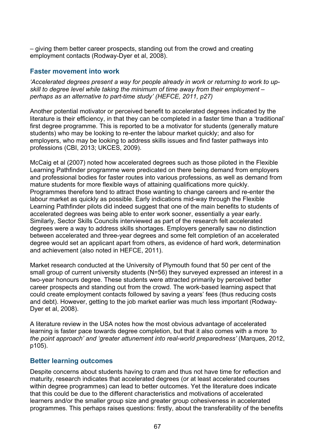– giving them better career prospects, standing out from the crowd and creating employment contacts (Rodway-Dyer et al, 2008).

# **Faster movement into work**

*'Accelerated degrees present a way for people already in work or returning to work to upskill to degree level while taking the minimum of time away from their employment – perhaps as an alternative to part-time study' (HEFCE, 2011, p27)*

Another potential motivator or perceived benefit to accelerated degrees indicated by the literature is their efficiency, in that they can be completed in a faster time than a 'traditional' first degree programme. This is reported to be a motivator for students (generally mature students) who may be looking to re-enter the labour market quickly; and also for employers, who may be looking to address skills issues and find faster pathways into professions (CBI, 2013; UKCES, 2009).

McCaig et al (2007) noted how accelerated degrees such as those piloted in the Flexible Learning Pathfinder programme were predicated on there being demand from employers and professional bodies for faster routes into various professions, as well as demand from mature students for more flexible ways of attaining qualifications more quickly. Programmes therefore tend to attract those wanting to change careers and re-enter the labour market as quickly as possible. Early indications mid-way through the Flexible Learning Pathfinder pilots did indeed suggest that one of the main benefits to students of accelerated degrees was being able to enter work sooner, essentially a year early. Similarly, Sector Skills Councils interviewed as part of the research felt accelerated degrees were a way to address skills shortages. Employers generally saw no distinction between accelerated and three-year degrees and some felt completion of an accelerated degree would set an applicant apart from others, as evidence of hard work, determination and achievement (also noted in HEFCE, 2011).

Market research conducted at the University of Plymouth found that 50 per cent of the small group of current university students (N=56) they surveyed expressed an interest in a two-year honours degree. These students were attracted primarily by perceived better career prospects and standing out from the crowd. The work-based learning aspect that could create employment contacts followed by saving a years' fees (thus reducing costs and debt). However, getting to the job market earlier was much less important (Rodway-Dyer et al, 2008).

A literature review in the USA notes how the most obvious advantage of accelerated learning is faster pace towards degree completion, but that it also comes with a more *'to the point approach' and 'greater attunement into real-world preparedness'* (Marques, 2012, p105).

## **Better learning outcomes**

Despite concerns about students having to cram and thus not have time for reflection and maturity, research indicates that accelerated degrees (or at least accelerated courses within degree programmes) can lead to better outcomes. Yet the literature does indicate that this could be due to the different characteristics and motivations of accelerated learners and/or the smaller group size and greater group cohesiveness in accelerated programmes. This perhaps raises questions: firstly, about the transferability of the benefits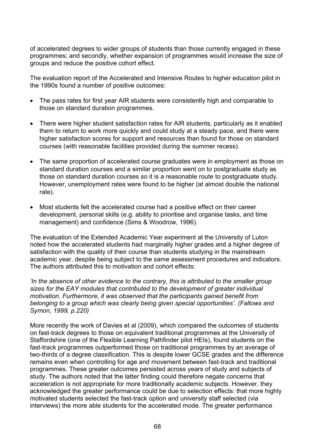of accelerated degrees to wider groups of students than those currently engaged in these programmes; and secondly, whether expansion of programmes would increase the size of groups and reduce the positive cohort effect.

The evaluation report of the Accelerated and Intensive Routes to higher education pilot in the 1990s found a number of positive outcomes:

- The pass rates for first year AIR students were consistently high and comparable to those on standard duration programmes.
- There were higher student satisfaction rates for AIR students, particularly as it enabled them to return to work more quickly and could study at a steady pace, and there were higher satisfaction scores for support and resources than found for those on standard courses (with reasonable facilities provided during the summer recess).
- The same proportion of accelerated course graduates were in employment as those on standard duration courses and a similar proportion went on to postgraduate study as those on standard duration courses so it is a reasonable route to postgraduate study. However, unemployment rates were found to be higher (at almost double the national rate).
- Most students felt the accelerated course had a positive effect on their career development, personal skills (e.g. ability to prioritise and organise tasks, and time management) and confidence (Sims & Woodrow, 1996).

The evaluation of the Extended Academic Year experiment at the University of Luton noted how the accelerated students had marginally higher grades and a higher degree of satisfaction with the quality of their course than students studying in the mainstream academic year, despite being subject to the same assessment procedures and indicators. The authors attributed this to motivation and cohort effects:

*'In the absence of other evidence to the contrary, this is attributed to the smaller group sizes for the EAY modules that contributed to the development of greater individual motivation. Furthermore, it was observed that the participants gained benefit from belonging to a group which was clearly being given special opportunities'. (Fallows and Symon, 1999, p.220)*

More recently the work of Davies et al (2009), which compared the outcomes of students on fast-track degrees to those on equivalent traditional programmes at the University of Staffordshire (one of the Flexible Learning Pathfinder pilot HEIs), found students on the fast-track programmes outperformed those on traditional programmes by an average of two-thirds of a degree classification. This is despite lower GCSE grades and the difference remains even when controlling for age and movement between fast-track and traditional programmes. These greater outcomes persisted across years of study and subjects of study. The authors noted that the latter finding could therefore negate concerns that acceleration is not appropriate for more traditionally academic subjects. However, they acknowledged the greater performance could be due to selection effects: that more highly motivated students selected the fast-track option and university staff selected (via interviews) the more able students for the accelerated mode. The greater performance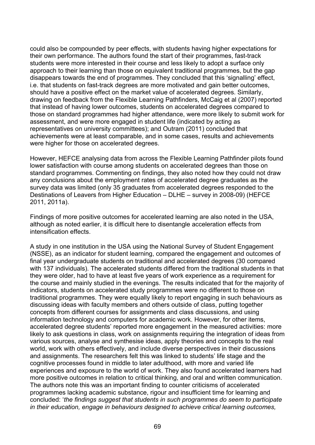could also be compounded by peer effects, with students having higher expectations for their own performance. The authors found the start of their programmes, fast-track students were more interested in their course and less likely to adopt a surface only approach to their learning than those on equivalent traditional programmes, but the gap disappears towards the end of programmes. They concluded that this 'signalling' effect, i.e. that students on fast-track degrees are more motivated and gain better outcomes, should have a positive effect on the market value of accelerated degrees. Similarly, drawing on feedback from the Flexible Learning Pathfinders, McCaig et al (2007) reported that instead of having lower outcomes, students on accelerated degrees compared to those on standard programmes had higher attendance, were more likely to submit work for assessment, and were more engaged in student life (indicated by acting as representatives on university committees); and Outram (2011) concluded that achievements were at least comparable, and in some cases, results and achievements were higher for those on accelerated degrees.

However, HEFCE analysing data from across the Flexible Learning Pathfinder pilots found lower satisfaction with course among students on accelerated degrees than those on standard programmes. Commenting on findings, they also noted how they could not draw any conclusions about the employment rates of accelerated degree graduates as the survey data was limited (only 35 graduates from accelerated degrees responded to the Destinations of Leavers from Higher Education – DLHE – survey in 2008-09) (HEFCE 2011, 2011a).

Findings of more positive outcomes for accelerated learning are also noted in the USA, although as noted earlier, it is difficult here to disentangle acceleration effects from intensification effects.

A study in one institution in the USA using the National Survey of Student Engagement (NSSE), as an indicator for student learning, compared the engagement and outcomes of final year undergraduate students on traditional and accelerated degrees (30 compared with 137 individuals). The accelerated students differed from the traditional students in that they were older, had to have at least five years of work experience as a requirement for the course and mainly studied in the evenings. The results indicated that for the majority of indicators, students on accelerated study programmes were no different to those on traditional programmes. They were equally likely to report engaging in such behaviours as discussing ideas with faculty members and others outside of class, putting together concepts from different courses for assignments and class discussions, and using information technology and computers for academic work. However, for other items, accelerated degree students' reported more engagement in the measured activities: more likely to ask questions in class, work on assignments requiring the integration of ideas from various sources, analyse and synthesise ideas, apply theories and concepts to the real world, work with others effectively, and include diverse perspectives in their discussions and assignments. The researchers felt this was linked to students' life stage and the cognitive processes found in middle to later adulthood, with more and varied life experiences and exposure to the world of work. They also found accelerated learners had more positive outcomes in relation to critical thinking, and oral and written communication. The authors note this was an important finding to counter criticisms of accelerated programmes lacking academic substance, rigour and insufficient time for learning and concluded: '*the findings suggest that students in such programmes do seem to participate in their education, engage in behaviours designed to achieve critical learning outcomes,*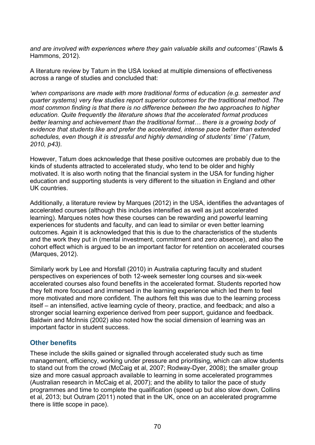*and are involved with experiences where they gain valuable skills and outcomes'* (Rawls & Hammons, 2012).

A literature review by Tatum in the USA looked at multiple dimensions of effectiveness across a range of studies and concluded that:

*'when comparisons are made with more traditional forms of education (e.g. semester and quarter systems) very few studies report superior outcomes for the traditional method. The most common finding is that there is no difference between the two approaches to higher education. Quite frequently the literature shows that the accelerated format produces better learning and achievement than the traditional format… there is a growing body of evidence that students like and prefer the accelerated, intense pace better than extended schedules, even though it is stressful and highly demanding of students' time' (Tatum, 2010, p43).* 

However, Tatum does acknowledge that these positive outcomes are probably due to the kinds of students attracted to accelerated study, who tend to be older and highly motivated. It is also worth noting that the financial system in the USA for funding higher education and supporting students is very different to the situation in England and other UK countries.

Additionally, a literature review by Marques (2012) in the USA, identifies the advantages of accelerated courses (although this includes intensified as well as just accelerated learning). Marques notes how these courses can be rewarding and powerful learning experiences for students and faculty, and can lead to similar or even better learning outcomes. Again it is acknowledged that this is due to the characteristics of the students and the work they put in (mental investment, commitment and zero absence), and also the cohort effect which is argued to be an important factor for retention on accelerated courses (Marques, 2012).

Similarly work by Lee and Horsfall (2010) in Australia capturing faculty and student perspectives on experiences of both 12-week semester long courses and six-week accelerated courses also found benefits in the accelerated format. Students reported how they felt more focused and immersed in the learning experience which led them to feel more motivated and more confident. The authors felt this was due to the learning process itself – an intensified, active learning cycle of theory, practice, and feedback; and also a stronger social learning experience derived from peer support, guidance and feedback. Baldwin and McInnis (2002) also noted how the social dimension of learning was an important factor in student success.

## **Other benefits**

These include the skills gained or signalled through accelerated study such as time management, efficiency, working under pressure and prioritising, which can allow students to stand out from the crowd (McCaig et al, 2007; Rodway-Dyer, 2008); the smaller group size and more casual approach available to learning in some accelerated programmes (Australian research in McCaig et al, 2007); and the ability to tailor the pace of study programmes and time to complete the qualification (speed up but also slow down, Collins et al, 2013; but Outram (2011) noted that in the UK, once on an accelerated programme there is little scope in pace).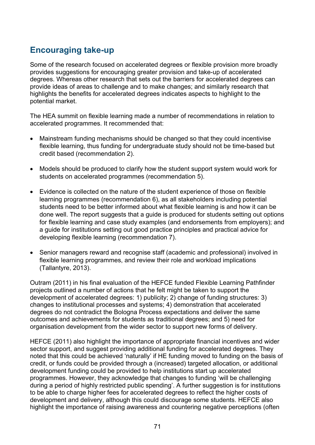# **Encouraging take-up**

Some of the research focused on accelerated degrees or flexible provision more broadly provides suggestions for encouraging greater provision and take-up of accelerated degrees. Whereas other research that sets out the barriers for accelerated degrees can provide ideas of areas to challenge and to make changes; and similarly research that highlights the benefits for accelerated degrees indicates aspects to highlight to the potential market.

The HEA summit on flexible learning made a number of recommendations in relation to accelerated programmes. It recommended that:

- Mainstream funding mechanisms should be changed so that they could incentivise flexible learning, thus funding for undergraduate study should not be time-based but credit based (recommendation 2).
- Models should be produced to clarify how the student support system would work for students on accelerated programmes (recommendation 5).
- Evidence is collected on the nature of the student experience of those on flexible learning programmes (recommendation 6), as all stakeholders including potential students need to be better informed about what flexible learning is and how it can be done well. The report suggests that a guide is produced for students setting out options for flexible learning and case study examples (and endorsements from employers); and a guide for institutions setting out good practice principles and practical advice for developing flexible learning (recommendation 7).
- Senior managers reward and recognise staff (academic and professional) involved in flexible learning programmes, and review their role and workload implications (Tallantyre, 2013).

Outram (2011) in his final evaluation of the HEFCE funded Flexible Learning Pathfinder projects outlined a number of actions that he felt might be taken to support the development of accelerated degrees: 1) publicity; 2) change of funding structures: 3) changes to institutional processes and systems; 4) demonstration that accelerated degrees do not contradict the Bologna Process expectations and deliver the same outcomes and achievements for students as traditional degrees; and 5) need for organisation development from the wider sector to support new forms of delivery.

HEFCE (2011) also highlight the importance of appropriate financial incentives and wider sector support, and suggest providing additional funding for accelerated degrees. They noted that this could be achieved 'naturally' if HE funding moved to funding on the basis of credit, or funds could be provided through a (increased) targeted allocation, or additional development funding could be provided to help institutions start up accelerated programmes. However, they acknowledge that changes to funding 'will be challenging during a period of highly restricted public spending'. A further suggestion is for institutions to be able to charge higher fees for accelerated degrees to reflect the higher costs of development and delivery, although this could discourage some students. HEFCE also highlight the importance of raising awareness and countering negative perceptions (often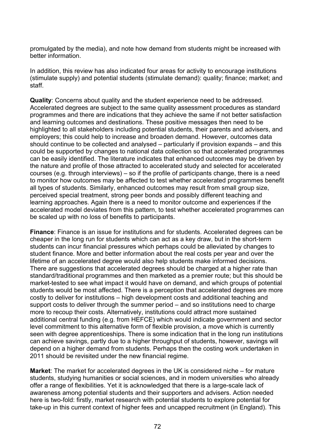promulgated by the media), and note how demand from students might be increased with better information.

In addition, this review has also indicated four areas for activity to encourage institutions (stimulate supply) and potential students (stimulate demand): quality; finance; market; and staff.

**Quality**: Concerns about quality and the student experience need to be addressed. Accelerated degrees are subject to the same quality assessment procedures as standard programmes and there are indications that they achieve the same if not better satisfaction and learning outcomes and destinations. These positive messages then need to be highlighted to all stakeholders including potential students, their parents and advisers, and employers; this could help to increase and broaden demand. However, outcomes data should continue to be collected and analysed – particularly if provision expands – and this could be supported by changes to national data collection so that accelerated programmes can be easily identified. The literature indicates that enhanced outcomes may be driven by the nature and profile of those attracted to accelerated study and selected for accelerated courses (e.g. through interviews) – so if the profile of participants change, there is a need to monitor how outcomes may be affected to test whether accelerated programmes benefit all types of students. Similarly, enhanced outcomes may result from small group size, perceived special treatment, strong peer bonds and possibly different teaching and learning approaches. Again there is a need to monitor outcome and experiences if the accelerated model deviates from this pattern, to test whether accelerated programmes can be scaled up with no loss of benefits to participants.

**Finance**: Finance is an issue for institutions and for students. Accelerated degrees can be cheaper in the long run for students which can act as a key draw, but in the short-term students can incur financial pressures which perhaps could be alleviated by changes to student finance. More and better information about the real costs per year and over the lifetime of an accelerated degree would also help students make informed decisions. There are suggestions that accelerated degrees should be charged at a higher rate than standard/traditional programmes and then marketed as a premier route; but this should be market-tested to see what impact it would have on demand, and which groups of potential students would be most affected. There is a perception that accelerated degrees are more costly to deliver for institutions – high development costs and additional teaching and support costs to deliver through the summer period – and so institutions need to charge more to recoup their costs. Alternatively, institutions could attract more sustained additional central funding (e.g. from HEFCE) which would indicate government and sector level commitment to this alternative form of flexible provision, a move which is currently seen with degree apprenticeships. There is some indication that in the long run institutions can achieve savings, partly due to a higher throughput of students, however, savings will depend on a higher demand from students. Perhaps then the costing work undertaken in 2011 should be revisited under the new financial regime.

**Market**: The market for accelerated degrees in the UK is considered niche – for mature students, studying humanities or social sciences, and in modern universities who already offer a range of flexibilities. Yet it is acknowledged that there is a large-scale lack of awareness among potential students and their supporters and advisers. Action needed here is two-fold: firstly, market research with potential students to explore potential for take-up in this current context of higher fees and uncapped recruitment (in England). This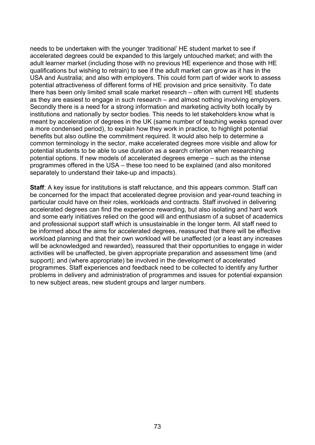needs to be undertaken with the younger 'traditional' HE student market to see if accelerated degrees could be expanded to this largely untouched market; and with the adult learner market (including those with no previous HE experience and those with HE qualifications but wishing to retrain) to see if the adult market can grow as it has in the USA and Australia; and also with employers. This could form part of wider work to assess potential attractiveness of different forms of HE provision and price sensitivity. To date there has been only limited small scale market research – often with current HE students as they are easiest to engage in such research – and almost nothing involving employers. Secondly there is a need for a strong information and marketing activity both locally by institutions and nationally by sector bodies. This needs to let stakeholders know what is meant by acceleration of degrees in the UK (same number of teaching weeks spread over a more condensed period), to explain how they work in practice, to highlight potential benefits but also outline the commitment required. It would also help to determine a common terminology in the sector, make accelerated degrees more visible and allow for potential students to be able to use duration as a search criterion when researching potential options. If new models of accelerated degrees emerge – such as the intense programmes offered in the USA – these too need to be explained (and also monitored separately to understand their take-up and impacts).

**Staff:** A key issue for institutions is staff reluctance, and this appears common. Staff can be concerned for the impact that accelerated degree provision and year-round teaching in particular could have on their roles, workloads and contracts. Staff involved in delivering accelerated degrees can find the experience rewarding, but also isolating and hard work and some early initiatives relied on the good will and enthusiasm of a subset of academics and professional support staff which is unsustainable in the longer term. All staff need to be informed about the aims for accelerated degrees, reassured that there will be effective workload planning and that their own workload will be unaffected (or a least any increases will be acknowledged and rewarded), reassured that their opportunities to engage in wider activities will be unaffected, be given appropriate preparation and assessment time (and support); and (where appropriate) be involved in the development of accelerated programmes. Staff experiences and feedback need to be collected to identify any further problems in delivery and administration of programmes and issues for potential expansion to new subject areas, new student groups and larger numbers.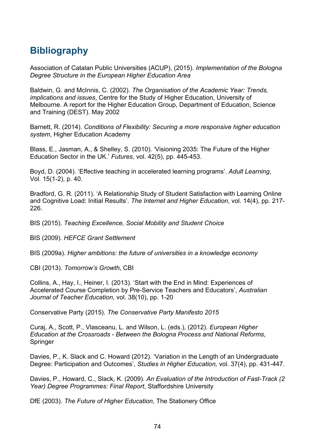## **Bibliography**

Association of Catalan Public Universities (ACUP), (2015). *Implementation of the Bologna Degree Structure in the European Higher Education Area*

Baldwin, G. and McInnis, C. (2002). *The Organisation of the Academic Year: Trends, implications and issues*, Centre for the Study of Higher Education, University of Melbourne. A report for the Higher Education Group, Department of Education, Science and Training (DEST). May 2002

Barnett, R. (2014). *Conditions of Flexibility: Securing a more responsive higher education system*, Higher Education Academy

Blass, E., Jasman, A., & Shelley, S. (2010). 'Visioning 2035: The Future of the Higher Education Sector in the UK.' *Futures*, vol. 42(5), pp. 445-453.

Boyd, D. (2004). 'Effective teaching in accelerated learning programs'. *Adult Learning*, Vol. 15(1-2), p. 40.

Bradford, G. R. (2011). 'A Relationship Study of Student Satisfaction with Learning Online and Cognitive Load: Initial Results'. *The Internet and Higher Education*, vol. 14(4), pp. 217- 226.

BIS (2015). *Teaching Excellence, Social Mobility and Student Choice* 

BIS (2009). *HEFCE Grant Settlement*

BIS (2009a). *Higher ambitions: the future of universities in a knowledge economy*

CBI (2013). *Tomorrow's Growth*, CBI

Collins, A., Hay, I., Heiner, I. (2013). 'Start with the End in Mind: Experiences of Accelerated Course Completion by Pre-Service Teachers and Educators', *Australian Journal of Teacher Education*, vol. 38(10), pp. 1-20

Conservative Party (2015). *The Conservative Party Manifesto 2015*

Curaj, A., Scott, P., Vlasceanu, L. and Wilson, L. (eds.), (2012). *European Higher Education at the Crossroads - Between the Bologna Process and National Reforms*, Springer

Davies, P., K. Slack and C. Howard (2012). 'Variation in the Length of an Undergraduate Degree: Participation and Outcomes', *Studies in Higher Education,* vol. 37(4), pp. 431-447.

Davies, P., Howard, C., Slack, K. (2009). *An Evaluation of the Introduction of Fast-Track (2 Year) Degree Programmes: Final Report*, Staffordshire University

DfE (2003). *The Future of Higher Education*, The Stationery Office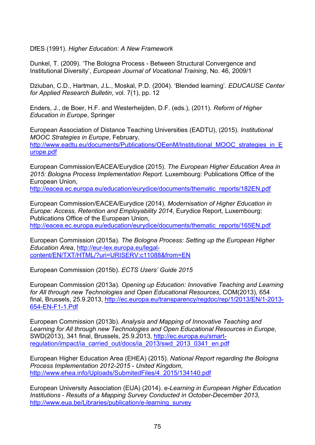DfES (1991). *Higher Education: A New Framework*

Dunkel, T. (2009). 'The Bologna Process - Between Structural Convergence and Institutional Diversity', *European Journal of Vocational Training*, No. 46, 2009/1

Dziuban, C.D., Hartman, J.L., Moskal, P.D. (2004). 'Blended learning'*. EDUCAUSE Center for Applied Research Bulletin*, vol. 7(1), pp. 12

Enders, J., de Boer, H.F. and Westerheijden, D.F. (eds.), (2011). *Reform of Higher Education in Europe*, Springer

European Association of Distance Teaching Universities (EADTU), (2015). *Institutional MOOC Strategies in Europe*, February, [http://www.eadtu.eu/documents/Publications/OEenM/Institutional\\_MOOC\\_strategies\\_in\\_E](http://www.eadtu.eu/documents/Publications/OEenM/Institutional_MOOC_strategies_in_Europe.pdf) [urope.pdf](http://www.eadtu.eu/documents/Publications/OEenM/Institutional_MOOC_strategies_in_Europe.pdf)

European Commission/EACEA/Eurydice (2015). *The European Higher Education Area in 2015: Bologna Process Implementation Report.* Luxembourg: Publications Office of the European Union,

[http://eacea.ec.europa.eu/education/eurydice/documents/thematic\\_reports/182EN.pdf](http://eacea.ec.europa.eu/education/eurydice/documents/thematic_reports/182EN.pdf)

European Commission/EACEA/Eurydice (2014). *Modernisation of Higher Education in Europe: Access, Retention and Employability 2014*, Eurydice Report, Luxembourg: Publications Office of the European Union, [http://eacea.ec.europa.eu/education/eurydice/documents/thematic\\_reports/165EN.pdf](http://eacea.ec.europa.eu/education/eurydice/documents/thematic_reports/165EN.pdf)

European Commission (2015a). *The Bologna Process: Setting up the European Higher Education Area*, [http://eur-lex.europa.eu/legal](http://eur-lex.europa.eu/legal-content/EN/TXT/HTML/?uri=URISERV:c11088&from=EN)[content/EN/TXT/HTML/?uri=URISERV:c11088&from=EN](http://eur-lex.europa.eu/legal-content/EN/TXT/HTML/?uri=URISERV:c11088&from=EN)

European Commission (2015b). *ECTS Users' Guide 2015*

European Commission (2013a). *Opening up Education: Innovative Teaching and Learning for All through new Technologies and Open Educational Resources*, COM(2013), 654 final, Brussels, 25.9.2013, [http://ec.europa.eu/transparency/regdoc/rep/1/2013/EN/1-2013-](http://ec.europa.eu/transparency/regdoc/rep/1/2013/EN/1-2013-654-EN-F1-1.Pdf) [654-EN-F1-1.Pdf](http://ec.europa.eu/transparency/regdoc/rep/1/2013/EN/1-2013-654-EN-F1-1.Pdf)

European Commission (2013b). *Analysis and Mapping of Innovative Teaching and Learning for All through new Technologies and Open Educational Resources in Europe*, SWD(2013), 341 final, Brussels, 25.9.2013, [http://ec.europa.eu/smart](http://ec.europa.eu/smart-regulation/impact/ia_carried_out/docs/ia_2013/swd_2013_0341_en.pdf)[regulation/impact/ia\\_carried\\_out/docs/ia\\_2013/swd\\_2013\\_0341\\_en.pdf](http://ec.europa.eu/smart-regulation/impact/ia_carried_out/docs/ia_2013/swd_2013_0341_en.pdf)

European Higher Education Area (EHEA) (2015). *National Report regarding the Bologna Process Implementation 2012-2015 - United Kingdom*, [http://www.ehea.info/Uploads/SubmitedFiles/4\\_2015/134140.pdf](http://www.ehea.info/Uploads/SubmitedFiles/4_2015/134140.pdf)

European University Association (EUA) (2014). *e-Learning in European Higher Education Institutions - Results of a Mapping Survey Conducted in October-December 2013*, [http://www.eua.be/Libraries/publication/e-learning\\_survey](http://www.eua.be/Libraries/publication/e-learning_survey)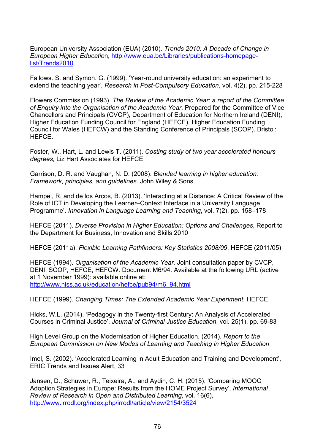European University Association (EUA) (2010). *Trends 2010: A Decade of Change in European Higher Educatio*n, [http://www.eua.be/Libraries/publications-homepage](http://www.eua.be/Libraries/publications-homepage-list/Trends2010)[list/Trends2010](http://www.eua.be/Libraries/publications-homepage-list/Trends2010) 

Fallows. S. and Symon. G. (1999). 'Year-round university education: an experiment to extend the teaching year', *Research in Post-Compulsory Education*, vol. 4(2), pp. 215-228

Flowers Commission (1993). *The Review of the Academic Year: a report of the Committee of Enquiry into the Organisation of the Academic Year*. Prepared for the Committee of Vice Chancellors and Principals (CVCP), Department of Education for Northern Ireland (DENI), Higher Education Funding Council for England (HEFCE), Higher Education Funding Council for Wales (HEFCW) and the Standing Conference of Principals (SCOP). Bristol: HEFCE.

Foster, W., Hart, L. and Lewis T. (2011). *Costing study of two year accelerated honours degrees,* Liz Hart Associates for HEFCE

Garrison, D. R. and Vaughan, N. D. (2008). *Blended learning in higher education: Framework, principles, and guidelines*. John Wiley & Sons.

Hampel, R. and de los Arcos, B. (2013). 'Interacting at a Distance: A Critical Review of the Role of ICT in Developing the Learner–Context Interface in a University Language Programme'. *Innovation in Language Learning and Teaching*, vol. 7(2), pp. 158–178

HEFCE (2011). *Diverse Provision in Higher Education: Options and Challenges*, Report to the Department for Business, Innovation and Skills 2010

HEFCE (2011a). *Flexible Learning Pathfinders: Key Statistics 2008/09*, HEFCE (2011/05)

HEFCE (1994). *Organisation of the Academic Year.* Joint consultation paper by CVCP, DENI, SCOP, HEFCE, HEFCW. Document M6/94. Available at the following URL (active at 1 November 1999): available online at: [http://www.niss.ac.uk/education/hefce/pub94/m6\\_94.html](http://www.niss.ac.uk/education/hefce/pub94/m6_94.html)

HEFCE (1999). *Changing Times: The Extended Academic Year Experiment*, HEFCE

Hicks, W.L. (2014). 'Pedagogy in the Twenty-first Century: An Analysis of Accelerated Courses in Criminal Justice', *Journal of Criminal Justice Education*, vol. 25(1), pp. 69-83

High Level Group on the Modernisation of Higher Education, (2014). *Report to the European Commission on New Modes of Learning and Teaching in Higher Education*

Imel, S. (2002). 'Accelerated Learning in Adult Education and Training and Development', ERIC Trends and Issues Alert, 33

Jansen, D., Schuwer, R., Teixeira, A., and Aydin, C. H. (2015). 'Comparing MOOC Adoption Strategies in Europe: Results from the HOME Project Survey', *International Review of Research in Open and Distributed Learning*, vol. 16(6), <http://www.irrodl.org/index.php/irrodl/article/view/2154/3524>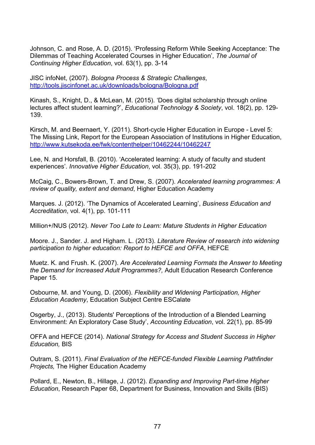Johnson, C. and Rose, A. D. (2015). 'Professing Reform While Seeking Acceptance: The Dilemmas of Teaching Accelerated Courses in Higher Education', *The Journal of Continuing Higher Education*, vol. 63(1), pp. 3-14

JISC infoNet, (2007). *Bologna Process & Strategic Challenges*, <http://tools.jiscinfonet.ac.uk/downloads/bologna/Bologna.pdf>

Kinash, S., Knight, D., & McLean, M. (2015). 'Does digital scholarship through online lectures affect student learning?', *Educational Technology & Society*, vol. 18(2), pp. 129- 139.

Kirsch, M. and Beernaert, Y. (2011). Short-cycle Higher Education in Europe - Level 5: The Missing Link, Report for the European Association of Institutions in Higher Education, <http://www.kutsekoda.ee/fwk/contenthelper/10462244/10462247>

Lee, N. and Horsfall, B. (2010). 'Accelerated learning: A study of faculty and student experiences'. *Innovative Higher Education*, vol. 35(3), pp. 191-202

McCaig, C., Bowers-Brown, T. and Drew, S. (2007). *Accelerated learning programmes: A review of quality, extent and demand*, Higher Education Academy

Marques. J. (2012). 'The Dynamics of Accelerated Learning', *Business Education and Accreditation*, vol. 4(1), pp. 101-111

Million+/NUS (2012). *Never Too Late to Learn: Mature Students in Higher Education*

Moore. J., Sander. J. and Higham. L. (2013). *Literature Review of research into widening participation to higher education: Report to HEFCE and OFFA*, HEFCE

Muetz. K. and Frush. K. (2007). *Are Accelerated Learning Formats the Answer to Meeting the Demand for Increased Adult Programmes?,* Adult Education Research Conference Paper 15.

Osbourne, M. and Young, D. (2006). *Flexibility and Widening Participation, Higher Education Academy*, Education Subject Centre ESCalate

Osgerby, J., (2013). Students' Perceptions of the Introduction of a Blended Learning Environment: An Exploratory Case Study', *Accounting Education*, vol. 22(1), pp. 85-99

OFFA and HEFCE (2014). *National Strategy for Access and Student Success in Higher Education,* BIS

Outram, S. (2011). *Final Evaluation of the HEFCE-funded Flexible Learning Pathfinder Projects,* The Higher Education Academy

Pollard, E., Newton, B., Hillage, J. (2012). *Expanding and Improving Part-time Higher Education*, Research Paper 68, Department for Business, Innovation and Skills (BIS)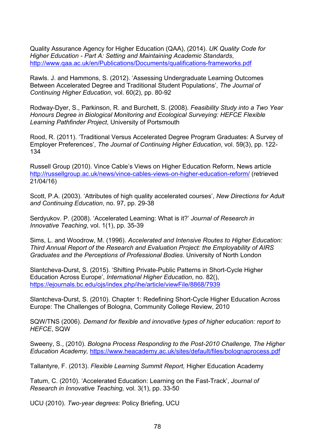Quality Assurance Agency for Higher Education (QAA), (2014). *UK Quality Code for Higher Education - Part A: Setting and Maintaining Academic Standards*, <http://www.qaa.ac.uk/en/Publications/Documents/qualifications-frameworks.pdf>

Rawls. J. and Hammons, S. (2012). 'Assessing Undergraduate Learning Outcomes Between Accelerated Degree and Traditional Student Populations', *The Journal of Continuing Higher Education*, vol. 60(2), pp. 80-92

Rodway-Dyer, S., Parkinson, R. and Burchett, S. (2008). *Feasibility Study into a Two Year Honours Degree in Biological Monitoring and Ecological Surveying: HEFCE Flexible Learning Pathfinder Project*, University of Portsmouth

Rood, R. (2011). 'Traditional Versus Accelerated Degree Program Graduates: A Survey of Employer Preferences', *The Journal of Continuing Higher Education*, vol. 59(3), pp. 122- 134

Russell Group (2010). Vince Cable's Views on Higher Education Reform, News article <http://russellgroup.ac.uk/news/vince-cables-views-on-higher-education-reform/> (retrieved 21/04/16)

Scott, P.A. (2003). 'Attributes of high quality accelerated courses', *New Directions for Adult and Continuing Education*, no. 97, pp. 29-38

Serdyukov. P. (2008). 'Accelerated Learning: What is it?' *Journal of Research in Innovative Teaching*, vol. 1(1), pp. 35-39

Sims, L. and Woodrow, M. (1996). *Accelerated and Intensive Routes to Higher Education: Third Annual Report of the Research and Evaluation Project: the Employability of AIRS Graduates and the Perceptions of Professional Bodies*. University of North London

Slantcheva-Durst, S. (2015). 'Shifting Private-Public Patterns in Short-Cycle Higher Education Across Europe', *International Higher Education*, no. 82(), <https://ejournals.bc.edu/ojs/index.php/ihe/article/viewFile/8868/7939>

Slantcheva-Durst, S. (2010). Chapter 1: Redefining Short-Cycle Higher Education Across Europe: The Challenges of Bologna, Community College Review, 2010

SQW/TNS (2006). *Demand for flexible and innovative types of higher education: report to HEFCE*, SQW

Sweeny, S., (2010). *Bologna Process Responding to the Post-2010 Challenge, The Higher Education Academy,* <https://www.heacademy.ac.uk/sites/default/files/bolognaprocess.pdf>

Tallantyre, F. (2013). *Flexible Learning Summit Report,* Higher Education Academy

Tatum, C. (2010). 'Accelerated Education: Learning on the Fast-Track', *Journal of Research in Innovative Teaching,* vol. 3(1), pp. 33-50

UCU (2010). *Two-year degrees*: Policy Briefing, UCU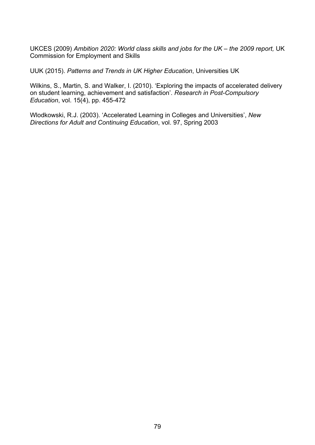UKCES (2009) *Ambition 2020: World class skills and jobs for the UK – the 2009 report,* UK Commission for Employment and Skills

UUK (2015). *Patterns and Trends in UK Higher Education*, Universities UK

Wilkins, S., Martin, S. and Walker, I. (2010). 'Exploring the impacts of accelerated delivery on student learning, achievement and satisfaction'. *Research in Post-Compulsory Education*, vol. 15(4), pp. 455-472

Wlodkowski, R.J. (2003). 'Accelerated Learning in Colleges and Universities', *New Directions for Adult and Continuing Education*, vol. 97, Spring 2003